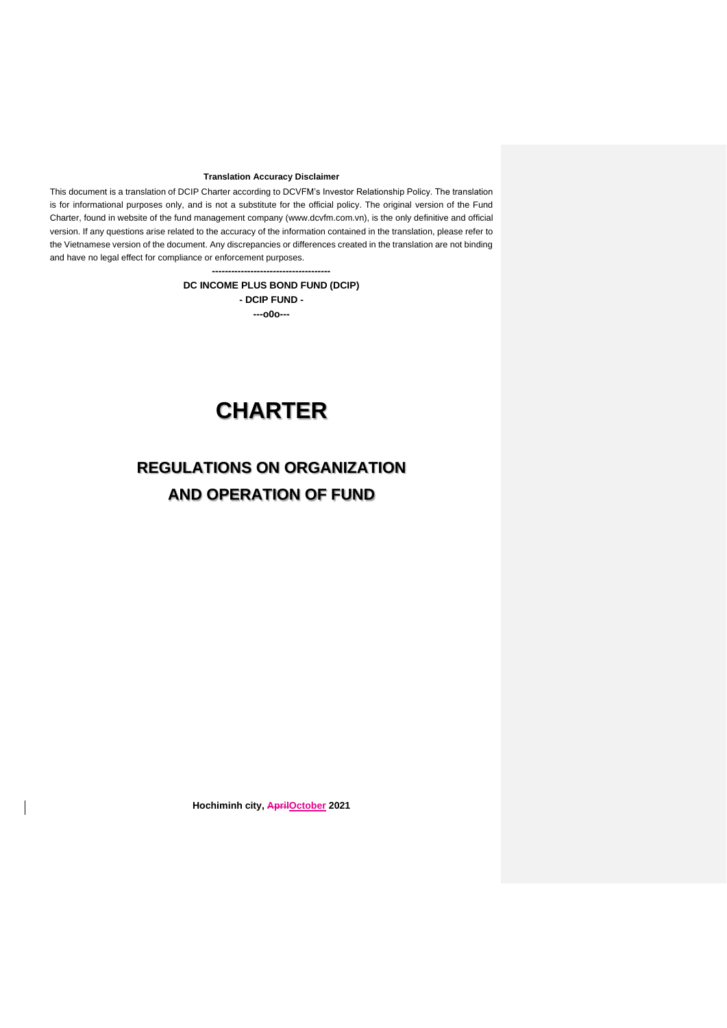#### **Translation Accuracy Disclaimer**

This document is a translation of DCIP Charter according to DCVFM's Investor Relationship Policy. The translation is for informational purposes only, and is not a substitute for the official policy. The original version of the Fund Charter, found in website of the fund management company [\(www.dcvfm.com.vn\)](http://www.dcvfm.com.vn/), is the only definitive and official version. If any questions arise related to the accuracy of the information contained in the translation, please refer to the Vietnamese version of the document. Any discrepancies or differences created in the translation are not binding and have no legal effect for compliance or enforcement purposes.

> **------------------------------------- DC INCOME PLUS BOND FUND (DCIP) - DCIP FUND - ---o0o---**

# **CHARTER**

## **REGULATIONS ON ORGANIZATION AND OPERATION OF FUND**

**Hochiminh city, AprilOctober 2021**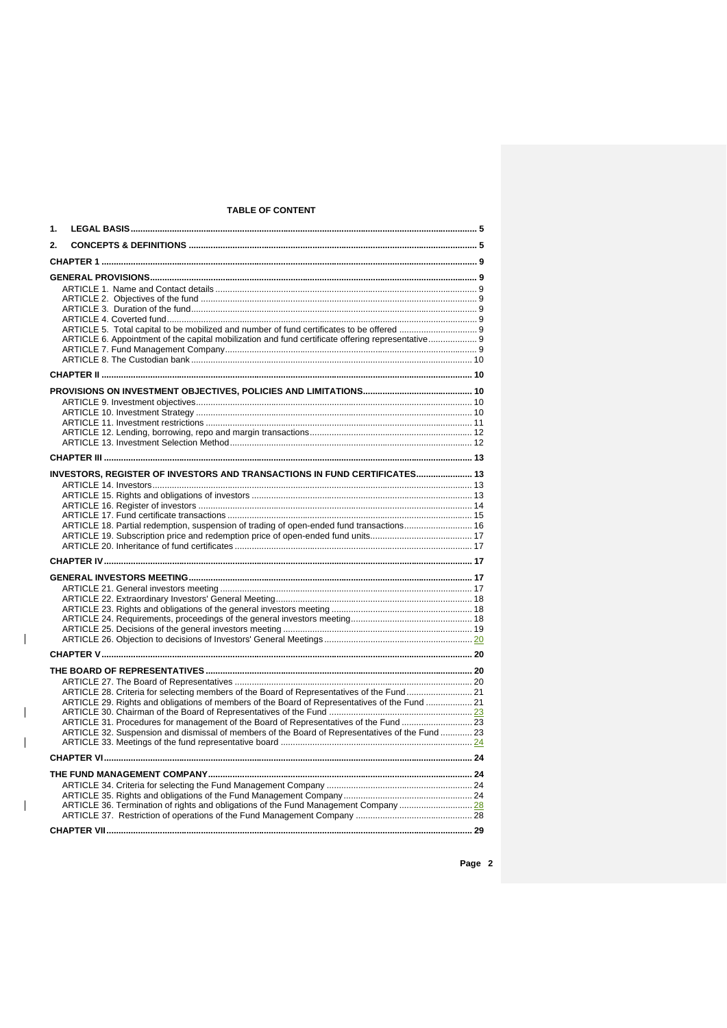## **TABLE OF CONTENT**

| 1. |                                                                                                                                                                                            |  |
|----|--------------------------------------------------------------------------------------------------------------------------------------------------------------------------------------------|--|
| 2. |                                                                                                                                                                                            |  |
|    |                                                                                                                                                                                            |  |
|    |                                                                                                                                                                                            |  |
|    |                                                                                                                                                                                            |  |
|    |                                                                                                                                                                                            |  |
|    |                                                                                                                                                                                            |  |
|    | ARTICLE 6. Appointment of the capital mobilization and fund certificate offering representative 9                                                                                          |  |
|    |                                                                                                                                                                                            |  |
|    |                                                                                                                                                                                            |  |
|    |                                                                                                                                                                                            |  |
|    |                                                                                                                                                                                            |  |
|    |                                                                                                                                                                                            |  |
|    |                                                                                                                                                                                            |  |
|    |                                                                                                                                                                                            |  |
|    |                                                                                                                                                                                            |  |
|    |                                                                                                                                                                                            |  |
|    | INVESTORS, REGISTER OF INVESTORS AND TRANSACTIONS IN FUND CERTIFICATES 13                                                                                                                  |  |
|    |                                                                                                                                                                                            |  |
|    |                                                                                                                                                                                            |  |
|    |                                                                                                                                                                                            |  |
|    | ARTICLE 18. Partial redemption, suspension of trading of open-ended fund transactions 16                                                                                                   |  |
|    |                                                                                                                                                                                            |  |
|    |                                                                                                                                                                                            |  |
|    |                                                                                                                                                                                            |  |
|    |                                                                                                                                                                                            |  |
|    |                                                                                                                                                                                            |  |
|    |                                                                                                                                                                                            |  |
|    |                                                                                                                                                                                            |  |
|    |                                                                                                                                                                                            |  |
|    |                                                                                                                                                                                            |  |
|    |                                                                                                                                                                                            |  |
|    |                                                                                                                                                                                            |  |
|    |                                                                                                                                                                                            |  |
|    | ARTICLE 28. Criteria for selecting members of the Board of Representatives of the Fund 21<br>ARTICLE 29. Rights and obligations of members of the Board of Representatives of the Fund  21 |  |
|    |                                                                                                                                                                                            |  |
|    | ARTICLE 31. Procedures for management of the Board of Representatives of the Fund  23                                                                                                      |  |
|    | ARTICLE 32. Suspension and dismissal of members of the Board of Representatives of the Fund  23                                                                                            |  |
|    |                                                                                                                                                                                            |  |
|    |                                                                                                                                                                                            |  |
|    |                                                                                                                                                                                            |  |
|    |                                                                                                                                                                                            |  |
|    | ARTICLE 36. Termination of rights and obligations of the Fund Management Company 28                                                                                                        |  |
|    |                                                                                                                                                                                            |  |
|    |                                                                                                                                                                                            |  |

 $\begin{array}{c} \hline \end{array}$ 

 $\overline{1}$ 

 $\overline{\phantom{a}}$ 

 $\begin{array}{c} \hline \end{array}$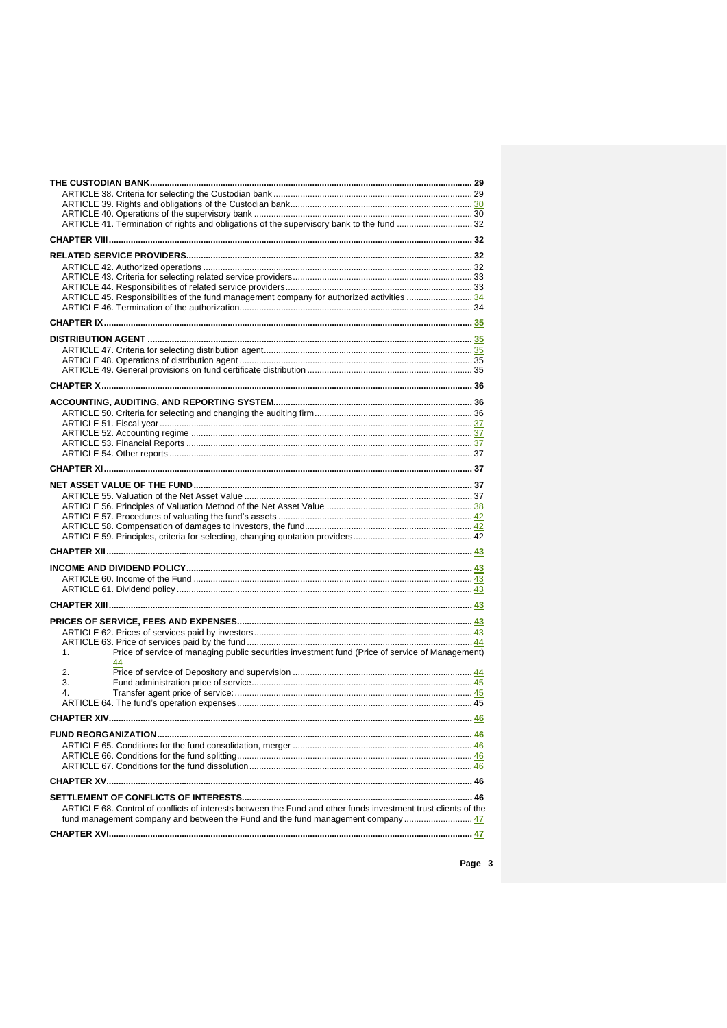| ARTICLE 41. Termination of rights and obligations of the supervisory bank to the fund  32                                                                                                      |     |
|------------------------------------------------------------------------------------------------------------------------------------------------------------------------------------------------|-----|
|                                                                                                                                                                                                |     |
|                                                                                                                                                                                                |     |
|                                                                                                                                                                                                |     |
|                                                                                                                                                                                                |     |
|                                                                                                                                                                                                |     |
| ARTICLE 45. Responsibilities of the fund management company for authorized activities  34                                                                                                      |     |
|                                                                                                                                                                                                |     |
|                                                                                                                                                                                                |     |
|                                                                                                                                                                                                |     |
|                                                                                                                                                                                                |     |
|                                                                                                                                                                                                |     |
|                                                                                                                                                                                                |     |
|                                                                                                                                                                                                |     |
|                                                                                                                                                                                                |     |
|                                                                                                                                                                                                |     |
|                                                                                                                                                                                                |     |
|                                                                                                                                                                                                |     |
|                                                                                                                                                                                                |     |
|                                                                                                                                                                                                |     |
|                                                                                                                                                                                                |     |
|                                                                                                                                                                                                |     |
|                                                                                                                                                                                                |     |
|                                                                                                                                                                                                |     |
|                                                                                                                                                                                                |     |
|                                                                                                                                                                                                |     |
|                                                                                                                                                                                                |     |
|                                                                                                                                                                                                |     |
|                                                                                                                                                                                                |     |
|                                                                                                                                                                                                |     |
|                                                                                                                                                                                                |     |
|                                                                                                                                                                                                |     |
|                                                                                                                                                                                                |     |
|                                                                                                                                                                                                |     |
|                                                                                                                                                                                                |     |
|                                                                                                                                                                                                |     |
| Price of service of managing public securities investment fund (Price of service of Management)<br>1 <sub>1</sub>                                                                              |     |
|                                                                                                                                                                                                |     |
| 2.<br>3.                                                                                                                                                                                       |     |
| 4.                                                                                                                                                                                             |     |
|                                                                                                                                                                                                |     |
| CHAPTER XIV                                                                                                                                                                                    | .46 |
|                                                                                                                                                                                                |     |
|                                                                                                                                                                                                |     |
|                                                                                                                                                                                                |     |
|                                                                                                                                                                                                |     |
|                                                                                                                                                                                                |     |
|                                                                                                                                                                                                |     |
|                                                                                                                                                                                                |     |
| ARTICLE 68. Control of conflicts of interests between the Fund and other funds investment trust clients of the<br>fund management company and between the Fund and the fund management company |     |
|                                                                                                                                                                                                |     |
|                                                                                                                                                                                                |     |

 $\begin{array}{c} \rule{0pt}{2ex} \rule{0pt}{2ex} \rule{0pt}{2ex} \rule{0pt}{2ex} \rule{0pt}{2ex} \rule{0pt}{2ex} \rule{0pt}{2ex} \rule{0pt}{2ex} \rule{0pt}{2ex} \rule{0pt}{2ex} \rule{0pt}{2ex} \rule{0pt}{2ex} \rule{0pt}{2ex} \rule{0pt}{2ex} \rule{0pt}{2ex} \rule{0pt}{2ex} \rule{0pt}{2ex} \rule{0pt}{2ex} \rule{0pt}{2ex} \rule{0pt}{2ex} \rule{0pt}{2ex} \rule{0pt}{2ex} \rule{0pt}{2ex} \rule{0pt}{$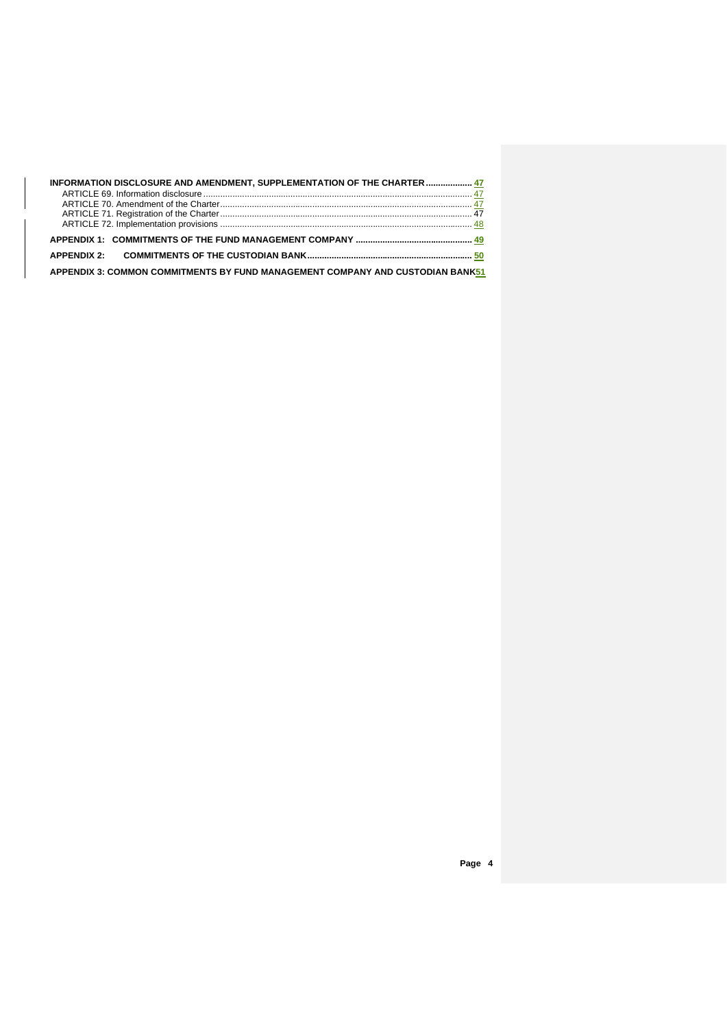| INFORMATION DISCLOSURE AND AMENDMENT, SUPPLEMENTATION OF THE CHARTER  47       |  |  |
|--------------------------------------------------------------------------------|--|--|
|                                                                                |  |  |
|                                                                                |  |  |
|                                                                                |  |  |
|                                                                                |  |  |
|                                                                                |  |  |
|                                                                                |  |  |
| APPENDIX 3: COMMON COMMITMENTS BY FUND MANAGEMENT COMPANY AND CUSTODIAN BANK51 |  |  |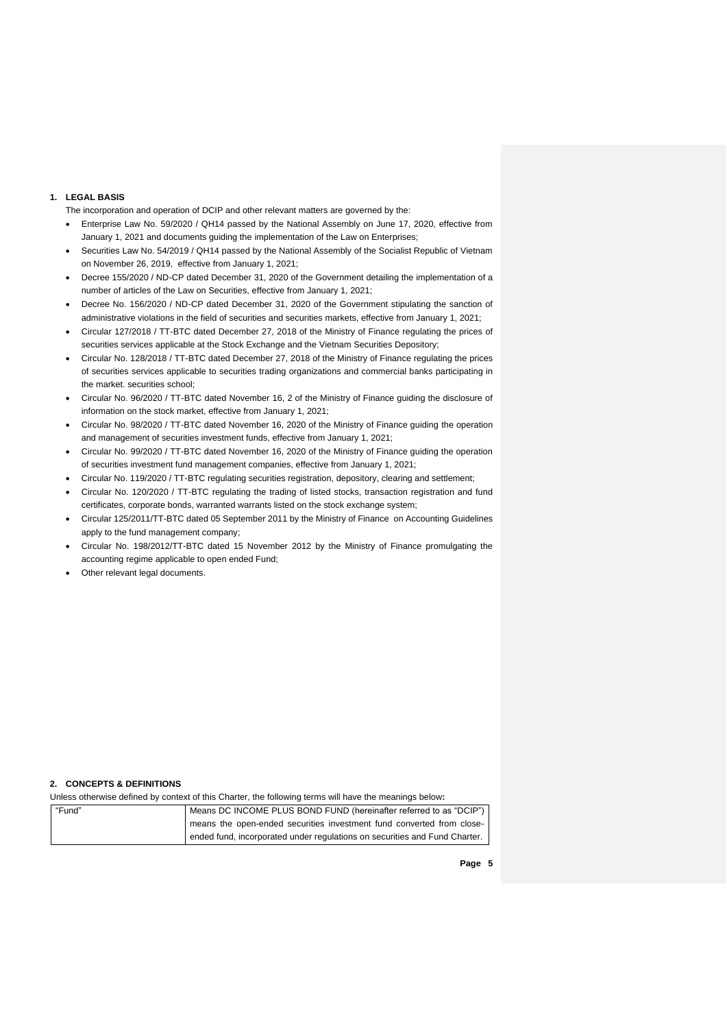#### **1. LEGAL BASIS**

- The incorporation and operation of DCIP and other relevant matters are governed by the:
- Enterprise Law No. 59/2020 / QH14 passed by the National Assembly on June 17, 2020, effective from January 1, 2021 and documents guiding the implementation of the Law on Enterprises;
- Securities Law No. 54/2019 / QH14 passed by the National Assembly of the Socialist Republic of Vietnam on November 26, 2019, effective from January 1, 2021;
- Decree 155/2020 / ND-CP dated December 31, 2020 of the Government detailing the implementation of a number of articles of the Law on Securities, effective from January 1, 2021;
- Decree No. 156/2020 / ND-CP dated December 31, 2020 of the Government stipulating the sanction of administrative violations in the field of securities and securities markets, effective from January 1, 2021;
- Circular 127/2018 / TT-BTC dated December 27, 2018 of the Ministry of Finance regulating the prices of securities services applicable at the Stock Exchange and the Vietnam Securities Depository;
- Circular No. 128/2018 / TT-BTC dated December 27, 2018 of the Ministry of Finance regulating the prices of securities services applicable to securities trading organizations and commercial banks participating in the market. securities school;
- Circular No. 96/2020 / TT-BTC dated November 16, 2 of the Ministry of Finance guiding the disclosure of information on the stock market, effective from January 1, 2021;
- Circular No. 98/2020 / TT-BTC dated November 16, 2020 of the Ministry of Finance guiding the operation and management of securities investment funds, effective from January 1, 2021;
- Circular No. 99/2020 / TT-BTC dated November 16, 2020 of the Ministry of Finance guiding the operation of securities investment fund management companies, effective from January 1, 2021;
- Circular No. 119/2020 / TT-BTC regulating securities registration, depository, clearing and settlement;
- Circular No. 120/2020 / TT-BTC regulating the trading of listed stocks, transaction registration and fund certificates, corporate bonds, warranted warrants listed on the stock exchange system;
- [Circular 125/2011/TT-BTC dated 05 September 2011 by the Ministry of Finance on Accounting Guidelines](http://translate.googleusercontent.com/translate_c?depth=1&ei=UI8nUevrAcmaiAf3uoGACA&hl=en&prev=/search%3Fq%3D%25E2%2580%25A2%2509Th%25C3%25B4ng%2Bt%25C6%25B0%2B125/2011/TT-BTC%2Bng%25C3%25A0y%2B5%2Bth%25C3%25A1ng%2B9%2Bn%25C4%2583m%2B2011%2Bc%25E1%25BB%25A7a%2BB%25E1%25BB%2599%2BT%25C3%25A0i%2Bch%25C3%25ADnh%2B%2Bh%25C6%25B0%25E1%25BB%259Bng%2Bd%25E1%25BA%25ABn%2Bk%25E1%25BA%25BF%2Bto%25C3%25A1n%2B%25C3%25A1p%2Bd%25E1%25BB%25A5ng%2B%25C4%2591%25E1%25BB%2591i%2Bv%25E1%25BB%259Bi%2BC%25C3%25B4ng%2Bty%2Bqu%25E1%25BA%25A3n%2Bl%25C3%25BD%2BQu%25E1%25BB%25B9%2B%253B%26hl%3Den%26client%3Dfirefox-a%26hs%3DFeG%26rls%3Dorg.mozilla:en-US:official&rurl=translate.google.com.vn&sl=vi&u=http://www.ketoanthue.vn/index.php/van-ban-huong-dan-thue-moi/2256-thong-tu-so-1252011tt-btc-cua-bo-tai-chinh-ngay-05092011-huong-dan-ke-toan-ap-dung-doi-voi-cong-ty-quan-ly-quy.html&usg=ALkJrhg8NL06FFJFsZJfENueUQefhSmPyg)  [apply to the fund management company;](http://translate.googleusercontent.com/translate_c?depth=1&ei=UI8nUevrAcmaiAf3uoGACA&hl=en&prev=/search%3Fq%3D%25E2%2580%25A2%2509Th%25C3%25B4ng%2Bt%25C6%25B0%2B125/2011/TT-BTC%2Bng%25C3%25A0y%2B5%2Bth%25C3%25A1ng%2B9%2Bn%25C4%2583m%2B2011%2Bc%25E1%25BB%25A7a%2BB%25E1%25BB%2599%2BT%25C3%25A0i%2Bch%25C3%25ADnh%2B%2Bh%25C6%25B0%25E1%25BB%259Bng%2Bd%25E1%25BA%25ABn%2Bk%25E1%25BA%25BF%2Bto%25C3%25A1n%2B%25C3%25A1p%2Bd%25E1%25BB%25A5ng%2B%25C4%2591%25E1%25BB%2591i%2Bv%25E1%25BB%259Bi%2BC%25C3%25B4ng%2Bty%2Bqu%25E1%25BA%25A3n%2Bl%25C3%25BD%2BQu%25E1%25BB%25B9%2B%253B%26hl%3Den%26client%3Dfirefox-a%26hs%3DFeG%26rls%3Dorg.mozilla:en-US:official&rurl=translate.google.com.vn&sl=vi&u=http://www.ketoanthue.vn/index.php/van-ban-huong-dan-thue-moi/2256-thong-tu-so-1252011tt-btc-cua-bo-tai-chinh-ngay-05092011-huong-dan-ke-toan-ap-dung-doi-voi-cong-ty-quan-ly-quy.html&usg=ALkJrhg8NL06FFJFsZJfENueUQefhSmPyg)
- Circular No. 198/2012/TT-BTC dated 15 November 2012 by the Ministry of Finance promulgating the accounting regime applicable to open ended Fund;
- Other relevant legal documents.

#### **2. CONCEPTS & DEFINITIONS**

Unless otherwise defined by context of this Charter, the following terms will have the meanings below**:**

| "Fund" | Means DC INCOME PLUS BOND FUND (hereinafter referred to as "DCIP")         |
|--------|----------------------------------------------------------------------------|
|        | means the open-ended securities investment fund converted from close-      |
|        | ended fund, incorporated under regulations on securities and Fund Charter. |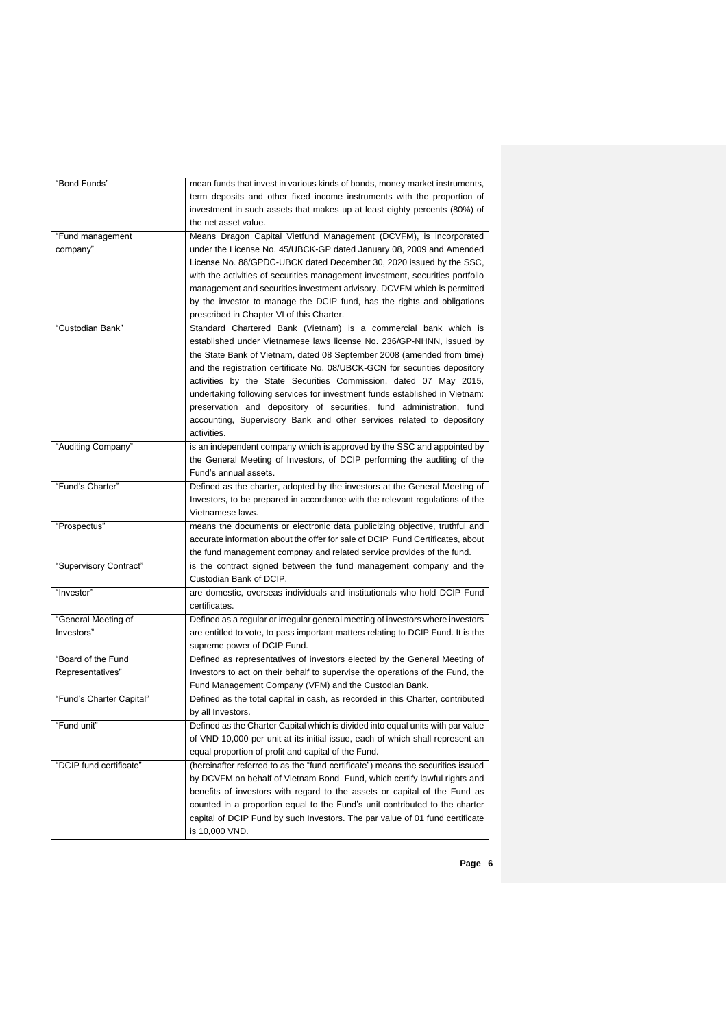| "Bond Funds"             | mean funds that invest in various kinds of bonds, money market instruments,                                                                      |
|--------------------------|--------------------------------------------------------------------------------------------------------------------------------------------------|
|                          | term deposits and other fixed income instruments with the proportion of                                                                          |
|                          | investment in such assets that makes up at least eighty percents (80%) of                                                                        |
|                          | the net asset value.                                                                                                                             |
| "Fund management         | Means Dragon Capital Vietfund Management (DCVFM), is incorporated                                                                                |
| company"                 | under the License No. 45/UBCK-GP dated January 08, 2009 and Amended                                                                              |
|                          | License No. 88/GPĐC-UBCK dated December 30, 2020 issued by the SSC,                                                                              |
|                          | with the activities of securities management investment, securities portfolio                                                                    |
|                          | management and securities investment advisory. DCVFM which is permitted                                                                          |
|                          | by the investor to manage the DCIP fund, has the rights and obligations                                                                          |
| "Custodian Bank"         | prescribed in Chapter VI of this Charter.                                                                                                        |
|                          | Standard Chartered Bank (Vietnam) is a commercial bank which is                                                                                  |
|                          | established under Vietnamese laws license No. 236/GP-NHNN, issued by                                                                             |
|                          | the State Bank of Vietnam, dated 08 September 2008 (amended from time)                                                                           |
|                          | and the registration certificate No. 08/UBCK-GCN for securities depository                                                                       |
|                          | activities by the State Securities Commission, dated 07 May 2015,<br>undertaking following services for investment funds established in Vietnam: |
|                          | preservation and depository of securities, fund administration, fund                                                                             |
|                          | accounting, Supervisory Bank and other services related to depository                                                                            |
|                          | activities.                                                                                                                                      |
| "Auditing Company"       | is an independent company which is approved by the SSC and appointed by                                                                          |
|                          | the General Meeting of Investors, of DCIP performing the auditing of the                                                                         |
|                          | Fund's annual assets.                                                                                                                            |
| "Fund's Charter"         | Defined as the charter, adopted by the investors at the General Meeting of                                                                       |
|                          | Investors, to be prepared in accordance with the relevant regulations of the                                                                     |
|                          | Vietnamese laws.                                                                                                                                 |
| "Prospectus"             | means the documents or electronic data publicizing objective, truthful and                                                                       |
|                          | accurate information about the offer for sale of DCIP Fund Certificates, about                                                                   |
|                          | the fund management compnay and related service provides of the fund.                                                                            |
| "Supervisory Contract"   | is the contract signed between the fund management company and the                                                                               |
|                          | Custodian Bank of DCIP.                                                                                                                          |
| "Investor"               | are domestic, overseas individuals and institutionals who hold DCIP Fund                                                                         |
|                          | certificates.                                                                                                                                    |
| "General Meeting of      | Defined as a regular or irregular general meeting of investors where investors                                                                   |
| Investors"               | are entitled to vote, to pass important matters relating to DCIP Fund. It is the                                                                 |
|                          | supreme power of DCIP Fund.                                                                                                                      |
| "Board of the Fund       | Defined as representatives of investors elected by the General Meeting of                                                                        |
| Representatives"         | Investors to act on their behalf to supervise the operations of the Fund, the                                                                    |
|                          | Fund Management Company (VFM) and the Custodian Bank.                                                                                            |
| "Fund's Charter Capital" | Defined as the total capital in cash, as recorded in this Charter, contributed                                                                   |
|                          | by all Investors.                                                                                                                                |
| "Fund unit"              | Defined as the Charter Capital which is divided into equal units with par value                                                                  |
|                          | of VND 10,000 per unit at its initial issue, each of which shall represent an                                                                    |
|                          | equal proportion of profit and capital of the Fund.                                                                                              |
| "DCIP fund certificate"  | (hereinafter referred to as the "fund certificate") means the securities issued                                                                  |
|                          | by DCVFM on behalf of Vietnam Bond Fund, which certify lawful rights and                                                                         |
|                          | benefits of investors with regard to the assets or capital of the Fund as                                                                        |
|                          | counted in a proportion equal to the Fund's unit contributed to the charter                                                                      |
|                          | capital of DCIP Fund by such Investors. The par value of 01 fund certificate                                                                     |
|                          | is 10,000 VND.                                                                                                                                   |
|                          |                                                                                                                                                  |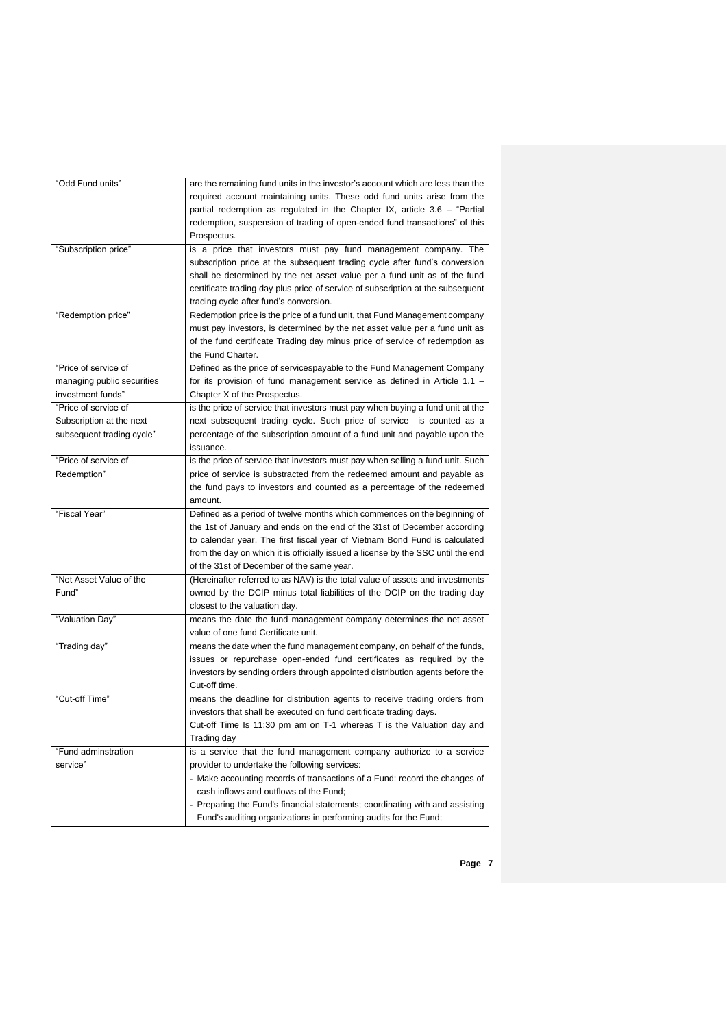| "Odd Fund units"                                                              | are the remaining fund units in the investor's account which are less than the<br>required account maintaining units. These odd fund units arise from the<br>partial redemption as regulated in the Chapter IX, article $3.6 -$ "Partial<br>redemption, suspension of trading of open-ended fund transactions" of this<br>Prospectus.                                                             |
|-------------------------------------------------------------------------------|---------------------------------------------------------------------------------------------------------------------------------------------------------------------------------------------------------------------------------------------------------------------------------------------------------------------------------------------------------------------------------------------------|
| "Subscription price"                                                          | is a price that investors must pay fund management company. The<br>subscription price at the subsequent trading cycle after fund's conversion<br>shall be determined by the net asset value per a fund unit as of the fund<br>certificate trading day plus price of service of subscription at the subsequent<br>trading cycle after fund's conversion.                                           |
| "Redemption price"                                                            | Redemption price is the price of a fund unit, that Fund Management company<br>must pay investors, is determined by the net asset value per a fund unit as<br>of the fund certificate Trading day minus price of service of redemption as<br>the Fund Charter.                                                                                                                                     |
| "Price of service of<br>managing public securities<br>investment funds"       | Defined as the price of servicespayable to the Fund Management Company<br>for its provision of fund management service as defined in Article $1.1 -$<br>Chapter X of the Prospectus.                                                                                                                                                                                                              |
| "Price of service of<br>Subscription at the next<br>subsequent trading cycle" | is the price of service that investors must pay when buying a fund unit at the<br>next subsequent trading cycle. Such price of service is counted as a<br>percentage of the subscription amount of a fund unit and payable upon the<br>issuance.                                                                                                                                                  |
| "Price of service of<br>Redemption"                                           | is the price of service that investors must pay when selling a fund unit. Such<br>price of service is substracted from the redeemed amount and payable as<br>the fund pays to investors and counted as a percentage of the redeemed<br>amount.                                                                                                                                                    |
| "Fiscal Year"                                                                 | Defined as a period of twelve months which commences on the beginning of<br>the 1st of January and ends on the end of the 31st of December according<br>to calendar year. The first fiscal year of Vietnam Bond Fund is calculated<br>from the day on which it is officially issued a license by the SSC until the end<br>of the 31st of December of the same year.                               |
| "Net Asset Value of the<br>Fund"                                              | (Hereinafter referred to as NAV) is the total value of assets and investments<br>owned by the DCIP minus total liabilities of the DCIP on the trading day<br>closest to the valuation day.                                                                                                                                                                                                        |
| "Valuation Day"                                                               | means the date the fund management company determines the net asset<br>value of one fund Certificate unit.                                                                                                                                                                                                                                                                                        |
| "Trading day"                                                                 | means the date when the fund management company, on behalf of the funds,<br>issues or repurchase open-ended fund certificates as required by the<br>investors by sending orders through appointed distribution agents before the<br>Cut-off time.                                                                                                                                                 |
| "Cut-off Time"                                                                | means the deadline for distribution agents to receive trading orders from<br>investors that shall be executed on fund certificate trading days.<br>Cut-off lime Is 11:30 pm am on 1-1 whereas I is the Valuation day and<br>Trading day                                                                                                                                                           |
| "Fund adminstration<br>service"                                               | is a service that the fund management company authorize to a service<br>provider to undertake the following services:<br>- Make accounting records of transactions of a Fund: record the changes of<br>cash inflows and outflows of the Fund;<br>- Preparing the Fund's financial statements; coordinating with and assisting<br>Fund's auditing organizations in performing audits for the Fund; |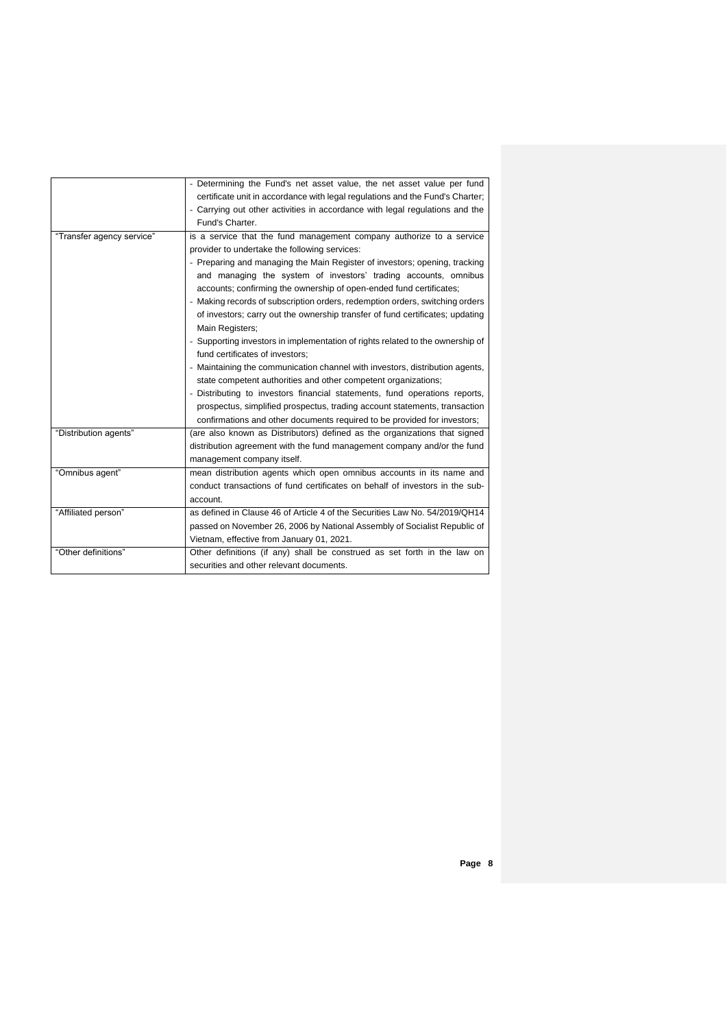|                           | - Determining the Fund's net asset value, the net asset value per fund<br>certificate unit in accordance with legal regulations and the Fund's Charter;<br>- Carrying out other activities in accordance with legal regulations and the<br>Fund's Charter. |
|---------------------------|------------------------------------------------------------------------------------------------------------------------------------------------------------------------------------------------------------------------------------------------------------|
| "Transfer agency service" | is a service that the fund management company authorize to a service                                                                                                                                                                                       |
|                           | provider to undertake the following services:                                                                                                                                                                                                              |
|                           | - Preparing and managing the Main Register of investors; opening, tracking                                                                                                                                                                                 |
|                           | and managing the system of investors' trading accounts, omnibus                                                                                                                                                                                            |
|                           | accounts; confirming the ownership of open-ended fund certificates;                                                                                                                                                                                        |
|                           | - Making records of subscription orders, redemption orders, switching orders                                                                                                                                                                               |
|                           | of investors; carry out the ownership transfer of fund certificates; updating                                                                                                                                                                              |
|                           | Main Registers;                                                                                                                                                                                                                                            |
|                           | - Supporting investors in implementation of rights related to the ownership of                                                                                                                                                                             |
|                           | fund certificates of investors:                                                                                                                                                                                                                            |
|                           | - Maintaining the communication channel with investors, distribution agents,                                                                                                                                                                               |
|                           | state competent authorities and other competent organizations;                                                                                                                                                                                             |
|                           | - Distributing to investors financial statements, fund operations reports,                                                                                                                                                                                 |
|                           | prospectus, simplified prospectus, trading account statements, transaction                                                                                                                                                                                 |
|                           | confirmations and other documents required to be provided for investors;                                                                                                                                                                                   |
| "Distribution agents"     | (are also known as Distributors) defined as the organizations that signed                                                                                                                                                                                  |
|                           | distribution agreement with the fund management company and/or the fund                                                                                                                                                                                    |
|                           | management company itself.                                                                                                                                                                                                                                 |
| "Omnibus agent"           | mean distribution agents which open omnibus accounts in its name and                                                                                                                                                                                       |
|                           | conduct transactions of fund certificates on behalf of investors in the sub-                                                                                                                                                                               |
|                           | account.                                                                                                                                                                                                                                                   |
| "Affiliated person"       | as defined in Clause 46 of Article 4 of the Securities Law No. 54/2019/QH14                                                                                                                                                                                |
|                           | passed on November 26, 2006 by National Assembly of Socialist Republic of                                                                                                                                                                                  |
|                           | Vietnam, effective from January 01, 2021.                                                                                                                                                                                                                  |
| "Other definitions"       | Other definitions (if any) shall be construed as set forth in the law on                                                                                                                                                                                   |
|                           | securities and other relevant documents.                                                                                                                                                                                                                   |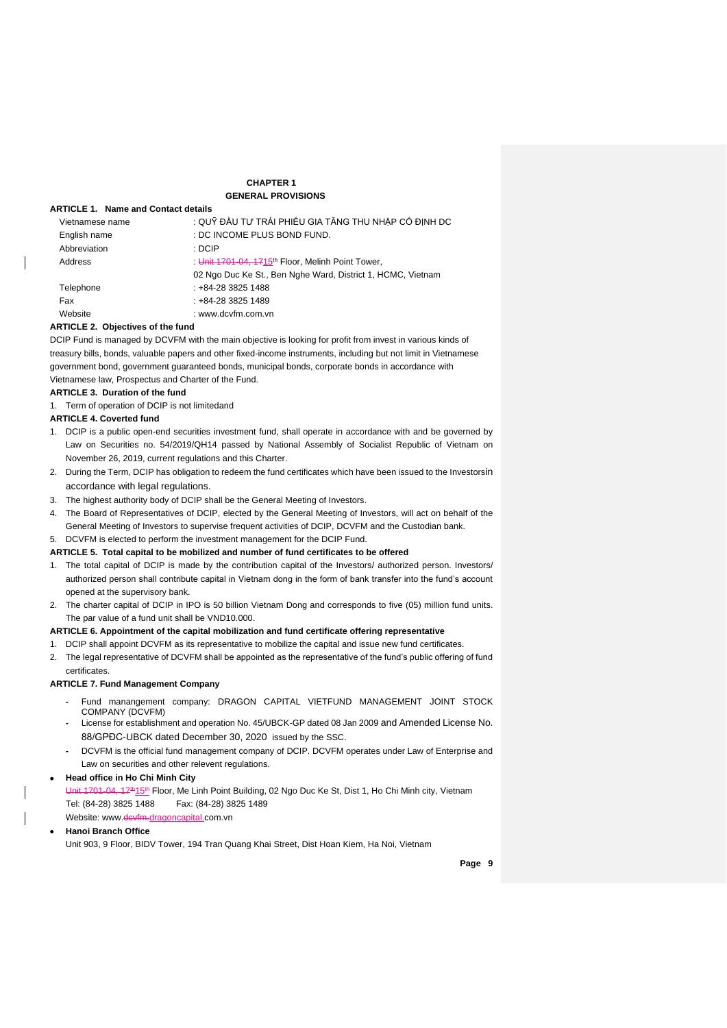## **CHAPTER 1 GENERAL PROVISIONS**

## **ARTICLE 1. Name and Contact details**

| Vietnamese name | : QUỸ ĐẦU TƯ TRÁI PHIẾU GIA TĂNG THU NHẤP CỔ ĐINH DC        |
|-----------------|-------------------------------------------------------------|
| English name    | : DC INCOME PLUS BOND FUND.                                 |
| Abbreviation    | : DCIP                                                      |
| Address         | Unit 1701-04, 1715 <sup>th</sup> Floor, Melinh Point Tower, |
|                 | 02 Ngo Duc Ke St., Ben Nghe Ward, District 1, HCMC, Vietnam |
| Telephone       | : +84-28 3825 1488                                          |
| Fax             | $: +84-2838251489$                                          |
| Website         | : www.dcvfm.com.vn                                          |

#### **ARTICLE 2. Objectives of the fund**

DCIP Fund is managed by DCVFM with the main objective is looking for profit from invest in various kinds of treasury bills, bonds, valuable papers and other fixed-income instruments, including but not limit in Vietnamese government bond, government guaranteed bonds, municipal bonds, corporate bonds in accordance with Vietnamese law, Prospectus and Charter of the Fund.

#### **ARTICLE 3. Duration of the fund**

1. Term of operation of DCIP is not limitedand

#### **ARTICLE 4. Coverted fund**

- 1. DCIP is a public open-end securities investment fund, shall operate in accordance with and be governed by Law on Securities no. 54/2019/QH14 passed by National Assembly of Socialist Republic of Vietnam on November 26, 2019, current regulations and this Charter.
- 2. During the Term, DCIP has obligation to redeem the fund certificates which have been issued to the Investorsin accordance with legal regulations.
- 3. The highest authority body of DCIP shall be the General Meeting of Investors.
- The Board of Representatives of DCIP, elected by the General Meeting of Investors, will act on behalf of the General Meeting of Investors to supervise frequent activities of DCIP, DCVFM and the Custodian bank. 5. DCVFM is elected to perform the investment management for the DCIP Fund.

### **ARTICLE 5. Total capital to be mobilized and number of fund certificates to be offered**

- 1. The total capital of DCIP is made by the contribution capital of the Investors/ authorized person. Investors/ authorized person shall contribute capital in Vietnam dong in the form of bank transfer into the fund's account opened at the supervisory bank.
- 2. The charter capital of DCIP in IPO is 50 billion Vietnam Dong and corresponds to five (05) million fund units. The par value of a fund unit shall be VND10.000.

#### **ARTICLE 6. Appointment of the capital mobilization and fund certificate offering representative**

- 1. DCIP shall appoint DCVFM as its representative to mobilize the capital and issue new fund certificates.
- 2. The legal representative of DCVFM shall be appointed as the representative of the fund's public offering of fund certificates.

#### **ARTICLE 7. Fund Management Company**

- **-** Fund manangement company: DRAGON CAPITAL VIETFUND MANAGEMENT JOINT STOCK COMPANY (DCVFM)
- **-** License for establishment and operation No. 45/UBCK-GP dated 08 Jan 2009 and Amended License No. 88/GPĐC-UBCK dated December 30, 2020 issued by the SSC.
- **-** DCVFM is the official fund management company of DCIP. DCVFM operates under Law of Enterprise and Law on securities and other relevent regulations.

#### • **Head office in Ho Chi Minh City**

Unit 1701-04, 17<sup>th</sup>15<sup>th</sup> Floor, Me Linh Point Building, 02 Ngo Duc Ke St, Dist 1, Ho Chi Minh city, Vietnam Tel: (84-28) 3825 1488 Fax: (84-28) 3825 1489

Website: [www.dcvfm.dragoncapital.com.vn](http://www.dragoncapital.com.vn/)

#### • **Hanoi Branch Office**

Unit 903, 9 Floor, BIDV Tower, 194 Tran Quang Khai Street, Dist Hoan Kiem, Ha Noi, Vietnam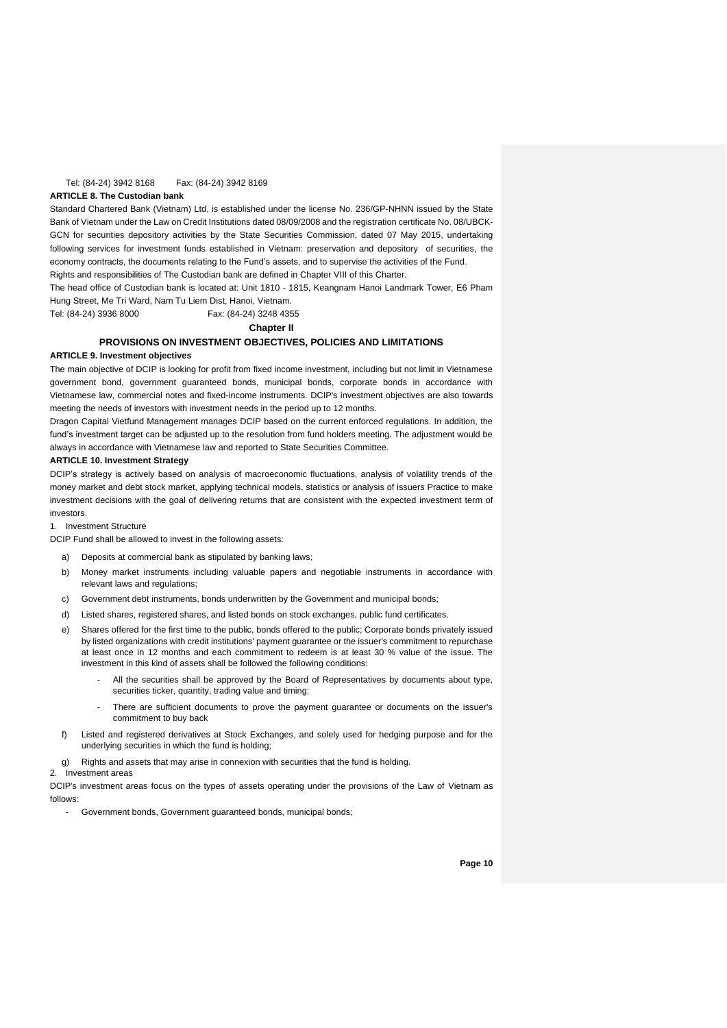## Tel: (84-24) 3942 8168 Fax: (84-24) 3942 8169

#### **ARTICLE 8. The Custodian bank**

Standard Chartered Bank (Vietnam) Ltd, is established under the license No. 236/GP-NHNN issued by the State Bank of Vietnam under the Law on Credit Institutions dated 08/09/2008 and the registration certificate No. 08/UBCK-GCN for securities depository activities by the State Securities Commission, dated 07 May 2015, undertaking following services for investment funds established in Vietnam: preservation and depository of securities, the economy contracts, the documents relating to the Fund's assets, and to supervise the activities of the Fund. Rights and responsibilities of The Custodian bank are defined in Chapter VIII of this Charter.

The head office of Custodian bank is located at: Unit 1810 - 1815, Keangnam Hanoi Landmark Tower, E6 Pham Hung Street, Me Tri Ward, Nam Tu Liem Dist, Hanoi, Vietnam.

Tel: (84-24) 3936 8000 Fax: (84-24) 3248 4355

#### **Chapter II**

#### **PROVISIONS ON INVESTMENT OBJECTIVES, POLICIES AND LIMITATIONS**

#### **ARTICLE 9. Investment objectives**

The main objective of DCIP is looking for profit from fixed income investment, including but not limit in Vietnamese government bond, government guaranteed bonds, municipal bonds, corporate bonds in accordance with Vietnamese law, commercial notes and fixed-income instruments. DCIP's investment objectives are also towards meeting the needs of investors with investment needs in the period up to 12 months.

Dragon Capital Vietfund Management manages DCIP based on the current enforced regulations. In addition, the fund's investment target can be adjusted up to the resolution from fund holders meeting. The adjustment would be always in accordance with Vietnamese law and reported to State Securities Committee.

#### **ARTICLE 10. Investment Strategy**

DCIP's strategy is actively based on analysis of macroeconomic fluctuations, analysis of volatility trends of the money market and debt stock market, applying technical models, statistics or analysis of issuers Practice to make investment decisions with the goal of delivering returns that are consistent with the expected investment term of investors.

1. Investment Structure

DCIP Fund shall be allowed to invest in the following assets:

- a) Deposits at commercial bank as stipulated by banking laws;
- b) Money market instruments including valuable papers and negotiable instruments in accordance with relevant laws and regulations;
- c) Government debt instruments, bonds underwritten by the Government and municipal bonds;
- d) Listed shares, registered shares, and listed bonds on stock exchanges, public fund certificates.
- e) Shares offered for the first time to the public, bonds offered to the public; Corporate bonds privately issued by listed organizations with credit institutions' payment guarantee or the issuer's commitment to repurchase at least once in 12 months and each commitment to redeem is at least 30 % value of the issue. The investment in this kind of assets shall be followed the following conditions:
	- All the securities shall be approved by the Board of Representatives by documents about type, securities ticker, quantity, trading value and timing;
	- There are sufficient documents to prove the payment guarantee or documents on the issuer's commitment to buy back
- f) Listed and registered derivatives at Stock Exchanges, and solely used for hedging purpose and for the underlying securities in which the fund is holding;
- g) Rights and assets that may arise in connexion with securities that the fund is holding.

#### Investment areas

DCIP's investment areas focus on the types of assets operating under the provisions of the Law of Vietnam as follows:

- Government bonds, Government guaranteed bonds, municipal bonds;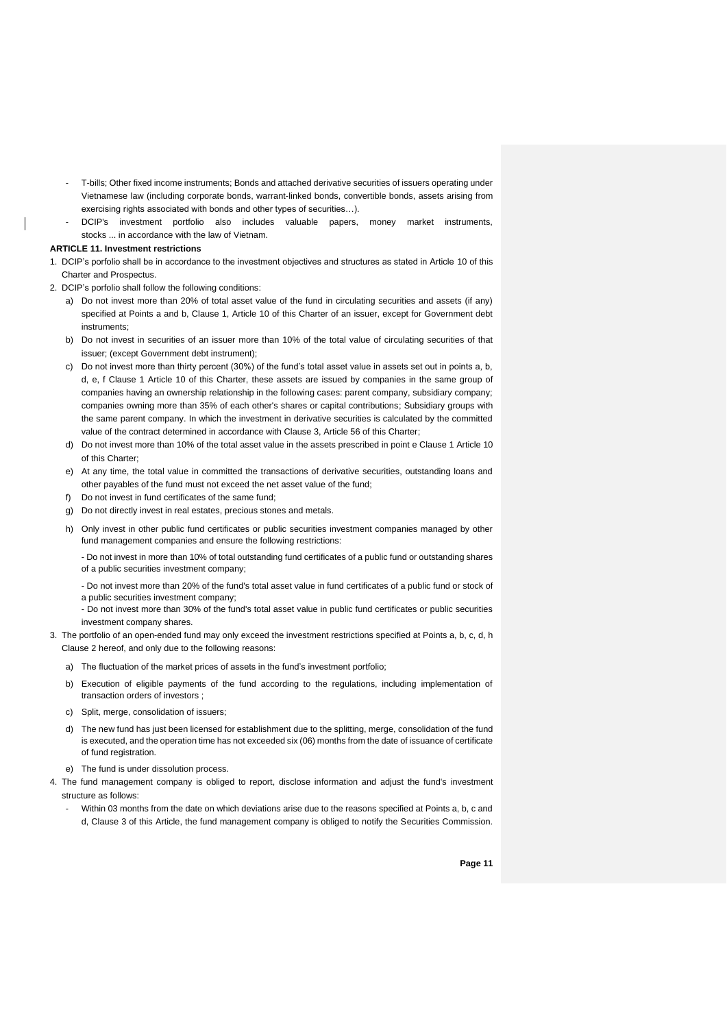- T-bills; Other fixed income instruments; Bonds and attached derivative securities of issuers operating under Vietnamese law (including corporate bonds, warrant-linked bonds, convertible bonds, assets arising from exercising rights associated with bonds and other types of securities…).
- DCIP's investment portfolio also includes valuable papers, money market instruments, stocks ... in accordance with the law of Vietnam.

#### **ARTICLE 11. Investment restrictions**

- 1. DCIP's porfolio shall be in accordance to the investment objectives and structures as stated in Article 10 of this Charter and Prospectus.
- 2. DCIP's porfolio shall follow the following conditions:
	- a) Do not invest more than 20% of total asset value of the fund in circulating securities and assets (if any) specified at Points a and b, Clause 1, Article 10 of this Charter of an issuer, except for Government debt instruments;
	- b) Do not invest in securities of an issuer more than 10% of the total value of circulating securities of that issuer; (except Government debt instrument);
	- c) Do not invest more than thirty percent (30%) of the fund's total asset value in assets set out in points a, b, d, e, f Clause 1 Article 10 of this Charter, these assets are issued by companies in the same group of companies having an ownership relationship in the following cases: parent company, subsidiary company; companies owning more than 35% of each other's shares or capital contributions; Subsidiary groups with the same parent company. In which the investment in derivative securities is calculated by the committed value of the contract determined in accordance with Clause 3, Article 56 of this Charter;
	- d) Do not invest more than 10% of the total asset value in the assets prescribed in point e Clause 1 Article 10 of this Charter;
	- e) At any time, the total value in committed the transactions of derivative securities, outstanding loans and other payables of the fund must not exceed the net asset value of the fund;
	- f) Do not invest in fund certificates of the same fund;
	- g) Do not directly invest in real estates, precious stones and metals.
	- h) Only invest in other public fund certificates or public securities investment companies managed by other fund management companies and ensure the following restrictions:
		- Do not invest in more than 10% of total outstanding fund certificates of a public fund or outstanding shares of a public securities investment company;
		- Do not invest more than 20% of the fund's total asset value in fund certificates of a public fund or stock of a public securities investment company;
		- Do not invest more than 30% of the fund's total asset value in public fund certificates or public securities investment company shares.
- 3. The portfolio of an open-ended fund may only exceed the investment restrictions specified at Points a, b, c, d, h Clause 2 hereof, and only due to the following reasons:
	- a) The fluctuation of the market prices of assets in the fund's investment portfolio;
	- b) Execution of eligible payments of the fund according to the regulations, including implementation of transaction orders of investors ;
	- c) Split, merge, consolidation of issuers;
	- d) The new fund has just been licensed for establishment due to the splitting, merge, consolidation of the fund is executed, and the operation time has not exceeded six (06) months from the date of issuance of certificate of fund registration.
- e) The fund is under dissolution process.
- 4. The fund management company is obliged to report, disclose information and adjust the fund's investment structure as follows:
	- Within 03 months from the date on which deviations arise due to the reasons specified at Points a, b, c and d, Clause 3 of this Article, the fund management company is obliged to notify the Securities Commission.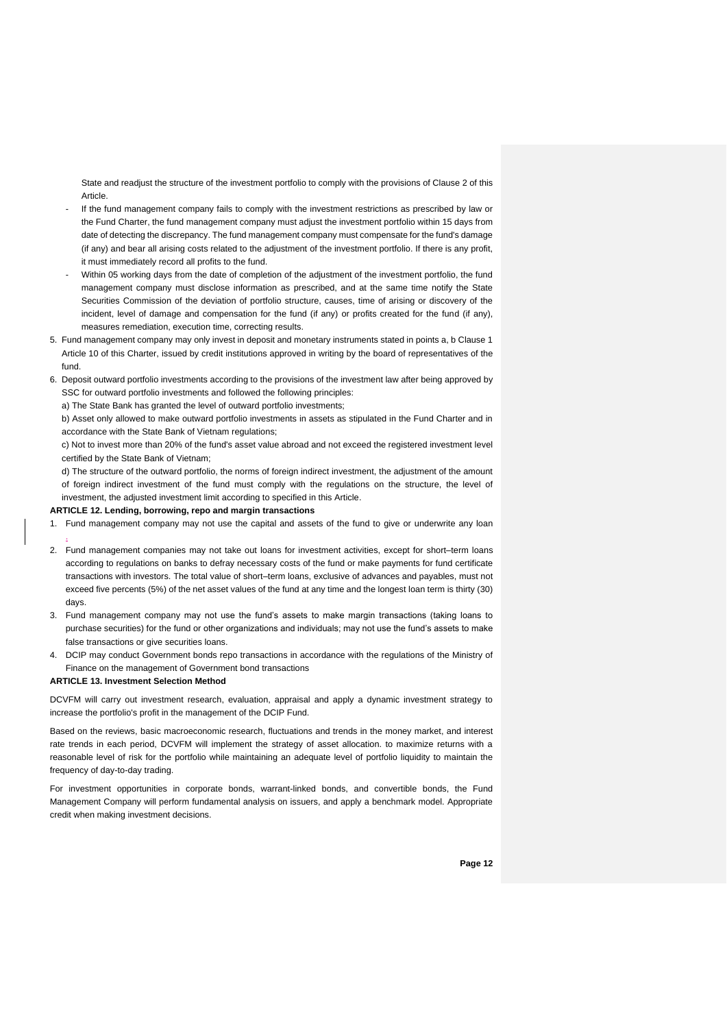State and readjust the structure of the investment portfolio to comply with the provisions of Clause 2 of this Article.

- If the fund management company fails to comply with the investment restrictions as prescribed by law or the Fund Charter, the fund management company must adjust the investment portfolio within 15 days from date of detecting the discrepancy. The fund management company must compensate for the fund's damage (if any) and bear all arising costs related to the adjustment of the investment portfolio. If there is any profit, it must immediately record all profits to the fund.
- Within 05 working days from the date of completion of the adjustment of the investment portfolio, the fund management company must disclose information as prescribed, and at the same time notify the State Securities Commission of the deviation of portfolio structure, causes, time of arising or discovery of the incident, level of damage and compensation for the fund (if any) or profits created for the fund (if any), measures remediation, execution time, correcting results.
- 5. Fund management company may only invest in deposit and monetary instruments stated in points a, b Clause 1 Article 10 of this Charter, issued by credit institutions approved in writing by the board of representatives of the fund.
- 6. Deposit outward portfolio investments according to the provisions of the investment law after being approved by SSC for outward portfolio investments and followed the following principles:
	- a) The State Bank has granted the level of outward portfolio investments;

b) Asset only allowed to make outward portfolio investments in assets as stipulated in the Fund Charter and in accordance with the State Bank of Vietnam regulations;

c) Not to invest more than 20% of the fund's asset value abroad and not exceed the registered investment level certified by the State Bank of Vietnam;

d) The structure of the outward portfolio, the norms of foreign indirect investment, the adjustment of the amount of foreign indirect investment of the fund must comply with the regulations on the structure, the level of investment, the adjusted investment limit according to specified in this Article.

#### **ARTICLE 12. Lending, borrowing, repo and margin transactions**

- 1. Fund management company may not use the capital and assets of the fund to give or underwrite any loan
- 2. Fund management companies may not take out loans for investment activities, except for short–term loans according to regulations on banks to defray necessary costs of the fund or make payments for fund certificate transactions with investors. The total value of short–term loans, exclusive of advances and payables, must not exceed five percents (5%) of the net asset values of the fund at any time and the longest loan term is thirty (30) days.
- 3. Fund management company may not use the fund's assets to make margin transactions (taking loans to purchase securities) for the fund or other organizations and individuals; may not use the fund's assets to make false transactions or give securities loans.
- 4. DCIP may conduct Government bonds repo transactions in accordance with the regulations of the Ministry of Finance on the management of Government bond transactions

#### **ARTICLE 13. Investment Selection Method**

.

DCVFM will carry out investment research, evaluation, appraisal and apply a dynamic investment strategy to increase the portfolio's profit in the management of the DCIP Fund.

Based on the reviews, basic macroeconomic research, fluctuations and trends in the money market, and interest rate trends in each period, DCVFM will implement the strategy of asset allocation. to maximize returns with a reasonable level of risk for the portfolio while maintaining an adequate level of portfolio liquidity to maintain the frequency of day-to-day trading.

For investment opportunities in corporate bonds, warrant-linked bonds, and convertible bonds, the Fund Management Company will perform fundamental analysis on issuers, and apply a benchmark model. Appropriate credit when making investment decisions.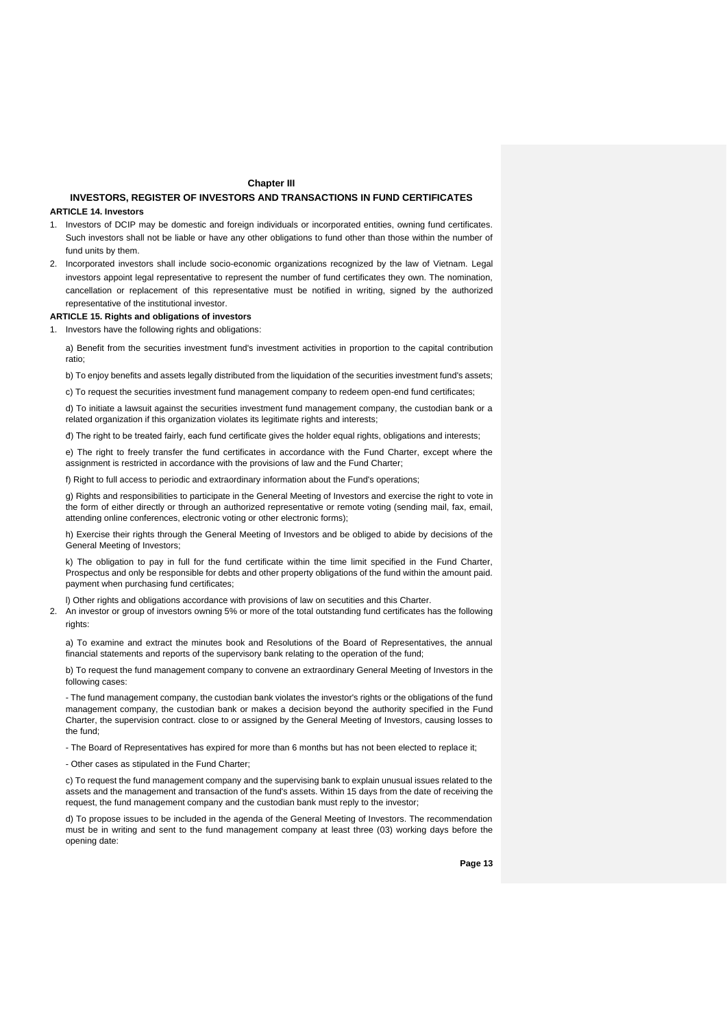#### **Chapter III**

## **INVESTORS, REGISTER OF INVESTORS AND TRANSACTIONS IN FUND CERTIFICATES**

#### **ARTICLE 14. Investors**

- 1. Investors of DCIP may be domestic and foreign individuals or incorporated entities, owning fund certificates. Such investors shall not be liable or have any other obligations to fund other than those within the number of fund units by them.
- 2. Incorporated investors shall include socio-economic organizations recognized by the law of Vietnam. Legal investors appoint legal representative to represent the number of fund certificates they own. The nomination, cancellation or replacement of this representative must be notified in writing, signed by the authorized representative of the institutional investor.

#### **ARTICLE 15. Rights and obligations of investors**

1. Investors have the following rights and obligations:

a) Benefit from the securities investment fund's investment activities in proportion to the capital contribution ratio;

b) To enjoy benefits and assets legally distributed from the liquidation of the securities investment fund's assets;

c) To request the securities investment fund management company to redeem open-end fund certificates;

d) To initiate a lawsuit against the securities investment fund management company, the custodian bank or a related organization if this organization violates its legitimate rights and interests;

đ) The right to be treated fairly, each fund certificate gives the holder equal rights, obligations and interests;

e) The right to freely transfer the fund certificates in accordance with the Fund Charter, except where the assignment is restricted in accordance with the provisions of law and the Fund Charter;

f) Right to full access to periodic and extraordinary information about the Fund's operations;

g) Rights and responsibilities to participate in the General Meeting of Investors and exercise the right to vote in the form of either directly or through an authorized representative or remote voting (sending mail, fax, email, attending online conferences, electronic voting or other electronic forms);

h) Exercise their rights through the General Meeting of Investors and be obliged to abide by decisions of the General Meeting of Investors;

k) The obligation to pay in full for the fund certificate within the time limit specified in the Fund Charter, Prospectus and only be responsible for debts and other property obligations of the fund within the amount paid. payment when purchasing fund certificates;

l) Other rights and obligations accordance with provisions of law on secutities and this Charter.

2. An investor or group of investors owning 5% or more of the total outstanding fund certificates has the following rights:

a) To examine and extract the minutes book and Resolutions of the Board of Representatives, the annual financial statements and reports of the supervisory bank relating to the operation of the fund;

b) To request the fund management company to convene an extraordinary General Meeting of Investors in the following cases:

- The fund management company, the custodian bank violates the investor's rights or the obligations of the fund management company, the custodian bank or makes a decision beyond the authority specified in the Fund Charter, the supervision contract. close to or assigned by the General Meeting of Investors, causing losses to the fund;

- The Board of Representatives has expired for more than 6 months but has not been elected to replace it;

- Other cases as stipulated in the Fund Charter;

c) To request the fund management company and the supervising bank to explain unusual issues related to the assets and the management and transaction of the fund's assets. Within 15 days from the date of receiving the request, the fund management company and the custodian bank must reply to the investor;

d) To propose issues to be included in the agenda of the General Meeting of Investors. The recommendation must be in writing and sent to the fund management company at least three (03) working days before the opening date: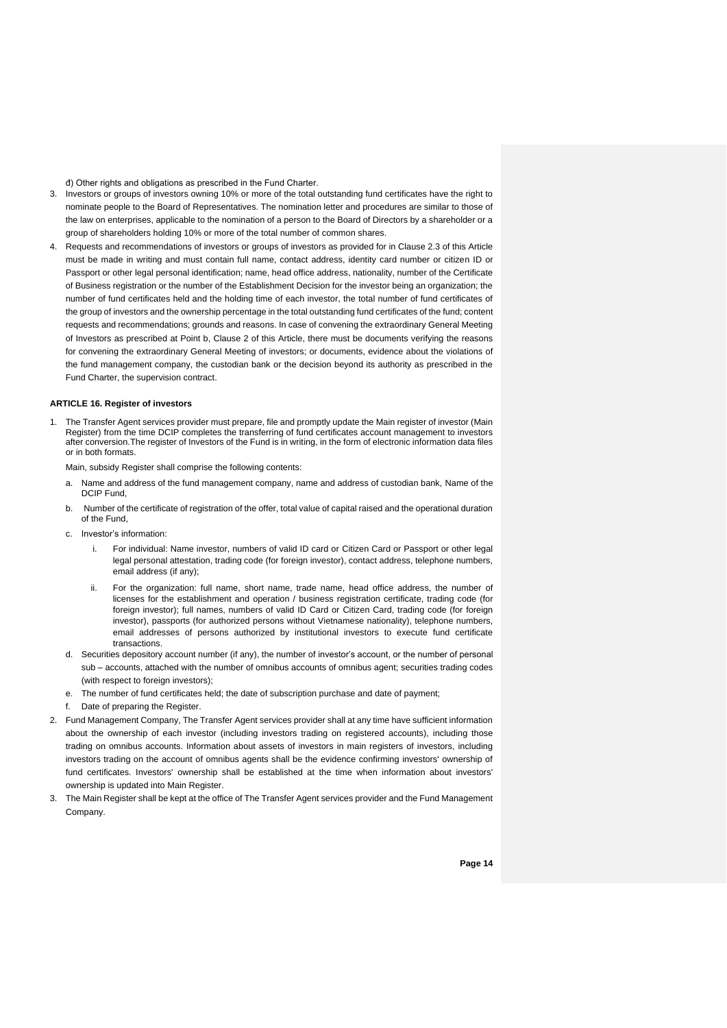đ) Other rights and obligations as prescribed in the Fund Charter.

- 3. Investors or groups of investors owning 10% or more of the total outstanding fund certificates have the right to nominate people to the Board of Representatives. The nomination letter and procedures are similar to those of the law on enterprises, applicable to the nomination of a person to the Board of Directors by a shareholder or a group of shareholders holding 10% or more of the total number of common shares.
- 4. Requests and recommendations of investors or groups of investors as provided for in Clause 2.3 of this Article must be made in writing and must contain full name, contact address, identity card number or citizen ID or Passport or other legal personal identification; name, head office address, nationality, number of the Certificate of Business registration or the number of the Establishment Decision for the investor being an organization; the number of fund certificates held and the holding time of each investor, the total number of fund certificates of the group of investors and the ownership percentage in the total outstanding fund certificates of the fund; content requests and recommendations; grounds and reasons. In case of convening the extraordinary General Meeting of Investors as prescribed at Point b, Clause 2 of this Article, there must be documents verifying the reasons for convening the extraordinary General Meeting of investors; or documents, evidence about the violations of the fund management company, the custodian bank or the decision beyond its authority as prescribed in the Fund Charter, the supervision contract.

#### **ARTICLE 16. Register of investors**

1. The Transfer Agent services provider must prepare, file and promptly update the Main register of investor (Main Register) from the time DCIP completes the transferring of fund certificates account management to investors after conversion.The register of Investors of the Fund is in writing, in the form of electronic information data files or in both formats.

Main, subsidy Register shall comprise the following contents:

- a. Name and address of the fund management company, name and address of custodian bank, Name of the DCIP Fund,
- b. Number of the certificate of registration of the offer, total value of capital raised and the operational duration of the Fund,
- c. Investor's information:
	- i. For individual: Name investor, numbers of valid ID card or [Citizen Card](https://www.citizencard.com/) or Passport or other legal legal personal attestation, trading code (for foreign investor), contact address, telephone numbers, email address (if any);
	- ii. For the organization: full name, short name, trade name, head office address, the number of licenses for the establishment and operation / business registration certificate, trading code (for foreign investor); full names, numbers of valid ID Card or [Citizen Card,](https://www.citizencard.com/) trading code (for foreign investor), passports (for authorized persons without Vietnamese nationality), telephone numbers, email addresses of persons authorized by institutional investors to execute fund certificate transactions.
- d. Securities depository account number (if any), the number of investor's account, or the number of personal sub – accounts, attached with the number of omnibus accounts of omnibus agent; securities trading codes (with respect to foreign investors);
- e. The number of fund certificates held; the date of subscription purchase and date of payment;
- f. Date of preparing the Register.
- 2. Fund Management Company, The Transfer Agent services provider shall at any time have sufficient information about the ownership of each investor (including investors trading on registered accounts), including those trading on omnibus accounts. Information about assets of investors in main registers of investors, including investors trading on the account of omnibus agents shall be the evidence confirming investors' ownership of fund certificates. Investors' ownership shall be established at the time when information about investors' ownership is updated into Main Register.
- 3. The Main Register shall be kept at the office of The Transfer Agent services provider and the Fund Management Company.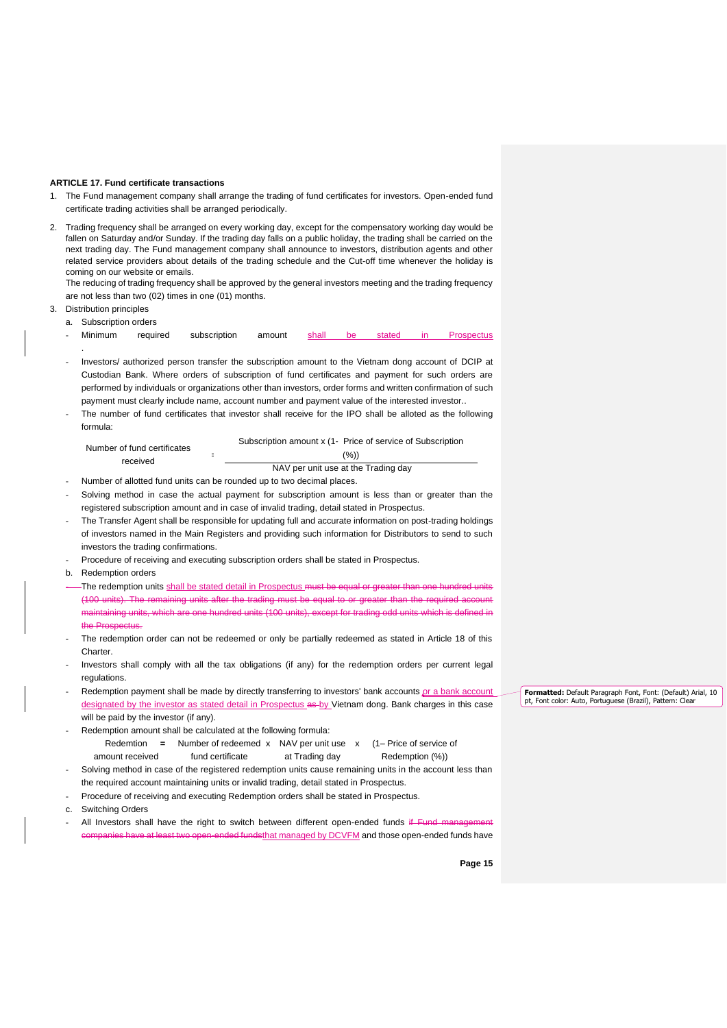#### **ARTICLE 17. Fund certificate transactions**

- 1. The Fund management company shall arrange the trading of fund certificates for investors. Open-ended fund certificate trading activities shall be arranged periodically.
- 2. Trading frequency shall be arranged on every working day, except for the compensatory working day would be fallen on Saturday and/or Sunday. If the trading day falls on a public holiday, the trading shall be carried on the next trading day. The Fund management company shall announce to investors, distribution agents and other related service providers about details of the trading schedule and the Cut-off time whenever the holiday is coming on our website or emails.

The reducing of trading frequency shall be approved by the general investors meeting and the trading frequency are not less than two (02) times in one (01) months.

## 3. Distribution principles

.

a. Subscription orders

- Minimum required subscription amount <u>shall be stated in Prospectus</u>
- Investors/ authorized person transfer the subscription amount to the Vietnam dong account of DCIP at Custodian Bank. Where orders of subscription of fund certificates and payment for such orders are performed by individuals or organizations other than investors, order forms and written confirmation of such payment must clearly include name, account number and payment value of the interested investor..
- The number of fund certificates that investor shall receive for the IPO shall be alloted as the following formula:

|                             | Subscription amount x (1- Price of service of Subscription |
|-----------------------------|------------------------------------------------------------|
| Number of fund certificates | (%)                                                        |
| received                    | NAV per unit use at the Trading day                        |
|                             |                                                            |

- Number of allotted fund units can be rounded up to two decimal places.
- Solving method in case the actual payment for subscription amount is less than or greater than the registered subscription amount and in case of invalid trading, detail stated in Prospectus.
- The Transfer Agent shall be responsible for updating full and accurate information on post-trading holdings of investors named in the Main Registers and providing such information for Distributors to send to such investors the trading confirmations.
- Procedure of receiving and executing subscription orders shall be stated in Prospectus.
- b. Redemption orders
- The redemption units shall be stated detail in Prospectus must be equal or greater than one hundred units (100 units). The remaining units after the trading must be equal to or greater than the required account maintaining units, which are one hundred units (100 units), except for trading odd units which is defined in the Prosp
- The redemption order can not be redeemed or only be partially redeemed as stated in Article 18 of this Charter.
- Investors shall comply with all the tax obligations (if any) for the redemption orders per current legal regulations.
- Redemption payment shall be made by directly transferring to investors' bank accounts or a bank account designated by the investor as stated detail in Prospectus as by Vietnam dong. Bank charges in this case will be paid by the investor (if any).
- Redemption amount shall be calculated at the following formula: Redemtion = Number of redeemed x NAV per unit use x (1– Price of service of
	- amount received fund certificate at Trading day Redemption (%))
- Solving method in case of the registered redemption units cause remaining units in the account less than the required account maintaining units or invalid trading, detail stated in Prospectus.
- Procedure of receiving and executing Redemption orders shall be stated in Prospectus.
- c. Switching Orders
- All Investors shall have the right to switch between different open-ended funds if Fund m nies have at least two open-ended fundsthat managed by DCVFM and those open-ended funds have

**Page 15**

**Formatted:** Default Paragraph Font, Font: (Default) Arial, 10 pt, Font color: Auto, Portuguese (Brazil), Pattern: Clear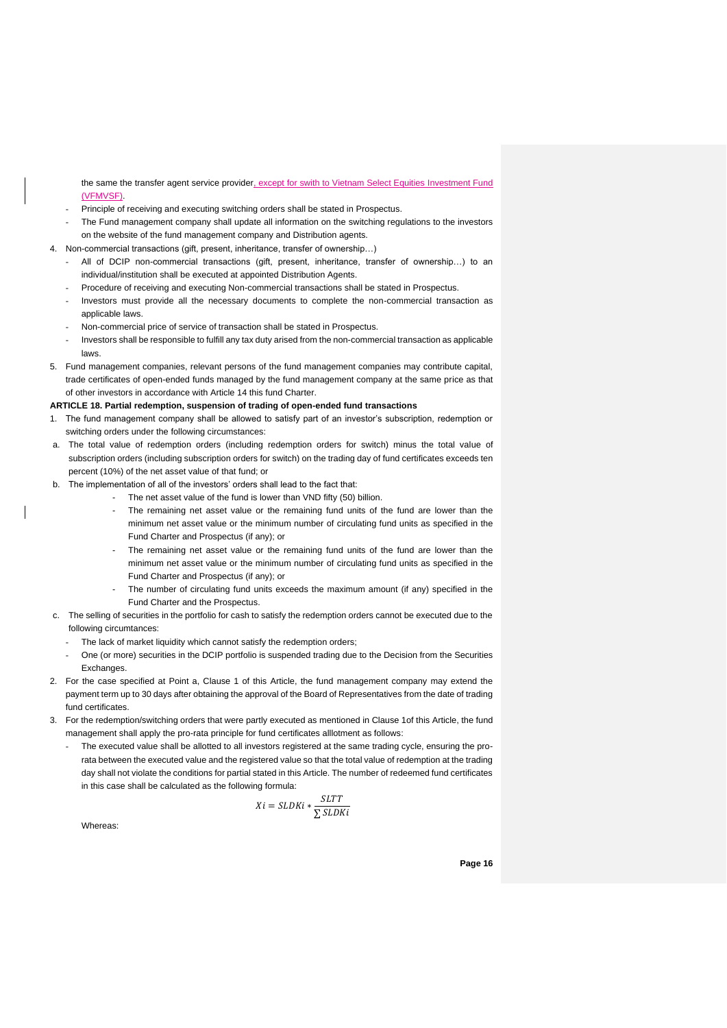the same the transfer agent service provider, except for swith to Vietnam Select Equities Investment Fund (VFMVSF).

- Principle of receiving and executing switching orders shall be stated in Prospectus.
- The Fund management company shall update all information on the switching regulations to the investors on the website of the fund management company and Distribution agents.
- 4. Non-commercial transactions (gift, present, inheritance, transfer of ownership…)
	- All of DCIP non-commercial transactions (gift, present, inheritance, transfer of ownership...) to an individual/institution shall be executed at appointed Distribution Agents.
	- Procedure of receiving and executing Non-commercial transactions shall be stated in Prospectus.
	- Investors must provide all the necessary documents to complete the non-commercial transaction as applicable laws.
	- Non-commercial price of service of transaction shall be stated in Prospectus.
	- Investors shall be responsible to fulfill any tax duty arised from the non-commercial transaction as applicable laws.
- 5. Fund management companies, relevant persons of the fund management companies may contribute capital, trade certificates of open-ended funds managed by the fund management company at the same price as that of other investors in accordance with Article 14 this fund Charter.

#### **ARTICLE 18. Partial redemption, suspension of trading of open-ended fund transactions**

- 1. The fund management company shall be allowed to satisfy part of an investor's subscription, redemption or switching orders under the following circumstances:
- a. The total value of redemption orders (including redemption orders for switch) minus the total value of subscription orders (including subscription orders for switch) on the trading day of fund certificates exceeds ten percent (10%) of the net asset value of that fund; or
- b. The implementation of all of the investors' orders shall lead to the fact that:
	- The net asset value of the fund is lower than VND fifty (50) billion.
	- The remaining net asset value or the remaining fund units of the fund are lower than the minimum net asset value or the minimum number of circulating fund units as specified in the Fund Charter and Prospectus (if any); or
	- The remaining net asset value or the remaining fund units of the fund are lower than the minimum net asset value or the minimum number of circulating fund units as specified in the Fund Charter and Prospectus (if any); or
	- The number of circulating fund units exceeds the maximum amount (if any) specified in the Fund Charter and the Prospectus.
- c. The selling of securities in the portfolio for cash to satisfy the redemption orders cannot be executed due to the following circumtances:
	- The lack of market liquidity which cannot satisfy the redemption orders;
- One (or more) securities in the DCIP portfolio is suspended trading due to the Decision from the Securities Exchanges.
- 2. For the case specified at Point a, Clause 1 of this Article, the fund management company may extend the payment term up to 30 days after obtaining the approval of the Board of Representatives from the date of trading fund certificates.
- 3. For the redemption/switching orders that were partly executed as mentioned in Clause 1of this Article, the fund management shall apply the pro-rata principle for fund certificates alllotment as follows:
	- The executed value shall be allotted to all investors registered at the same trading cycle, ensuring the prorata between the executed value and the registered value so that the total value of redemption at the trading day shall not violate the conditions for partial stated in this Article. The number of redeemed fund certificates in this case shall be calculated as the following formula:

$$
Xi = SLDKi * \frac{SLTT}{\sum SLDKi}
$$

Whereas: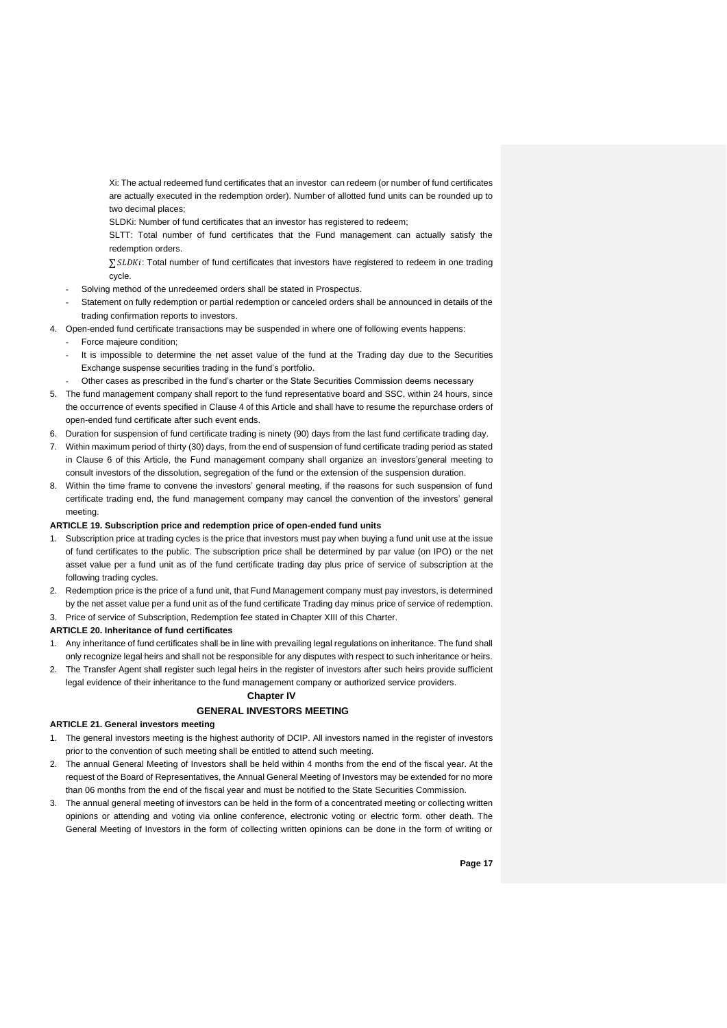Xi: The actual redeemed fund certificates that an investor can redeem (or number of fund certificates are actually executed in the redemption order). Number of allotted fund units can be rounded up to two decimal places;

SLDKi: Number of fund certificates that an investor has registered to redeem;

SLTT: Total number of fund certificates that the Fund management can actually satisfy the redemption orders.

∑ SLDKi: Total number of fund certificates that investors have registered to redeem in one trading cycle.

- Solving method of the unredeemed orders shall be stated in Prospectus.
- Statement on fully redemption or partial redemption or canceled orders shall be announced in details of the trading confirmation reports to investors.
- 4. Open-ended fund certificate transactions may be suspended in where one of following events happens:
	- Force majeure condition;
	- It is impossible to determine the net asset value of the fund at the Trading day due to the Securities Exchange suspense securities trading in the fund's portfolio.
- Other cases as prescribed in the fund's charter or the State Securities Commission deems necessary
- 5. The fund management company shall report to the fund representative board and SSC, within 24 hours, since the occurrence of events specified in Clause 4 of this Article and shall have to resume the repurchase orders of open-ended fund certificate after such event ends.
- 6. Duration for suspension of fund certificate trading is ninety (90) days from the last fund certificate trading day.
- 7. Within maximum period of thirty (30) days, from the end of suspension of fund certificate trading period as stated in Clause 6 of this Article, the Fund management company shall organize an investors'general meeting to consult investors of the dissolution, segregation of the fund or the extension of the suspension duration.
- 8. Within the time frame to convene the investors' general meeting, if the reasons for such suspension of fund certificate trading end, the fund management company may cancel the convention of the investors' general meeting.

#### **ARTICLE 19. Subscription price and redemption price of open-ended fund units**

- 1. Subscription price at trading cycles is the price that investors must pay when buying a fund unit use at the issue of fund certificates to the public. The subscription price shall be determined by par value (on IPO) or the net asset value per a fund unit as of the fund certificate trading day plus price of service of subscription at the following trading cycles.
- 2. Redemption price is the price of a fund unit, that Fund Management company must pay investors, is determined by the net asset value per a fund unit as of the fund certificate Trading day minus price of service of redemption.
- 3. Price of service of Subscription, Redemption fee stated in Chapter XIII of this Charter.

#### **ARTICLE 20. Inheritance of fund certificates**

- 1. Any inheritance of fund certificates shall be in line with prevailing legal regulations on inheritance. The fund shall only recognize legal heirs and shall not be responsible for any disputes with respect to such inheritance or heirs.
- 2. The Transfer Agent shall register such legal heirs in the register of investors after such heirs provide sufficient legal evidence of their inheritance to the fund management company or authorized service providers.

#### **Chapter IV**

## **GENERAL INVESTORS MEETING**

#### **ARTICLE 21. General investors meeting**

- 1. The general investors meeting is the highest authority of DCIP. All investors named in the register of investors prior to the convention of such meeting shall be entitled to attend such meeting.
- 2. The annual General Meeting of Investors shall be held within 4 months from the end of the fiscal year. At the request of the Board of Representatives, the Annual General Meeting of Investors may be extended for no more than 06 months from the end of the fiscal year and must be notified to the State Securities Commission.
- 3. The annual general meeting of investors can be held in the form of a concentrated meeting or collecting written opinions or attending and voting via online conference, electronic voting or electric form. other death. The General Meeting of Investors in the form of collecting written opinions can be done in the form of writing or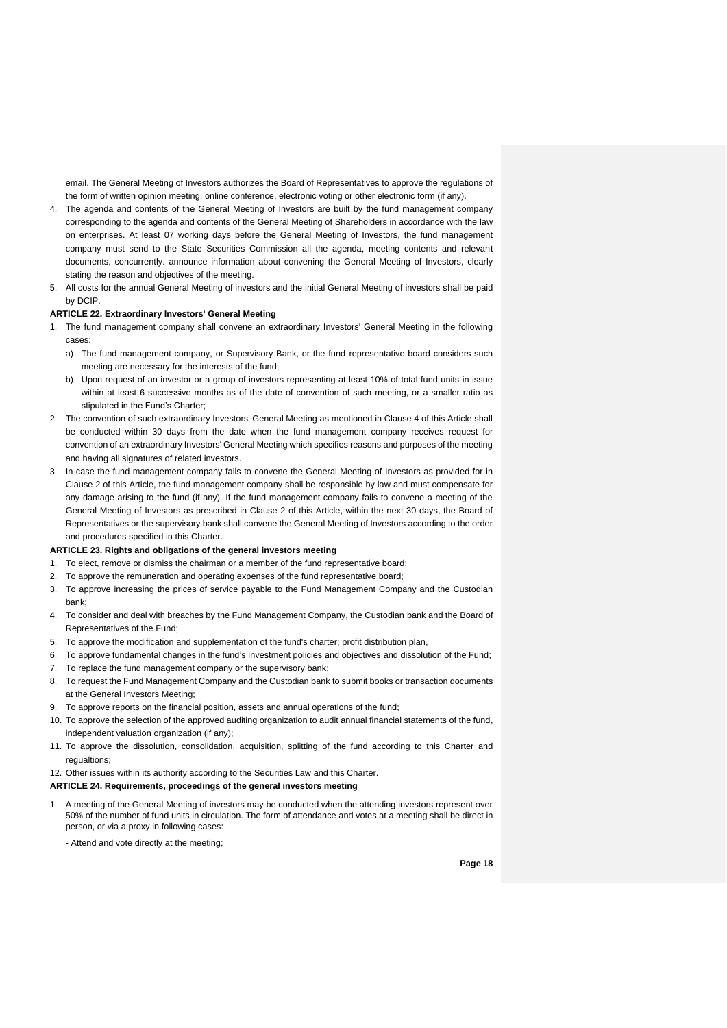email. The General Meeting of Investors authorizes the Board of Representatives to approve the regulations of the form of written opinion meeting, online conference, electronic voting or other electronic form (if any).

- 4. The agenda and contents of the General Meeting of Investors are built by the fund management company corresponding to the agenda and contents of the General Meeting of Shareholders in accordance with the law on enterprises. At least 07 working days before the General Meeting of Investors, the fund management company must send to the State Securities Commission all the agenda, meeting contents and relevant documents, concurrently. announce information about convening the General Meeting of Investors, clearly stating the reason and objectives of the meeting.
- 5. All costs for the annual General Meeting of investors and the initial General Meeting of investors shall be paid by DCIP.

#### **ARTICLE 22. Extraordinary Investors' General Meeting**

- 1. The fund management company shall convene an extraordinary Investors' General Meeting in the following cases:
	- a) The fund management company, or Supervisory Bank, or the fund representative board considers such meeting are necessary for the interests of the fund;
	- b) Upon request of an investor or a group of investors representing at least 10% of total fund units in issue within at least 6 successive months as of the date of convention of such meeting, or a smaller ratio as stipulated in the Fund's Charter;
- 2. The convention of such extraordinary Investors' General Meeting as mentioned in Clause 4 of this Article shall be conducted within 30 days from the date when the fund management company receives request for convention of an extraordinary Investors' General Meeting which specifies reasons and purposes of the meeting and having all signatures of related investors.
- 3. In case the fund management company fails to convene the General Meeting of Investors as provided for in Clause 2 of this Article, the fund management company shall be responsible by law and must compensate for any damage arising to the fund (if any). If the fund management company fails to convene a meeting of the General Meeting of Investors as prescribed in Clause 2 of this Article, within the next 30 days, the Board of Representatives or the supervisory bank shall convene the General Meeting of Investors according to the order and procedures specified in this Charter.

## **ARTICLE 23. Rights and obligations of the general investors meeting**

- 1. To elect, remove or dismiss the chairman or a member of the fund representative board;
- 2. To approve the remuneration and operating expenses of the fund representative board;
- 3. To approve increasing the prices of service payable to the Fund Management Company and the Custodian bank;
- 4. To consider and deal with breaches by the Fund Management Company, the Custodian bank and the Board of Representatives of the Fund;
- 5. To approve the modification and supplementation of the fund's charter; profit distribution plan,
- 6. To approve fundamental changes in the fund's investment policies and objectives and dissolution of the Fund;
- 7. To replace the fund management company or the supervisory bank;
- 8. To request the Fund Management Company and the Custodian bank to submit books or transaction documents at the General Investors Meeting;
- 9. To approve reports on the financial position, assets and annual operations of the fund;
- 10. To approve the selection of the approved auditing organization to audit annual financial statements of the fund, independent valuation organization (if any);
- 11. To approve the dissolution, consolidation, acquisition, splitting of the fund according to this Charter and regualtions:

#### 12. Other issues within its authority according to the Securities Law and this Charter.

#### **ARTICLE 24. Requirements, proceedings of the general investors meeting**

- 1. A meeting of the General Meeting of investors may be conducted when the attending investors represent over 50% of the number of fund units in circulation. The form of attendance and votes at a meeting shall be direct in person, or via a proxy in following cases:
	- Attend and vote directly at the meeting;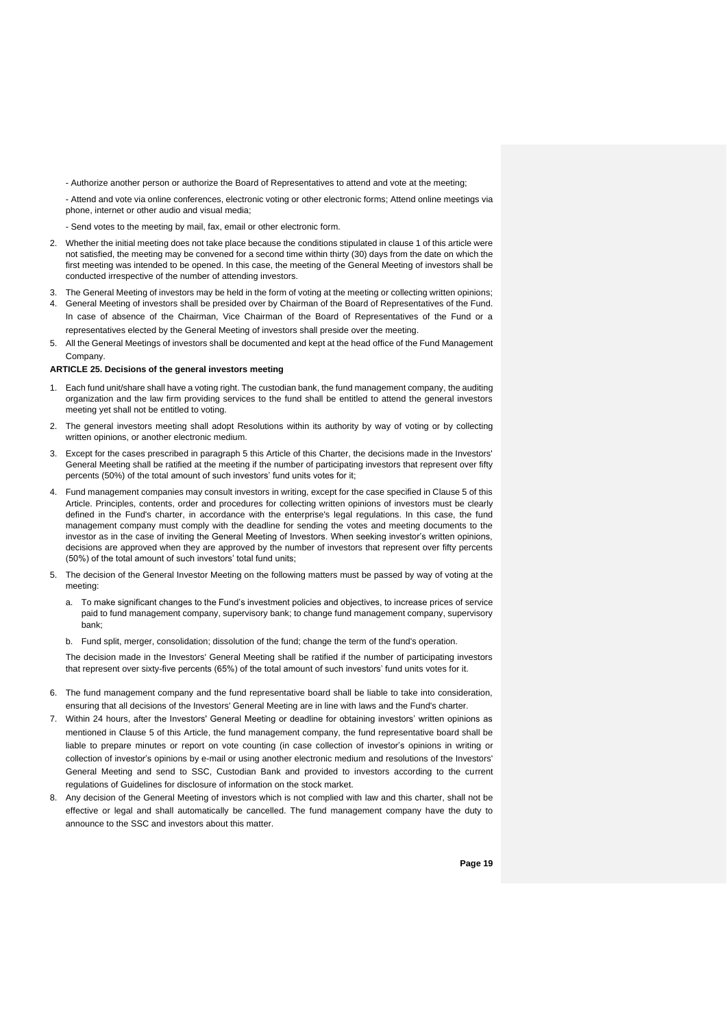- Authorize another person or authorize the Board of Representatives to attend and vote at the meeting;

- Attend and vote via online conferences, electronic voting or other electronic forms; Attend online meetings via phone, internet or other audio and visual media;

- Send votes to the meeting by mail, fax, email or other electronic form.

- 2. Whether the initial meeting does not take place because the conditions stipulated in clause 1 of this article were not satisfied, the meeting may be convened for a second time within thirty (30) days from the date on which the first meeting was intended to be opened. In this case, the meeting of the General Meeting of investors shall be conducted irrespective of the number of attending investors.
- 3. The General Meeting of investors may be held in the form of voting at the meeting or collecting written opinions;
- 4. General Meeting of investors shall be presided over by Chairman of the Board of Representatives of the Fund. In case of absence of the Chairman, Vice Chairman of the Board of Representatives of the Fund or a representatives elected by the General Meeting of investors shall preside over the meeting.
- 5. All the General Meetings of investors shall be documented and kept at the head office of the Fund Management Company.

#### **ARTICLE 25. Decisions of the general investors meeting**

- 1. Each fund unit/share shall have a voting right. The custodian bank, the fund management company, the auditing organization and the law firm providing services to the fund shall be entitled to attend the general investors meeting yet shall not be entitled to voting.
- 2. The general investors meeting shall adopt Resolutions within its authority by way of voting or by collecting written opinions, or another electronic medium.
- 3. Except for the cases prescribed in paragraph 5 this Article of this Charter, the decisions made in the Investors' General Meeting shall be ratified at the meeting if the number of participating investors that represent over fifty percents (50%) of the total amount of such investors' fund units votes for it;
- 4. Fund management companies may consult investors in writing, except for the case specified in Clause 5 of this Article. Principles, contents, order and procedures for collecting written opinions of investors must be clearly defined in the Fund's charter, in accordance with the enterprise's legal regulations. In this case, the fund management company must comply with the deadline for sending the votes and meeting documents to the investor as in the case of inviting the General Meeting of Investors. When seeking investor's written opinions, decisions are approved when they are approved by the number of investors that represent over fifty percents (50%) of the total amount of such investors' total fund units;
- 5. The decision of the General Investor Meeting on the following matters must be passed by way of voting at the meeting:
	- a. To make significant changes to the Fund's investment policies and objectives, to increase prices of service paid to fund management company, supervisory bank; to change fund management company, supervisory bank;
	- b. Fund split, merger, consolidation; dissolution of the fund; change the term of the fund's operation.

The decision made in the Investors' General Meeting shall be ratified if the number of participating investors that represent over sixty-five percents (65%) of the total amount of such investors' fund units votes for it.

- 6. The fund management company and the fund representative board shall be liable to take into consideration, ensuring that all decisions of the Investors' General Meeting are in line with laws and the Fund's charter.
- 7. Within 24 hours, after the Investors' General Meeting or deadline for obtaining investors' written opinions as mentioned in Clause 5 of this Article, the fund management company, the fund representative board shall be liable to prepare minutes or report on vote counting (in case collection of investor's opinions in writing or collection of investor's opinions by e-mail or using another electronic medium and resolutions of the Investors' General Meeting and send to SSC, Custodian Bank and provided to investors according to the current regulations of Guidelines for disclosure of information on the stock market.
- 8. Any decision of the General Meeting of investors which is not complied with law and this charter, shall not be effective or legal and shall automatically be cancelled. The fund management company have the duty to announce to the SSC and investors about this matter.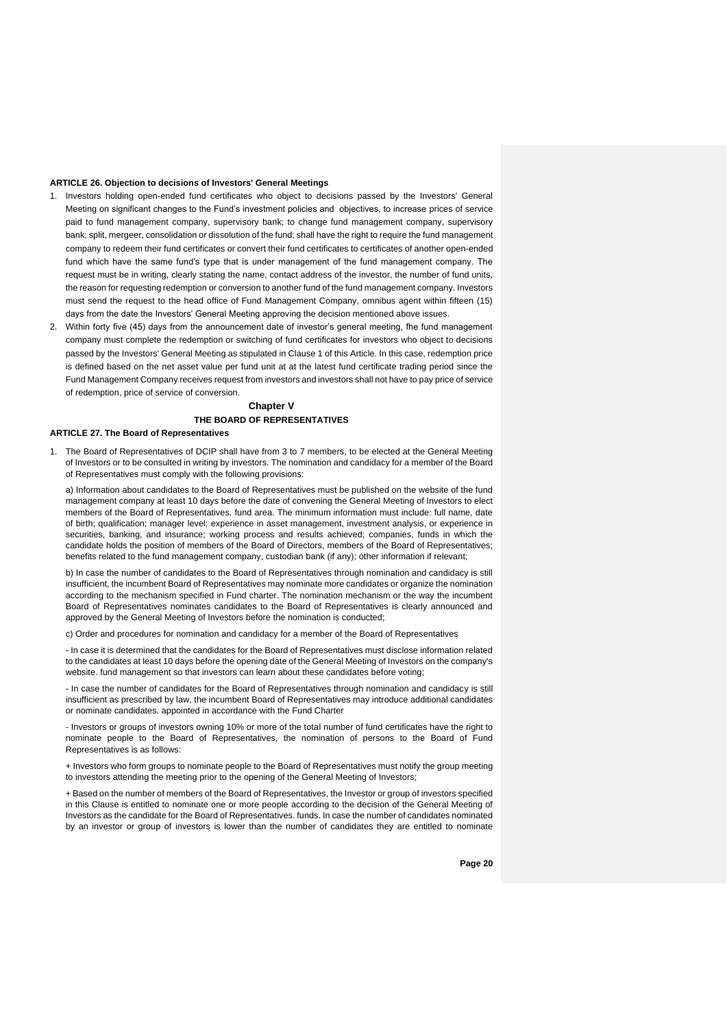#### **ARTICLE 26. Objection to decisions of Investors' General Meetings**

- 1. Investors holding open-ended fund certificates who object to decisions passed by the Investors' General Meeting on significant changes to the Fund's investment policies and objectives, to increase prices of service paid to fund management company, supervisory bank; to change fund management company, supervisory bank; split, mergeer, consolidation or dissolution of the fund; shall have the right to require the fund management company to redeem their fund certificates or convert their fund certificates to certificates of another open-ended fund which have the same fund's type that is under management of the fund management company. The request must be in writing, clearly stating the name, contact address of the investor, the number of fund units, the reason for requesting redemption or conversion to another fund of the fund management company. Investors must send the request to the head office of Fund Management Company, omnibus agent within fifteen (15) days from the date the Investors' General Meeting approving the decision mentioned above issues.
- 2. Within forty five (45) days from the announcement date of investor's general meeting, fhe fund management company must complete the redemption or switching of fund certificates for investors who object to decisions passed by the Investors' General Meeting as stipulated in Clause 1 of this Article. In this case, redemption price is defined based on the net asset value per fund unit at at the latest fund certificate trading period since the Fund Management Company receives request from investors and investors shall not have to pay price of service of redemption, price of service of conversion.

## **Chapter V THE BOARD OF REPRESENTATIVES**

#### **ARTICLE 27. The Board of Representatives**

1. The Board of Representatives of DCIP shall have from 3 to 7 members, to be elected at the General Meeting of Investors or to be consulted in writing by investors. The nomination and candidacy for a member of the Board of Representatives must comply with the following provisions:

a) Information about candidates to the Board of Representatives must be published on the website of the fund management company at least 10 days before the date of convening the General Meeting of Investors to elect members of the Board of Representatives. fund area. The minimum information must include: full name, date of birth; qualification; manager level; experience in asset management, investment analysis, or experience in securities, banking, and insurance; working process and results achieved; companies, funds in which the candidate holds the position of members of the Board of Directors, members of the Board of Representatives; benefits related to the fund management company, custodian bank (if any); other information if relevant;

b) In case the number of candidates to the Board of Representatives through nomination and candidacy is still insufficient, the incumbent Board of Representatives may nominate more candidates or organize the nomination according to the mechanism specified in Fund charter. The nomination mechanism or the way the incumbent Board of Representatives nominates candidates to the Board of Representatives is clearly announced and approved by the General Meeting of Investors before the nomination is conducted;

c) Order and procedures for nomination and candidacy for a member of the Board of Representatives

- In case it is determined that the candidates for the Board of Representatives must disclose information related to the candidates at least 10 days before the opening date of the General Meeting of Investors on the company's website. fund management so that investors can learn about these candidates before voting;

- In case the number of candidates for the Board of Representatives through nomination and candidacy is still insufficient as prescribed by law, the incumbent Board of Representatives may introduce additional candidates or nominate candidates. appointed in accordance with the Fund Charter

- Investors or groups of investors owning 10% or more of the total number of fund certificates have the right to nominate people to the Board of Representatives, the nomination of persons to the Board of Fund Representatives is as follows:

+ Investors who form groups to nominate people to the Board of Representatives must notify the group meeting to investors attending the meeting prior to the opening of the General Meeting of Investors;

+ Based on the number of members of the Board of Representatives, the Investor or group of investors specified in this Clause is entitled to nominate one or more people according to the decision of the General Meeting of Investors as the candidate for the Board of Representatives. funds. In case the number of candidates nominated by an investor or group of investors is lower than the number of candidates they are entitled to nominate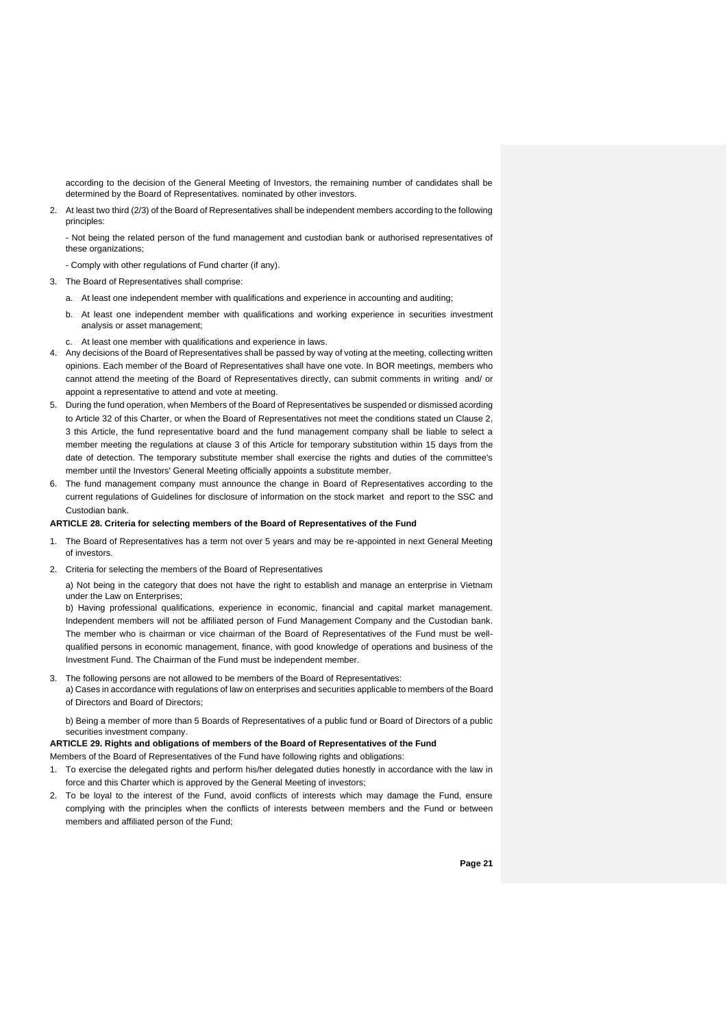according to the decision of the General Meeting of Investors, the remaining number of candidates shall be determined by the Board of Representatives. nominated by other investors.

2. At least two third (2/3) of the Board of Representatives shall be independent members according to the following principles:

- Not being the related person of the fund management and custodian bank or authorised representatives of these organizations;

- Comply with other regulations of Fund charter (if any).

- 3. The Board of Representatives shall comprise:
	- a. At least one independent member with qualifications and experience in accounting and auditing;
	- b. At least one independent member with qualifications and working experience in securities investment analysis or asset management;
- c. At least one member with qualifications and experience in laws.
- 4. Any decisions of the Board of Representatives shall be passed by way of voting at the meeting, collecting written opinions. Each member of the Board of Representatives shall have one vote. In BOR meetings, members who cannot attend the meeting of the Board of Representatives directly, can submit comments in writing and/ or appoint a representative to attend and vote at meeting.
- 5. During the fund operation, when Members of the Board of Representatives be suspended or dismissed acording to Article 32 of this Charter, or when the Board of Representatives not meet the conditions stated un Clause 2, 3 this Article, the fund representative board and the fund management company shall be liable to select a member meeting the regulations at clause 3 of this Article for temporary substitution within 15 days from the date of detection. The temporary substitute member shall exercise the rights and duties of the committee's member until the Investors' General Meeting officially appoints a substitute member.
- 6. The fund management company must announce the change in Board of Representatives according to the current regulations of Guidelines for disclosure of information on the stock market and report to the SSC and Custodian bank.

#### **ARTICLE 28. Criteria for selecting members of the Board of Representatives of the Fund**

- 1. The Board of Representatives has a term not over 5 years and may be re-appointed in next General Meeting of investors.
- 2. Criteria for selecting the members of the Board of Representatives

a) Not being in the category that does not have the right to establish and manage an enterprise in Vietnam under the Law on Enterprises;

b) Having professional qualifications, experience in economic, financial and capital market management. Independent members will not be affiliated person of Fund Management Company and the Custodian bank. The member who is chairman or vice chairman of the Board of Representatives of the Fund must be wellqualified persons in economic management, finance, with good knowledge of operations and business of the Investment Fund. The Chairman of the Fund must be independent member.

3. The following persons are not allowed to be members of the Board of Representatives: a) Cases in accordance with regulations of law on enterprises and securities applicable to members of the Board of Directors and Board of Directors;

b) Being a member of more than 5 Boards of Representatives of a public fund or Board of Directors of a public securities investment company.

**ARTICLE 29. Rights and obligations of members of the Board of Representatives of the Fund**

Members of the Board of Representatives of the Fund have following rights and obligations:

- 1. To exercise the delegated rights and perform his/her delegated duties honestly in accordance with the law in force and this Charter which is approved by the General Meeting of investors;
- 2. To be loyal to the interest of the Fund, avoid conflicts of interests which may damage the Fund, ensure complying with the principles when the conflicts of interests between members and the Fund or between members and affiliated person of the Fund;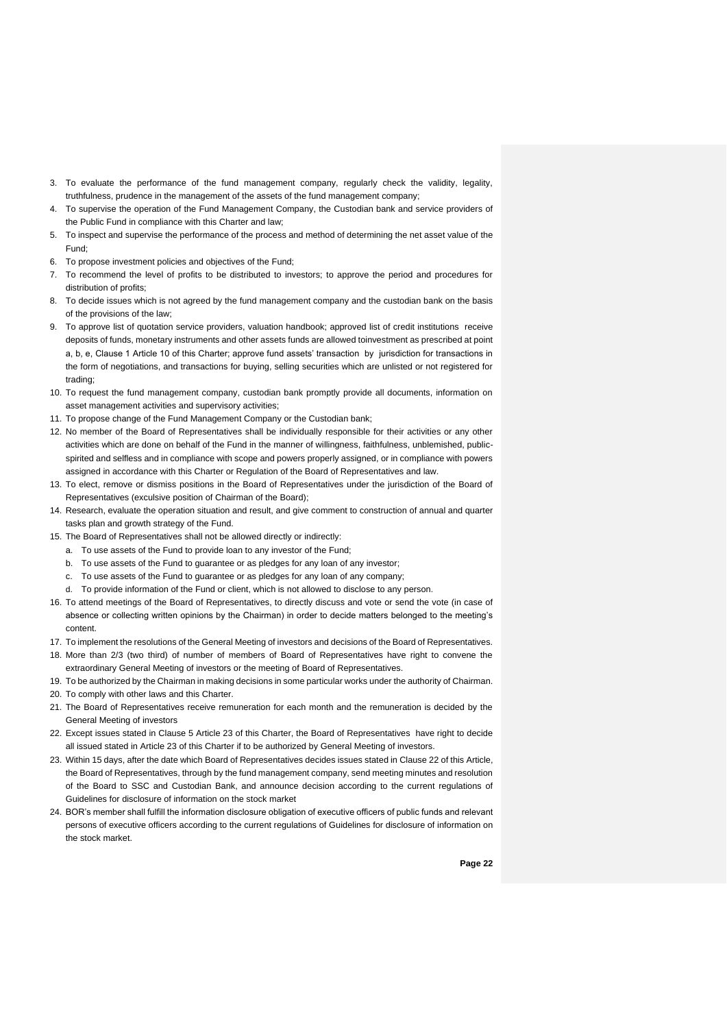- 3. To evaluate the performance of the fund management company, regularly check the validity, legality, truthfulness, prudence in the management of the assets of the fund management company;
- 4. To supervise the operation of the Fund Management Company, the Custodian bank and service providers of the Public Fund in compliance with this Charter and law;
- 5. To inspect and supervise the performance of the process and method of determining the net asset value of the Fund;
- 6. To propose investment policies and objectives of the Fund;
- 7. To recommend the level of profits to be distributed to investors; to approve the period and procedures for distribution of profits;
- 8. To decide issues which is not agreed by the fund management company and the custodian bank on the basis of the provisions of the law;
- 9. To approve list of quotation service providers, valuation handbook; approved list of credit institutions receive deposits of funds, monetary instruments and other assets funds are allowed toinvestment as prescribed at point a, b, e, Clause 1 Article 10 of this Charter; approve fund assets' transaction by jurisdiction for transactions in the form of negotiations, and transactions for buying, selling securities which are unlisted or not registered for trading;
- 10. To request the fund management company, custodian bank promptly provide all documents, information on asset management activities and supervisory activities;
- 11. To propose change of the Fund Management Company or the Custodian bank;
- 12. No member of the Board of Representatives shall be individually responsible for their activities or any other activities which are done on behalf of the Fund in the manner of willingness, faithfulness, unblemished, publicspirited and selfless and in compliance with scope and powers properly assigned, or in compliance with powers assigned in accordance with this Charter or Regulation of the Board of Representatives and law.
- 13. To elect, remove or dismiss positions in the Board of Representatives under the jurisdiction of the Board of Representatives (exculsive position of Chairman of the Board);
- 14. Research, evaluate the operation situation and result, and give comment to construction of annual and quarter tasks plan and growth strategy of the Fund.
- 15. The Board of Representatives shall not be allowed directly or indirectly:
	- a. To use assets of the Fund to provide loan to any investor of the Fund;
	- b. To use assets of the Fund to guarantee or as pledges for any loan of any investor;
	- c. To use assets of the Fund to guarantee or as pledges for any loan of any company;
	- d. To provide information of the Fund or client, which is not allowed to disclose to any person.
- 16. To attend meetings of the Board of Representatives, to directly discuss and vote or send the vote (in case of absence or collecting written opinions by the Chairman) in order to decide matters belonged to the meeting's content.
- 17. To implement the resolutions of the General Meeting of investors and decisions of the Board of Representatives.
- 18. More than 2/3 (two third) of number of members of Board of Representatives have right to convene the extraordinary General Meeting of investors or the meeting of Board of Representatives.
- 19. To be authorized by the Chairman in making decisions in some particular works under the authority of Chairman.
- 20. To comply with other laws and this Charter.
- 21. The Board of Representatives receive remuneration for each month and the remuneration is decided by the General Meeting of investors
- 22. Except issues stated in Clause 5 Article 23 of this Charter, the Board of Representatives have right to decide all issued stated in Article 23 of this Charter if to be authorized by General Meeting of investors.
- 23. Within 15 days, after the date which Board of Representatives decides issues stated in Clause 22 of this Article, the Board of Representatives, through by the fund management company, send meeting minutes and resolution of the Board to SSC and Custodian Bank, and announce decision according to the current regulations of Guidelines for disclosure of information on the stock market
- 24. BOR's member shall fulfill the information disclosure obligation of executive officers of public funds and relevant persons of executive officers according to the current regulations of Guidelines for disclosure of information on the stock market.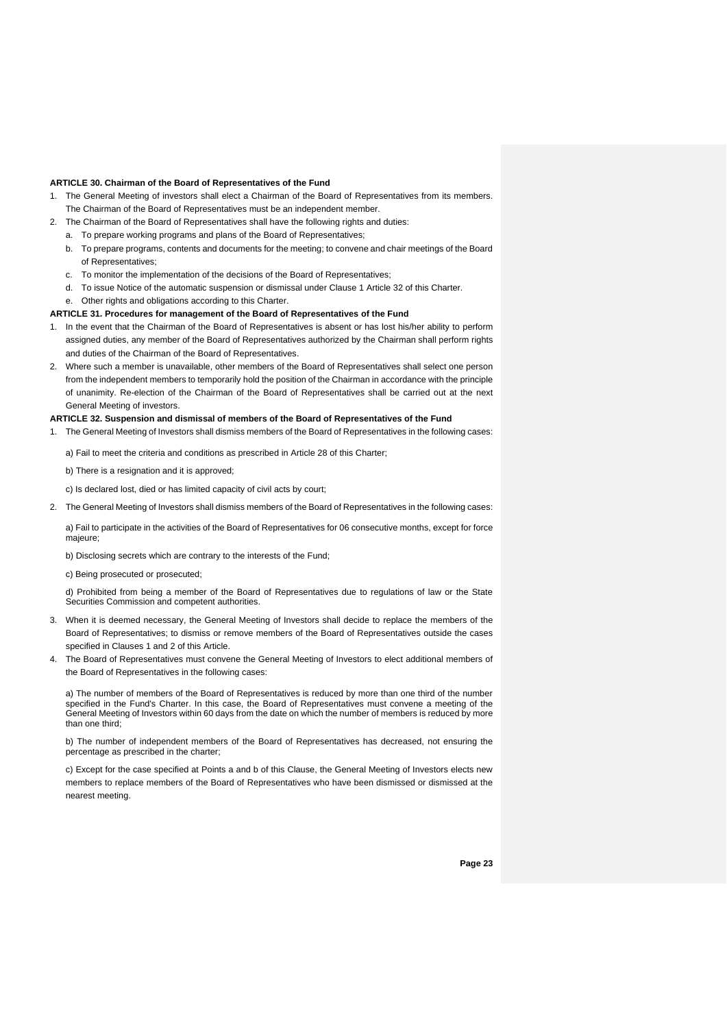#### **ARTICLE 30. Chairman of the Board of Representatives of the Fund**

- 1. The General Meeting of investors shall elect a Chairman of the Board of Representatives from its members. The Chairman of the Board of Representatives must be an independent member.
- 2. The Chairman of the Board of Representatives shall have the following rights and duties:
	- a. To prepare working programs and plans of the Board of Representatives;
	- b. To prepare programs, contents and documents for the meeting; to convene and chair meetings of the Board of Representatives;
	- c. To monitor the implementation of the decisions of the Board of Representatives;
	- d. To issue Notice of the automatic suspension or dismissal under Clause 1 Article 32 of this Charter.
		- Other rights and obligations according to this Charter.

#### **ARTICLE 31. Procedures for management of the Board of Representatives of the Fund**

- 1. In the event that the Chairman of the Board of Representatives is absent or has lost his/her ability to perform assigned duties, any member of the Board of Representatives authorized by the Chairman shall perform rights and duties of the Chairman of the Board of Representatives.
- 2. Where such a member is unavailable, other members of the Board of Representatives shall select one person from the independent members to temporarily hold the position of the Chairman in accordance with the principle of unanimity. Re-election of the Chairman of the Board of Representatives shall be carried out at the next General Meeting of investors.

#### **ARTICLE 32. Suspension and dismissal of members of the Board of Representatives of the Fund**

- 1. The General Meeting of Investors shall dismiss members of the Board of Representatives in the following cases:
	- a) Fail to meet the criteria and conditions as prescribed in Article 28 of this Charter;
	- b) There is a resignation and it is approved;
	- c) Is declared lost, died or has limited capacity of civil acts by court;
- 2. The General Meeting of Investors shall dismiss members of the Board of Representatives in the following cases:

a) Fail to participate in the activities of the Board of Representatives for 06 consecutive months, except for force majeure;

- b) Disclosing secrets which are contrary to the interests of the Fund;
- c) Being prosecuted or prosecuted;

d) Prohibited from being a member of the Board of Representatives due to regulations of law or the State Securities Commission and competent authorities.

- 3. When it is deemed necessary, the General Meeting of Investors shall decide to replace the members of the Board of Representatives; to dismiss or remove members of the Board of Representatives outside the cases specified in Clauses 1 and 2 of this Article.
- 4. The Board of Representatives must convene the General Meeting of Investors to elect additional members of the Board of Representatives in the following cases:

a) The number of members of the Board of Representatives is reduced by more than one third of the number specified in the Fund's Charter. In this case, the Board of Representatives must convene a meeting of the General Meeting of Investors within 60 days from the date on which the number of members is reduced by more than one third;

b) The number of independent members of the Board of Representatives has decreased, not ensuring the percentage as prescribed in the charter;

c) Except for the case specified at Points a and b of this Clause, the General Meeting of Investors elects new members to replace members of the Board of Representatives who have been dismissed or dismissed at the nearest meeting.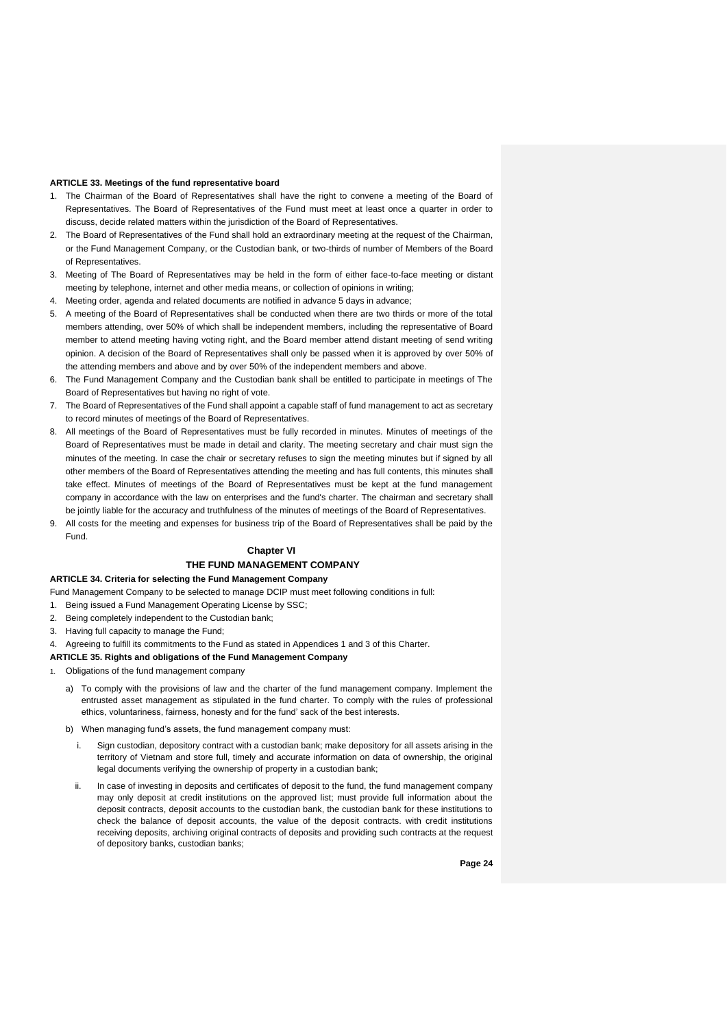#### **ARTICLE 33. Meetings of the fund representative board**

- 1. The Chairman of the Board of Representatives shall have the right to convene a meeting of the Board of Representatives. The Board of Representatives of the Fund must meet at least once a quarter in order to discuss, decide related matters within the jurisdiction of the Board of Representatives.
- 2. The Board of Representatives of the Fund shall hold an extraordinary meeting at the request of the Chairman, or the Fund Management Company, or the Custodian bank, or two-thirds of number of Members of the Board of Representatives.
- 3. Meeting of The Board of Representatives may be held in the form of either face-to-face meeting or distant meeting by telephone, internet and other media means, or collection of opinions in writing;
- 4. Meeting order, agenda and related documents are notified in advance 5 days in advance;
- 5. A meeting of the Board of Representatives shall be conducted when there are two thirds or more of the total members attending, over 50% of which shall be independent members, including the representative of Board member to attend meeting having voting right, and the Board member attend distant meeting of send writing opinion. A decision of the Board of Representatives shall only be passed when it is approved by over 50% of the attending members and above and by over 50% of the independent members and above.
- 6. The Fund Management Company and the Custodian bank shall be entitled to participate in meetings of The Board of Representatives but having no right of vote.
- 7. The Board of Representatives of the Fund shall appoint a capable staff of fund management to act as secretary to record minutes of meetings of the Board of Representatives.
- 8. All meetings of the Board of Representatives must be fully recorded in minutes. Minutes of meetings of the Board of Representatives must be made in detail and clarity. The meeting secretary and chair must sign the minutes of the meeting. In case the chair or secretary refuses to sign the meeting minutes but if signed by all other members of the Board of Representatives attending the meeting and has full contents, this minutes shall take effect. Minutes of meetings of the Board of Representatives must be kept at the fund management company in accordance with the law on enterprises and the fund's charter. The chairman and secretary shall be jointly liable for the accuracy and truthfulness of the minutes of meetings of the Board of Representatives.
- 9. All costs for the meeting and expenses for business trip of the Board of Representatives shall be paid by the Fund.

## **Chapter VI**

## **THE FUND MANAGEMENT COMPANY**

#### **ARTICLE 34. Criteria for selecting the Fund Management Company**

- Fund Management Company to be selected to manage DCIP must meet following conditions in full:
- 1. Being issued a Fund Management Operating License by SSC;
- 2. Being completely independent to the Custodian bank;
- 3. Having full capacity to manage the Fund;
- 4. Agreeing to fulfill its commitments to the Fund as stated in Appendices 1 and 3 of this Charter.

#### **ARTICLE 35. Rights and obligations of the Fund Management Company**

- 1. Obligations of the fund management company
	- a) To comply with the provisions of law and the charter of the fund management company. Implement the entrusted asset management as stipulated in the fund charter. To comply with the rules of professional ethics, voluntariness, fairness, honesty and for the fund' sack of the best interests.
	- b) When managing fund's assets, the fund management company must:
		- i. Sign custodian, depository contract with a custodian bank; make depository for all assets arising in the territory of Vietnam and store full, timely and accurate information on data of ownership, the original legal documents verifying the ownership of property in a custodian bank;
		- ii. In case of investing in deposits and certificates of deposit to the fund, the fund management company may only deposit at credit institutions on the approved list; must provide full information about the deposit contracts, deposit accounts to the custodian bank, the custodian bank for these institutions to check the balance of deposit accounts, the value of the deposit contracts. with credit institutions receiving deposits, archiving original contracts of deposits and providing such contracts at the request of depository banks, custodian banks;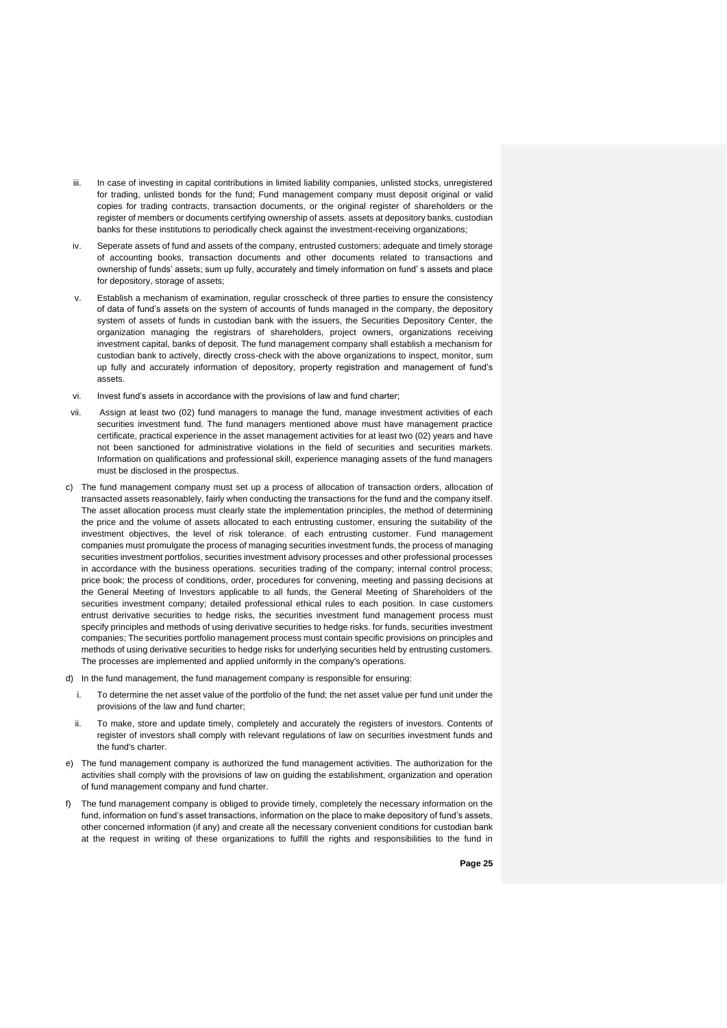- iii. In case of investing in capital contributions in limited liability companies, unlisted stocks, unregistered for trading, unlisted bonds for the fund; Fund management company must deposit original or valid copies for trading contracts, transaction documents, or the original register of shareholders or the register of members or documents certifying ownership of assets. assets at depository banks, custodian banks for these institutions to periodically check against the investment-receiving organizations;
- iv. Seperate assets of fund and assets of the company, entrusted customers; adequate and timely storage of accounting books, transaction documents and other documents related to transactions and ownership of funds' assets; sum up fully, accurately and timely information on fund' s assets and place for depository, storage of assets;
- Establish a mechanism of examination, regular crosscheck of three parties to ensure the consistency of data of fund's assets on the system of accounts of funds managed in the company, the depository system of assets of funds in custodian bank with the issuers, the Securities Depository Center, the organization managing the registrars of shareholders, project owners, organizations receiving investment capital, banks of deposit. The fund management company shall establish a mechanism for custodian bank to actively, directly cross-check with the above organizations to inspect, monitor, sum up fully and accurately information of depository, property registration and management of fund's assets.
- vi. Invest fund's assets in accordance with the provisions of law and fund charter;
- vii. Assign at least two (02) fund managers to manage the fund, manage investment activities of each securities investment fund. The fund managers mentioned above must have management practice certificate, practical experience in the asset management activities for at least two (02) years and have not been sanctioned for administrative violations in the field of securities and securities markets. Information on qualifications and professional skill, experience managing assets of the fund managers must be disclosed in the prospectus.
- c) The fund management company must set up a process of allocation of transaction orders, allocation of transacted assets reasonablely, fairly when conducting the transactions for the fund and the company itself. The asset allocation process must clearly state the implementation principles, the method of determining the price and the volume of assets allocated to each entrusting customer, ensuring the suitability of the investment objectives, the level of risk tolerance. of each entrusting customer. Fund management companies must promulgate the process of managing securities investment funds, the process of managing securities investment portfolios, securities investment advisory processes and other professional processes in accordance with the business operations. securities trading of the company; internal control process; price book; the process of conditions, order, procedures for convening, meeting and passing decisions at the General Meeting of Investors applicable to all funds, the General Meeting of Shareholders of the securities investment company; detailed professional ethical rules to each position. In case customers entrust derivative securities to hedge risks, the securities investment fund management process must specify principles and methods of using derivative securities to hedge risks. for funds, securities investment companies; The securities portfolio management process must contain specific provisions on principles and methods of using derivative securities to hedge risks for underlying securities held by entrusting customers. The processes are implemented and applied uniformly in the company's operations.
- d) In the fund management, the fund management company is responsible for ensuring:
	- To determine the net asset value of the portfolio of the fund; the net asset value per fund unit under the provisions of the law and fund charter;
- ii. To make, store and update timely, completely and accurately the registers of investors. Contents of register of investors shall comply with relevant regulations of law on securities investment funds and the fund's charter.
- e) The fund management company is authorized the fund management activities. The authorization for the activities shall comply with the provisions of law on guiding the establishment, organization and operation of fund management company and fund charter.
- f) The fund management company is obliged to provide timely, completely the necessary information on the fund, information on fund's asset transactions, information on the place to make depository of fund's assets, other concerned information (if any) and create all the necessary convenient conditions for custodian bank at the request in writing of these organizations to fulfill the rights and responsibilities to the fund in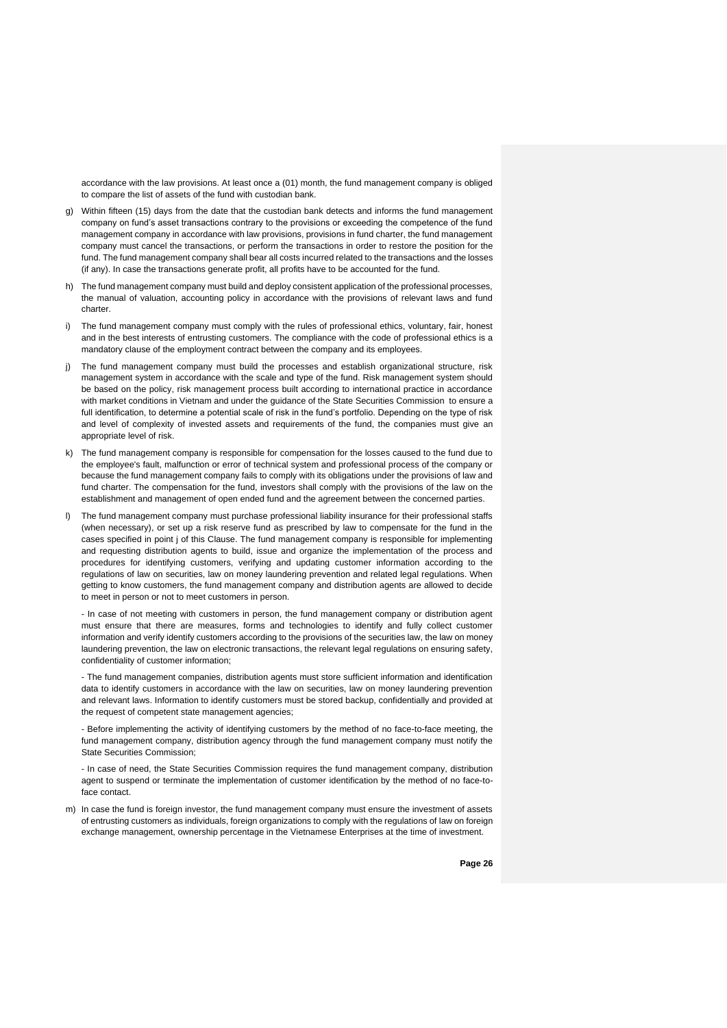accordance with the law provisions. At least once a (01) month, the fund management company is obliged to compare the list of assets of the fund with custodian bank.

- g) Within fifteen (15) days from the date that the custodian bank detects and informs the fund management company on fund's asset transactions contrary to the provisions or exceeding the competence of the fund management company in accordance with law provisions, provisions in fund charter, the fund management company must cancel the transactions, or perform the transactions in order to restore the position for the fund. The fund management company shall bear all costs incurred related to the transactions and the losses (if any). In case the transactions generate profit, all profits have to be accounted for the fund.
- h) The fund management company must build and deploy consistent application of the professional processes, the manual of valuation, accounting policy in accordance with the provisions of relevant laws and fund charter.
- i) The fund management company must comply with the rules of professional ethics, voluntary, fair, honest and in the best interests of entrusting customers. The compliance with the code of professional ethics is a mandatory clause of the employment contract between the company and its employees.
- j) The fund management company must build the processes and establish organizational structure, risk management system in accordance with the scale and type of the fund. Risk management system should be based on the policy, risk management process built according to international practice in accordance with market conditions in Vietnam and under the guidance of the State Securities Commission to ensure a full identification, to determine a potential scale of risk in the fund's portfolio. Depending on the type of risk and level of complexity of invested assets and requirements of the fund, the companies must give an appropriate level of risk.
- k) The fund management company is responsible for compensation for the losses caused to the fund due to the employee's fault, malfunction or error of technical system and professional process of the company or because the fund management company fails to comply with its obligations under the provisions of law and fund charter. The compensation for the fund, investors shall comply with the provisions of the law on the establishment and management of open ended fund and the agreement between the concerned parties.
- l) The fund management company must purchase professional liability insurance for their professional staffs (when necessary), or set up a risk reserve fund as prescribed by law to compensate for the fund in the cases specified in point j of this Clause. The fund management company is responsible for implementing and requesting distribution agents to build, issue and organize the implementation of the process and procedures for identifying customers, verifying and updating customer information according to the regulations of law on securities, law on money laundering prevention and related legal regulations. When getting to know customers, the fund management company and distribution agents are allowed to decide to meet in person or not to meet customers in person.

- In case of not meeting with customers in person, the fund management company or distribution agent must ensure that there are measures, forms and technologies to identify and fully collect customer information and verify identify customers according to the provisions of the securities law, the law on money laundering prevention, the law on electronic transactions, the relevant legal regulations on ensuring safety, confidentiality of customer information;

- The fund management companies, distribution agents must store sufficient information and identification data to identify customers in accordance with the law on securities, law on money laundering prevention and relevant laws. Information to identify customers must be stored backup, confidentially and provided at the request of competent state management agencies;

- Before implementing the activity of identifying customers by the method of no face-to-face meeting, the fund management company, distribution agency through the fund management company must notify the State Securities Commission;

- In case of need, the State Securities Commission requires the fund management company, distribution agent to suspend or terminate the implementation of customer identification by the method of no face-toface contact.

m) In case the fund is foreign investor, the fund management company must ensure the investment of assets of entrusting customers as individuals, foreign organizations to comply with the regulations of law on foreign exchange management, ownership percentage in the Vietnamese Enterprises at the time of investment.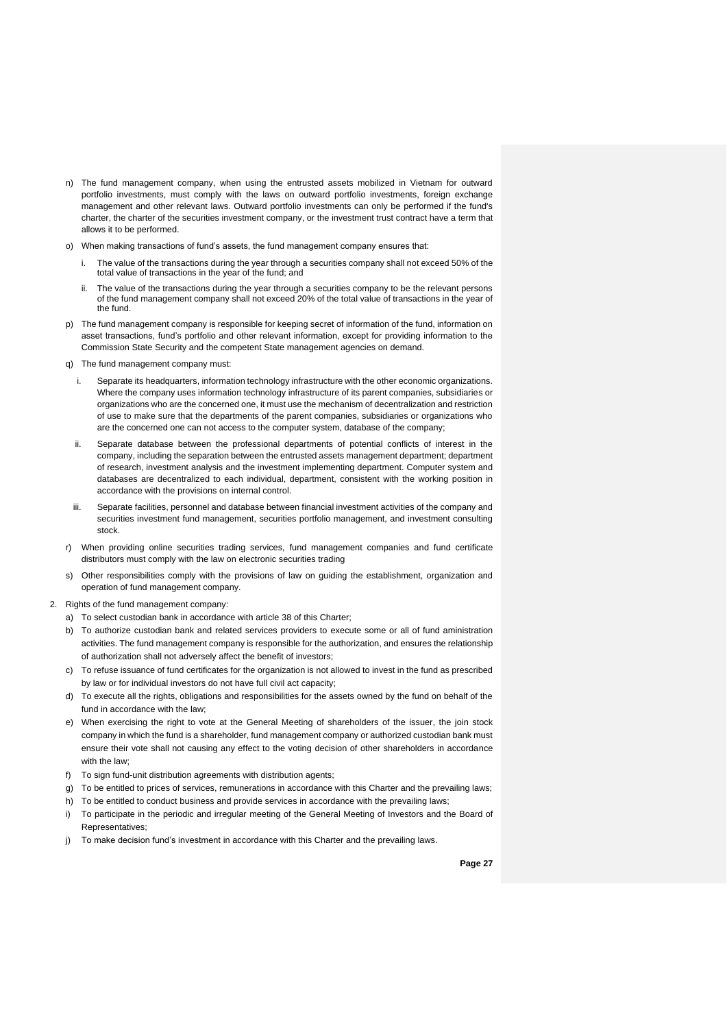- n) The fund management company, when using the entrusted assets mobilized in Vietnam for outward portfolio investments, must comply with the laws on outward portfolio investments, foreign exchange management and other relevant laws. Outward portfolio investments can only be performed if the fund's charter, the charter of the securities investment company, or the investment trust contract have a term that allows it to be performed.
- o) When making transactions of fund's assets, the fund management company ensures that:
	- i. The value of the transactions during the year through a securities company shall not exceed 50% of the total value of transactions in the year of the fund; and
	- The value of the transactions during the year through a securities company to be the relevant persons of the fund management company shall not exceed 20% of the total value of transactions in the year of the fund.
- p) The fund management company is responsible for keeping secret of information of the fund, information on asset transactions, fund's portfolio and other relevant information, except for providing information to the Commission State Security and the competent State management agencies on demand.
- q) The fund management company must:
	- i. Separate its headquarters, information technology infrastructure with the other economic organizations. Where the company uses information technology infrastructure of its parent companies, subsidiaries or organizations who are the concerned one, it must use the mechanism of decentralization and restriction of use to make sure that the departments of the parent companies, subsidiaries or organizations who are the concerned one can not access to the computer system, database of the company;
	- ii. Separate database between the professional departments of potential conflicts of interest in the company, including the separation between the entrusted assets management department; department of research, investment analysis and the investment implementing department. Computer system and databases are decentralized to each individual, department, consistent with the working position in accordance with the provisions on internal control.
- iii. Separate facilities, personnel and database between financial investment activities of the company and securities investment fund management, securities portfolio management, and investment consulting stock.
- r) When providing online securities trading services, fund management companies and fund certificate distributors must comply with the law on electronic securities trading
- s) Other responsibilities comply with the provisions of law on guiding the establishment, organization and operation of fund management company.
- 2. Rights of the fund management company:
	- a) To select custodian bank in accordance with article 38 of this Charter;
	- b) To authorize custodian bank and related services providers to execute some or all of fund aministration activities. The fund management company is responsible for the authorization, and ensures the relationship of authorization shall not adversely affect the benefit of investors;
	- c) To refuse issuance of fund certificates for the organization is not allowed to invest in the fund as prescribed by law or for individual investors do not have full civil act capacity;
	- d) To execute all the rights, obligations and responsibilities for the assets owned by the fund on behalf of the fund in accordance with the law;
	- e) When exercising the right to vote at the General Meeting of shareholders of the issuer, the join stock company in which the fund is a shareholder, fund management company or authorized custodian bank must ensure their vote shall not causing any effect to the voting decision of other shareholders in accordance with the law;
	- f) To sign fund-unit distribution agreements with distribution agents;
	- g) To be entitled to prices of services, remunerations in accordance with this Charter and the prevailing laws;
	- h) To be entitled to conduct business and provide services in accordance with the prevailing laws;
	- i) To participate in the periodic and irregular meeting of the General Meeting of Investors and the Board of Representatives;
	- j) To make decision fund's investment in accordance with this Charter and the prevailing laws.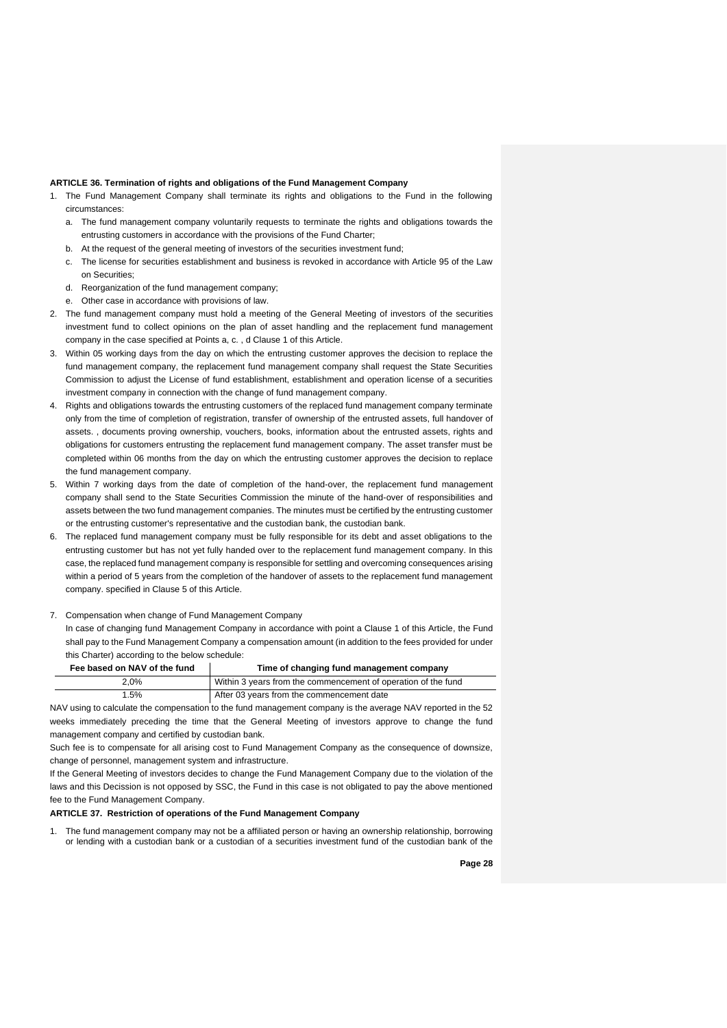#### **ARTICLE 36. Termination of rights and obligations of the Fund Management Company**

- 1. The Fund Management Company shall terminate its rights and obligations to the Fund in the following circumstances:
	- a. The fund management company voluntarily requests to terminate the rights and obligations towards the entrusting customers in accordance with the provisions of the Fund Charter;
	- b. At the request of the general meeting of investors of the securities investment fund;
	- c. The license for securities establishment and business is revoked in accordance with Article 95 of the Law on Securities;
	- d. Reorganization of the fund management company;
	- e. Other case in accordance with provisions of law.
- 2. The fund management company must hold a meeting of the General Meeting of investors of the securities investment fund to collect opinions on the plan of asset handling and the replacement fund management company in the case specified at Points a, c. , d Clause 1 of this Article.
- 3. Within 05 working days from the day on which the entrusting customer approves the decision to replace the fund management company, the replacement fund management company shall request the State Securities Commission to adjust the License of fund establishment, establishment and operation license of a securities investment company in connection with the change of fund management company.
- 4. Rights and obligations towards the entrusting customers of the replaced fund management company terminate only from the time of completion of registration, transfer of ownership of the entrusted assets, full handover of assets. , documents proving ownership, vouchers, books, information about the entrusted assets, rights and obligations for customers entrusting the replacement fund management company. The asset transfer must be completed within 06 months from the day on which the entrusting customer approves the decision to replace the fund management company.
- 5. Within 7 working days from the date of completion of the hand-over, the replacement fund management company shall send to the State Securities Commission the minute of the hand-over of responsibilities and assets between the two fund management companies. The minutes must be certified by the entrusting customer or the entrusting customer's representative and the custodian bank, the custodian bank.
- 6. The replaced fund management company must be fully responsible for its debt and asset obligations to the entrusting customer but has not yet fully handed over to the replacement fund management company. In this case, the replaced fund management company is responsible for settling and overcoming consequences arising within a period of 5 years from the completion of the handover of assets to the replacement fund management company. specified in Clause 5 of this Article.

7. Compensation when change of Fund Management Company

In case of changing fund Management Company in accordance with point a Clause 1 of this Article, the Fund shall pay to the Fund Management Company a compensation amount (in addition to the fees provided for under this Charter) according to the below schedule:

| Fee based on NAV of the fund | Time of changing fund management company                      |
|------------------------------|---------------------------------------------------------------|
| 2.0%                         | Within 3 years from the commencement of operation of the fund |
| 1.5%                         | After 03 years from the commencement date                     |

NAV using to calculate the compensation to the fund management company is the average NAV reported in the 52 weeks immediately preceding the time that the General Meeting of investors approve to change the fund management company and certified by custodian bank.

Such fee is to compensate for all arising cost to Fund Management Company as the consequence of downsize, change of personnel, management system and infrastructure.

If the General Meeting of investors decides to change the Fund Management Company due to the violation of the laws and this Decission is not opposed by SSC, the Fund in this case is not obligated to pay the above mentioned fee to the Fund Management Company.

## **ARTICLE 37. Restriction of operations of the Fund Management Company**

1. The fund management company may not be a affiliated person or having an ownership relationship, borrowing or lending with a custodian bank or a custodian of a securities investment fund of the custodian bank of the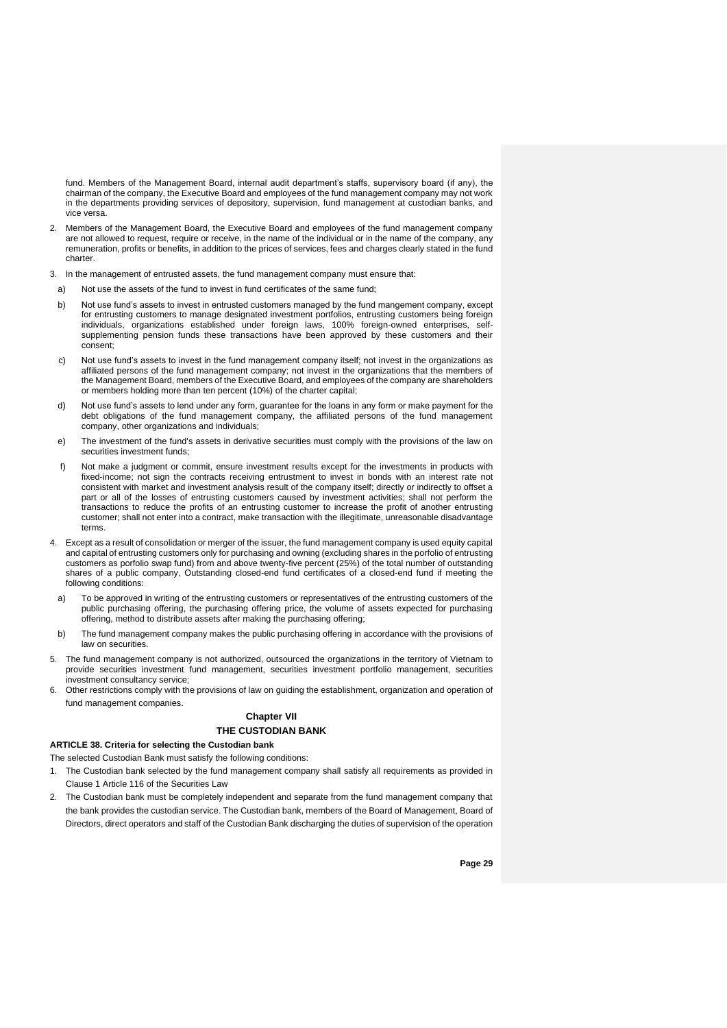fund. Members of the Management Board, internal audit department's staffs, supervisory board (if any), the chairman of the company, the Executive Board and employees of the fund management company may not work in the departments providing services of depository, supervision, fund management at custodian banks, and vice versa.

- 2. Members of the Management Board, the Executive Board and employees of the fund management company are not allowed to request, require or receive, in the name of the individual or in the name of the company, any remuneration, profits or benefits, in addition to the prices of services, fees and charges clearly stated in the fund charter.
- 3. In the management of entrusted assets, the fund management company must ensure that:
- a) Not use the assets of the fund to invest in fund certificates of the same fund;
- b) Not use fund's assets to invest in entrusted customers managed by the fund mangement company, except for entrusting customers to manage designated investment portfolios, entrusting customers being foreign individuals, organizations established under foreign laws, 100% foreign-owned enterprises, selfsupplementing pension funds these transactions have been approved by these customers and their consent;
- c) Not use fund's assets to invest in the fund management company itself; not invest in the organizations as affiliated persons of the fund management company; not invest in the organizations that the members of the Management Board, members of the Executive Board, and employees of the company are shareholders or members holding more than ten percent (10%) of the charter capital;
- d) Not use fund's assets to lend under any form, guarantee for the loans in any form or make payment for the debt obligations of the fund management company, the affiliated persons of the fund management company, other organizations and individuals;
- e) The investment of the fund's assets in derivative securities must comply with the provisions of the law on securities investment funds;
- f) Not make a judgment or commit, ensure investment results except for the investments in products with fixed-income; not sign the contracts receiving entrustment to invest in bonds with an interest rate not consistent with market and investment analysis result of the company itself; directly or indirectly to offset a part or all of the losses of entrusting customers caused by investment activities; shall not perform the transactions to reduce the profits of an entrusting customer to increase the profit of another entrusting customer; shall not enter into a contract, make transaction with the illegitimate, unreasonable disadvantage terms.
- 4. Except as a result of consolidation or merger of the issuer, the fund management company is used equity capital and capital of entrusting customers only for purchasing and owning (excluding shares in the porfolio of entrusting customers as porfolio swap fund) from and above twenty-five percent (25%) of the total number of outstanding shares of a public company, Outstanding closed-end fund certificates of a closed-end fund if meeting the following conditions:
- a) To be approved in writing of the entrusting customers or representatives of the entrusting customers of the public purchasing offering, the purchasing offering price, the volume of assets expected for purchasing offering, method to distribute assets after making the purchasing offering;
- b) The fund management company makes the public purchasing offering in accordance with the provisions of law on securities.
- 5. The fund management company is not authorized, outsourced the organizations in the territory of Vietnam to provide securities investment fund management, securities investment portfolio management, securities investment consultancy service;
- 6. Other restrictions comply with the provisions of law on guiding the establishment, organization and operation of fund management companies.

### **Chapter VII THE CUSTODIAN BANK**

## **ARTICLE 38. Criteria for selecting the Custodian bank**

The selected Custodian Bank must satisfy the following conditions:

- 1. The Custodian bank selected by the fund management company shall satisfy all requirements as provided in Clause 1 Article 116 of the Securities Law
- 2. The Custodian bank must be completely independent and separate from the fund management company that the bank provides the custodian service. The Custodian bank, members of the Board of Management, Board of Directors, direct operators and staff of the Custodian Bank discharging the duties of supervision of the operation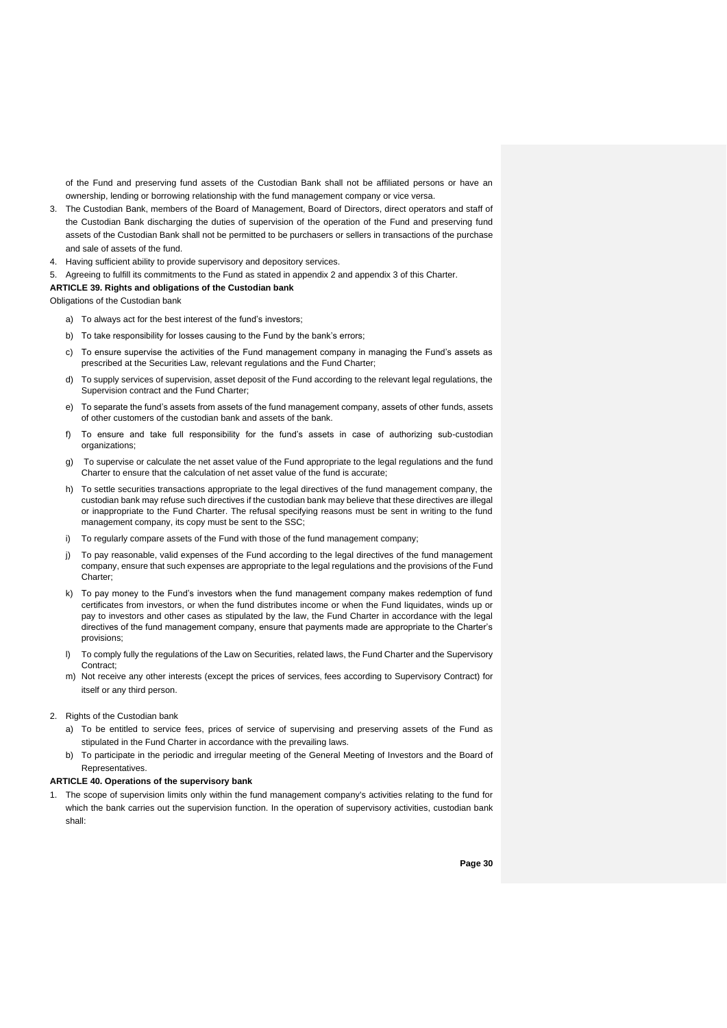of the Fund and preserving fund assets of the Custodian Bank shall not be affiliated persons or have an ownership, lending or borrowing relationship with the fund management company or vice versa.

- 3. The Custodian Bank, members of the Board of Management, Board of Directors, direct operators and staff of the Custodian Bank discharging the duties of supervision of the operation of the Fund and preserving fund assets of the Custodian Bank shall not be permitted to be purchasers or sellers in transactions of the purchase and sale of assets of the fund.
- 4. Having sufficient ability to provide supervisory and depository services.
- 5. Agreeing to fulfill its commitments to the Fund as stated in appendix 2 and appendix 3 of this Charter.

#### **ARTICLE 39. Rights and obligations of the Custodian bank**

Obligations of the Custodian bank

- a) To always act for the best interest of the fund's investors;
- b) To take responsibility for losses causing to the Fund by the bank's errors;
- c) To ensure supervise the activities of the Fund management company in managing the Fund's assets as prescribed at the Securities Law, relevant regulations and the Fund Charter;
- d) To supply services of supervision, asset deposit of the Fund according to the relevant legal regulations, the Supervision contract and the Fund Charter;
- e) To separate the fund's assets from assets of the fund management company, assets of other funds, assets of other customers of the custodian bank and assets of the bank.
- f) To ensure and take full responsibility for the fund's assets in case of authorizing sub-custodian organizations;
- g) To supervise or calculate the net asset value of the Fund appropriate to the legal regulations and the fund Charter to ensure that the calculation of net asset value of the fund is accurate;
- h) To settle securities transactions appropriate to the legal directives of the fund management company, the custodian bank may refuse such directives if the custodian bank may believe that these directives are illegal or inappropriate to the Fund Charter. The refusal specifying reasons must be sent in writing to the fund management company, its copy must be sent to the SSC;
- i) To regularly compare assets of the Fund with those of the fund management company;
- j) To pay reasonable, valid expenses of the Fund according to the legal directives of the fund management company, ensure that such expenses are appropriate to the legal regulations and the provisions of the Fund Charter;
- k) To pay money to the Fund's investors when the fund management company makes redemption of fund certificates from investors, or when the fund distributes income or when the Fund liquidates, winds up or pay to investors and other cases as stipulated by the law, the Fund Charter in accordance with the legal directives of the fund management company, ensure that payments made are appropriate to the Charter's provisions;
- To comply fully the regulations of the Law on Securities, related laws, the Fund Charter and the Supervisory Contract;
- m) Not receive any other interests (except the prices of services, fees according to Supervisory Contract) for itself or any third person.
- 2. Rights of the Custodian bank
	- a) To be entitled to service fees, prices of service of supervising and preserving assets of the Fund as stipulated in the Fund Charter in accordance with the prevailing laws.
	- b) To participate in the periodic and irregular meeting of the General Meeting of Investors and the Board of Representatives.

#### **ARTICLE 40. Operations of the supervisory bank**

1. The scope of supervision limits only within the fund management company's activities relating to the fund for which the bank carries out the supervision function. In the operation of supervisory activities, custodian bank shall: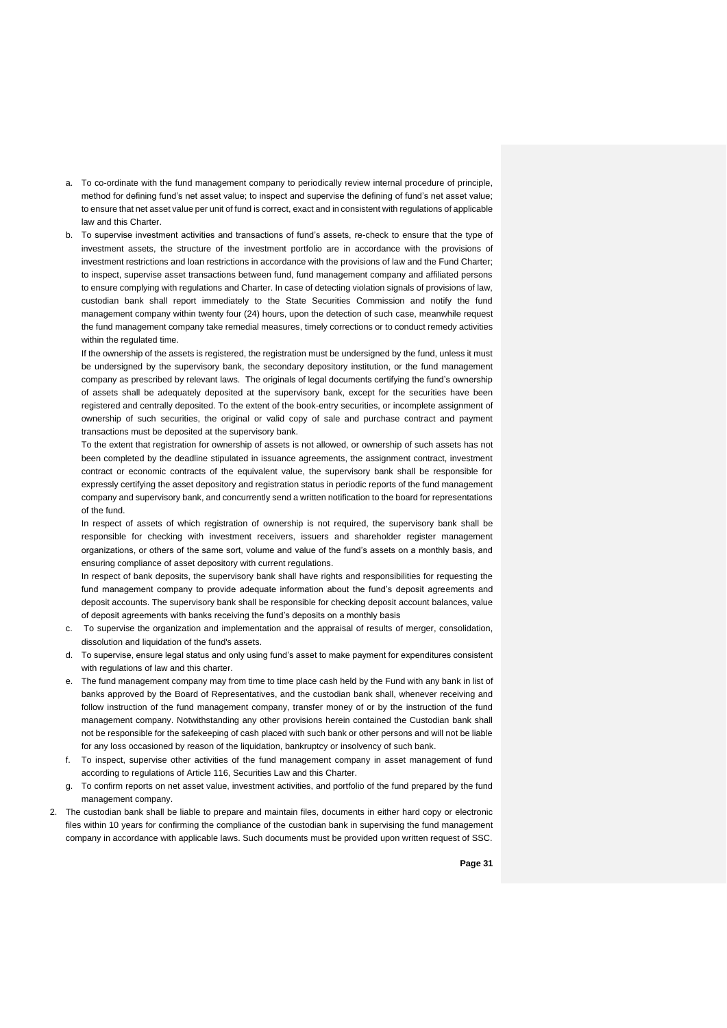- a. To co-ordinate with the fund management company to periodically review internal procedure of principle, method for defining fund's net asset value; to inspect and supervise the defining of fund's net asset value; to ensure that net asset value per unit of fund is correct, exact and in consistent with regulations of applicable law and this Charter.
- b. To supervise investment activities and transactions of fund's assets, re-check to ensure that the type of investment assets, the structure of the investment portfolio are in accordance with the provisions of investment restrictions and loan restrictions in accordance with the provisions of law and the Fund Charter; to inspect, supervise asset transactions between fund, fund management company and affiliated persons to ensure complying with regulations and Charter. In case of detecting violation signals of provisions of law, custodian bank shall report immediately to the State Securities Commission and notify the fund management company within twenty four (24) hours, upon the detection of such case, meanwhile request the fund management company take remedial measures, timely corrections or to conduct remedy activities within the regulated time.

If the ownership of the assets is registered, the registration must be undersigned by the fund, unless it must be undersigned by the supervisory bank, the secondary depository institution, or the fund management company as prescribed by relevant laws. The originals of legal documents certifying the fund's ownership of assets shall be adequately deposited at the supervisory bank, except for the securities have been registered and centrally deposited. To the extent of the book-entry securities, or incomplete assignment of ownership of such securities, the original or valid copy of sale and purchase contract and payment transactions must be deposited at the supervisory bank.

To the extent that registration for ownership of assets is not allowed, or ownership of such assets has not been completed by the deadline stipulated in issuance agreements, the assignment contract, investment contract or economic contracts of the equivalent value, the supervisory bank shall be responsible for expressly certifying the asset depository and registration status in periodic reports of the fund management company and supervisory bank, and concurrently send a written notification to the board for representations of the fund.

In respect of assets of which registration of ownership is not required, the supervisory bank shall be responsible for checking with investment receivers, issuers and shareholder register management organizations, or others of the same sort, volume and value of the fund's assets on a monthly basis, and ensuring compliance of asset depository with current regulations.

In respect of bank deposits, the supervisory bank shall have rights and responsibilities for requesting the fund management company to provide adequate information about the fund's deposit agreements and deposit accounts. The supervisory bank shall be responsible for checking deposit account balances, value of deposit agreements with banks receiving the fund's deposits on a monthly basis

- c. To supervise the organization and implementation and the appraisal of results of merger, consolidation, dissolution and liquidation of the fund's assets.
- d. To supervise, ensure legal status and only using fund's asset to make payment for expenditures consistent with regulations of law and this charter.
- e. The fund management company may from time to time place cash held by the Fund with any bank in list of banks approved by the Board of Representatives, and the custodian bank shall, whenever receiving and follow instruction of the fund management company, transfer money of or by the instruction of the fund management company. Notwithstanding any other provisions herein contained the Custodian bank shall not be responsible for the safekeeping of cash placed with such bank or other persons and will not be liable for any loss occasioned by reason of the liquidation, bankruptcy or insolvency of such bank
- f. To inspect, supervise other activities of the fund management company in asset management of fund according to regulations of Article 116, Securities Law and this Charter.
- g. To confirm reports on net asset value, investment activities, and portfolio of the fund prepared by the fund management company.
- 2. The custodian bank shall be liable to prepare and maintain files, documents in either hard copy or electronic files within 10 years for confirming the compliance of the custodian bank in supervising the fund management company in accordance with applicable laws. Such documents must be provided upon written request of SSC.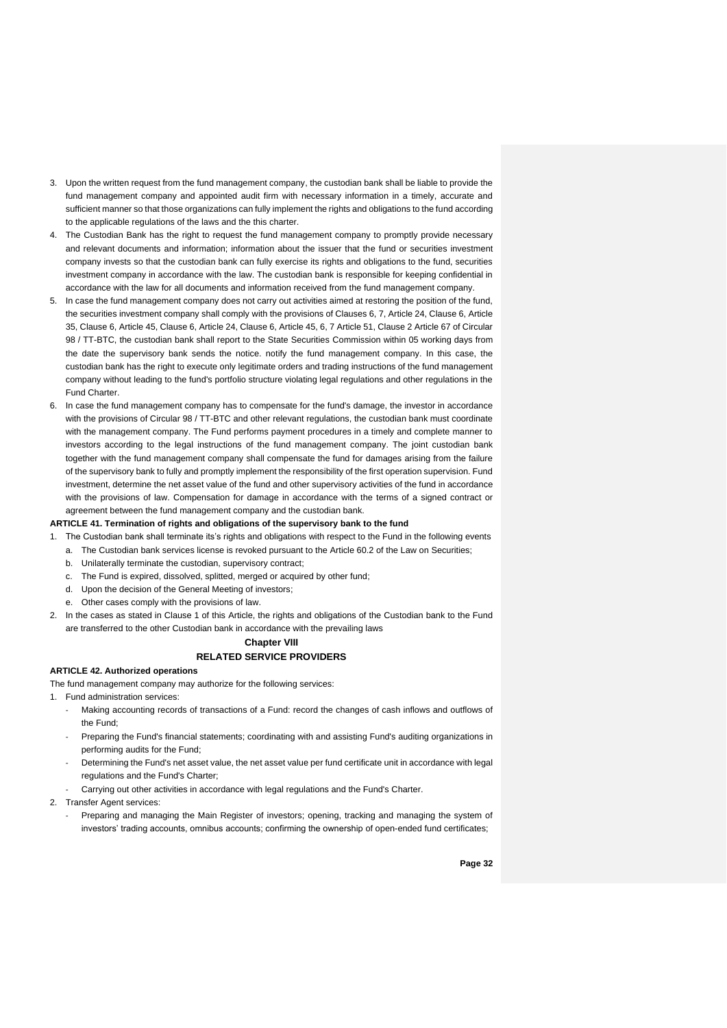- 3. Upon the written request from the fund management company, the custodian bank shall be liable to provide the fund management company and appointed audit firm with necessary information in a timely, accurate and sufficient manner so that those organizations can fully implement the rights and obligations to the fund according to the applicable regulations of the laws and the this charter.
- 4. The Custodian Bank has the right to request the fund management company to promptly provide necessary and relevant documents and information; information about the issuer that the fund or securities investment company invests so that the custodian bank can fully exercise its rights and obligations to the fund, securities investment company in accordance with the law. The custodian bank is responsible for keeping confidential in accordance with the law for all documents and information received from the fund management company.
- 5. In case the fund management company does not carry out activities aimed at restoring the position of the fund, the securities investment company shall comply with the provisions of Clauses 6, 7, Article 24, Clause 6, Article 35, Clause 6, Article 45, Clause 6, Article 24, Clause 6, Article 45, 6, 7 Article 51, Clause 2 Article 67 of Circular 98 / TT-BTC, the custodian bank shall report to the State Securities Commission within 05 working days from the date the supervisory bank sends the notice. notify the fund management company. In this case, the custodian bank has the right to execute only legitimate orders and trading instructions of the fund management company without leading to the fund's portfolio structure violating legal regulations and other regulations in the Fund Charter.
- 6. In case the fund management company has to compensate for the fund's damage, the investor in accordance with the provisions of Circular 98 / TT-BTC and other relevant regulations, the custodian bank must coordinate with the management company. The Fund performs payment procedures in a timely and complete manner to investors according to the legal instructions of the fund management company. The joint custodian bank together with the fund management company shall compensate the fund for damages arising from the failure of the supervisory bank to fully and promptly implement the responsibility of the first operation supervision. Fund investment, determine the net asset value of the fund and other supervisory activities of the fund in accordance with the provisions of law. Compensation for damage in accordance with the terms of a signed contract or agreement between the fund management company and the custodian bank.

#### **ARTICLE 41. Termination of rights and obligations of the supervisory bank to the fund**

- 1. The Custodian bank shall terminate its's rights and obligations with respect to the Fund in the following events
	- a. The Custodian bank services license is revoked pursuant to the Article 60.2 of the Law on Securities;
	- b. Unilaterally terminate the custodian, supervisory contract;
	- c. The Fund is expired, dissolved, splitted, merged or acquired by other fund;
	- d. Upon the decision of the General Meeting of investors;
	- e. Other cases comply with the provisions of law.
- 2. In the cases as stated in Clause 1 of this Article, the rights and obligations of the Custodian bank to the Fund are transferred to the other Custodian bank in accordance with the prevailing laws

#### **Chapter VIII RELATED SERVICE PROVIDERS**

#### **ARTICLE 42. Authorized operations**

The fund management company may authorize for the following services:

- 1. Fund administration services:
	- Making accounting records of transactions of a Fund: record the changes of cash inflows and outflows of the Fund;
	- Preparing the Fund's financial statements; coordinating with and assisting Fund's auditing organizations in performing audits for the Fund;
	- Determining the Fund's net asset value, the net asset value per fund certificate unit in accordance with legal regulations and the Fund's Charter;
	- Carrying out other activities in accordance with legal regulations and the Fund's Charter.
- 2. Transfer Agent services:
	- Preparing and managing the Main Register of investors; opening, tracking and managing the system of investors' trading accounts, omnibus accounts; confirming the ownership of open-ended fund certificates;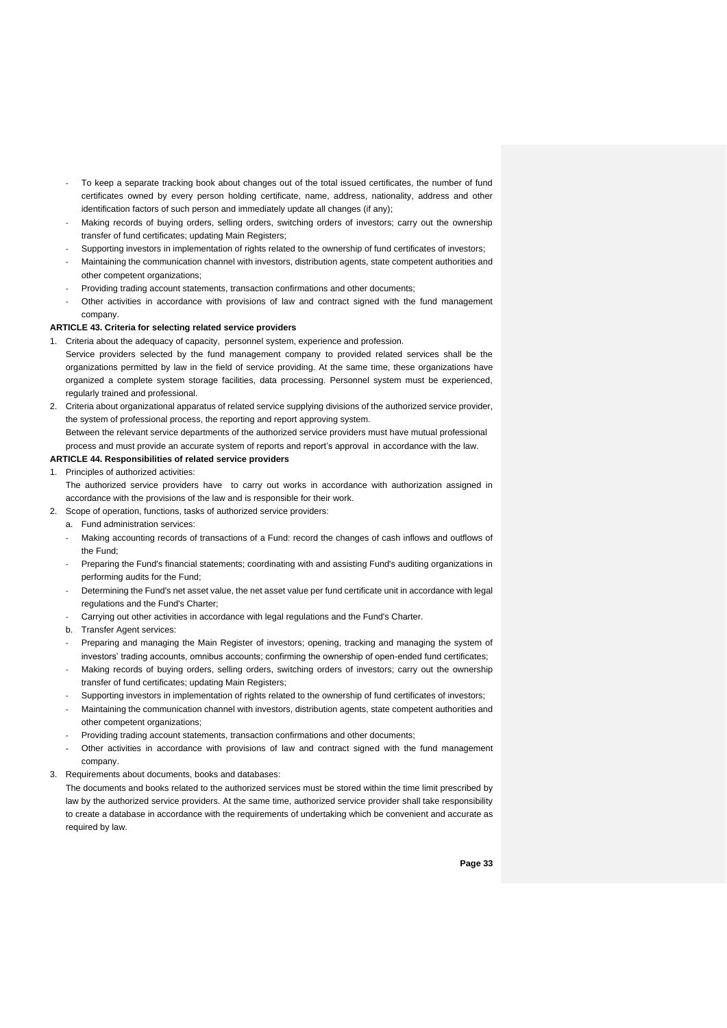- To keep a separate tracking book about changes out of the total issued certificates, the number of fund certificates owned by every person holding certificate, name, address, nationality, address and other identification factors of such person and immediately update all changes (if any);
- Making records of buying orders, selling orders, switching orders of investors; carry out the ownership transfer of fund certificates; updating Main Registers;
- Supporting investors in implementation of rights related to the ownership of fund certificates of investors;
- Maintaining the communication channel with investors, distribution agents, state competent authorities and other competent organizations;
- Providing trading account statements, transaction confirmations and other documents;
- Other activities in accordance with provisions of law and contract signed with the fund management company.

#### **ARTICLE 43. Criteria for selecting related service providers**

- 1. Criteria about the adequacy of capacity, personnel system, experience and profession. Service providers selected by the fund management company to provided related services shall be the organizations permitted by law in the field of service providing. At the same time, these organizations have organized a complete system storage facilities, data processing. Personnel system must be experienced, regularly trained and professional.
- 2. Criteria about organizational apparatus of related service supplying divisions of the authorized service provider, the system of professional process, the reporting and report approving system. Between the relevant service departments of the authorized service providers must have mutual professional process and must provide an accurate system of reports and report's approval in accordance with the law.

#### **ARTICLE 44. Responsibilities of related service providers**

- 1. Principles of authorized activities: The authorized service providers have to carry out works in accordance with authorization assigned in
	- accordance with the provisions of the law and is responsible for their work.
- 2. Scope of operation, functions, tasks of authorized service providers:
	- a. Fund administration services:
		- Making accounting records of transactions of a Fund: record the changes of cash inflows and outflows of the Fund;
	- Preparing the Fund's financial statements; coordinating with and assisting Fund's auditing organizations in performing audits for the Fund;
	- Determining the Fund's net asset value, the net asset value per fund certificate unit in accordance with legal regulations and the Fund's Charter;
	- Carrying out other activities in accordance with legal regulations and the Fund's Charter.
	- b. Transfer Agent services:
	- Preparing and managing the Main Register of investors; opening, tracking and managing the system of investors' trading accounts, omnibus accounts; confirming the ownership of open-ended fund certificates;
	- Making records of buying orders, selling orders, switching orders of investors; carry out the ownership transfer of fund certificates; updating Main Registers;
	- Supporting investors in implementation of rights related to the ownership of fund certificates of investors;
	- Maintaining the communication channel with investors, distribution agents, state competent authorities and other competent organizations;
	- Providing trading account statements, transaction confirmations and other documents;
	- Other activities in accordance with provisions of law and contract signed with the fund management company.
- 3. Requirements about documents, books and databases:

The documents and books related to the authorized services must be stored within the time limit prescribed by law by the authorized service providers. At the same time, authorized service provider shall take responsibility to create a database in accordance with the requirements of undertaking which be convenient and accurate as required by law.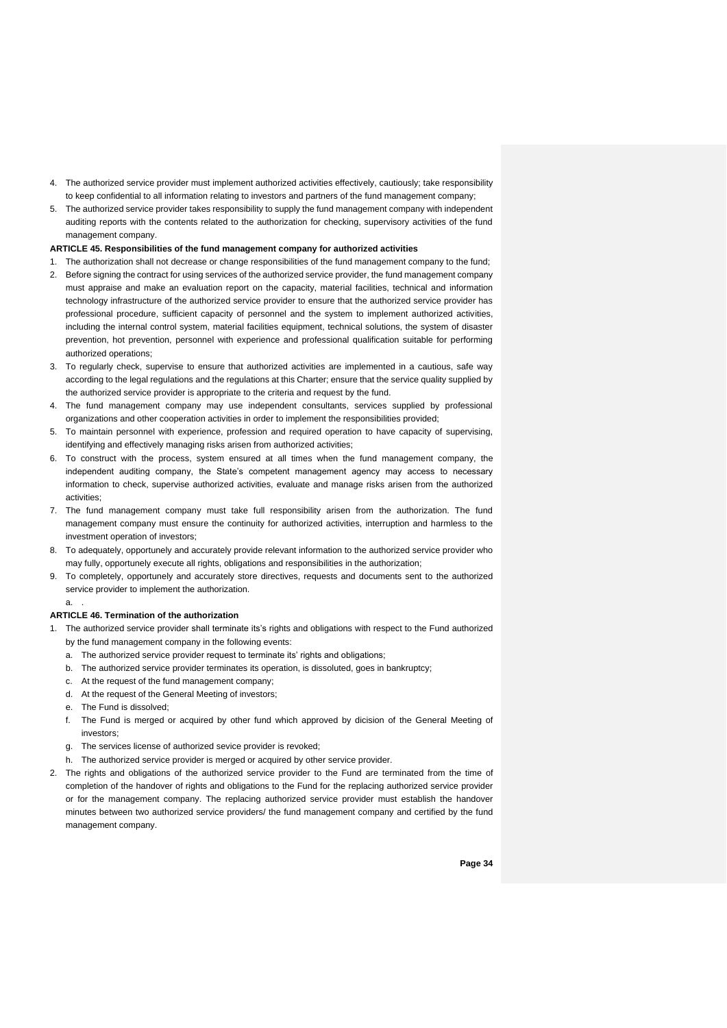- 4. The authorized service provider must implement authorized activities effectively, cautiously; take responsibility to keep confidential to all information relating to investors and partners of the fund management company;
- 5. The authorized service provider takes responsibility to supply the fund management company with independent auditing reports with the contents related to the authorization for checking, supervisory activities of the fund management company.

#### **ARTICLE 45. Responsibilities of the fund management company for authorized activities**

- 1. The authorization shall not decrease or change responsibilities of the fund management company to the fund;
- 2. Before signing the contract for using services of the authorized service provider, the fund management company must appraise and make an evaluation report on the capacity, material facilities, technical and information technology infrastructure of the authorized service provider to ensure that the authorized service provider has professional procedure, sufficient capacity of personnel and the system to implement authorized activities, including the internal control system, material facilities equipment, technical solutions, the system of disaster prevention, hot prevention, personnel with experience and professional qualification suitable for performing authorized operations;
- 3. To regularly check, supervise to ensure that authorized activities are implemented in a cautious, safe way according to the legal regulations and the regulations at this Charter; ensure that the service quality supplied by the authorized service provider is appropriate to the criteria and request by the fund.
- 4. The fund management company may use independent consultants, services supplied by professional organizations and other cooperation activities in order to implement the responsibilities provided;
- 5. To maintain personnel with experience, profession and required operation to have capacity of supervising, identifying and effectively managing risks arisen from authorized activities;
- 6. To construct with the process, system ensured at all times when the fund management company, the independent auditing company, the State's competent management agency may access to necessary information to check, supervise authorized activities, evaluate and manage risks arisen from the authorized activities;
- 7. The fund management company must take full responsibility arisen from the authorization. The fund management company must ensure the continuity for authorized activities, interruption and harmless to the investment operation of investors;
- 8. To adequately, opportunely and accurately provide relevant information to the authorized service provider who may fully, opportunely execute all rights, obligations and responsibilities in the authorization;
- 9. To completely, opportunely and accurately store directives, requests and documents sent to the authorized service provider to implement the authorization.

a. .

#### **ARTICLE 46. Termination of the authorization**

- 1. The authorized service provider shall terminate its's rights and obligations with respect to the Fund authorized by the fund management company in the following events:
	- a. The authorized service provider request to terminate its' rights and obligations;
	- b. The authorized service provider terminates its operation, is dissoluted, goes in bankruptcy;
	- c. At the request of the fund management company;
	- d. At the request of the General Meeting of investors;
	- e. The Fund is dissolved;
	- f. The Fund is merged or acquired by other fund which approved by dicision of the General Meeting of investors;
	- g. The services license of authorized sevice provider is revoked;
	- h. The authorized service provider is merged or acquired by other service provider.
- 2. The rights and obligations of the authorized service provider to the Fund are terminated from the time of completion of the handover of rights and obligations to the Fund for the replacing authorized service provider or for the management company. The replacing authorized service provider must establish the handover minutes between two authorized service providers/ the fund management company and certified by the fund management company.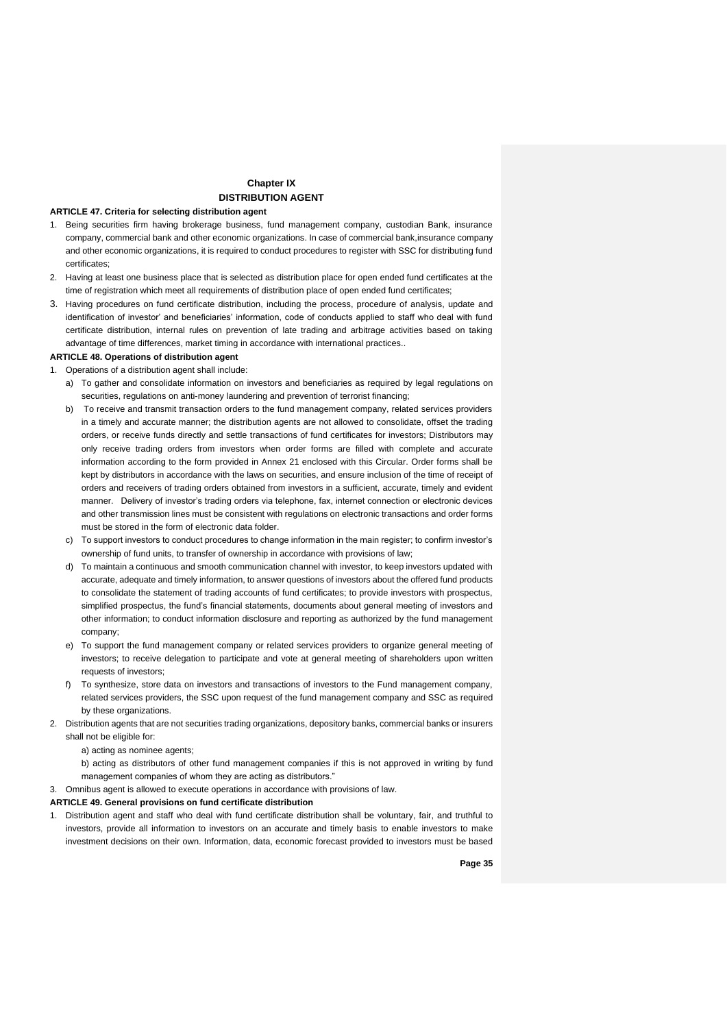## **Chapter IX DISTRIBUTION AGENT**

#### **ARTICLE 47. Criteria for selecting distribution agent**

- 1. Being securities firm having brokerage business, fund management company, custodian Bank, insurance company, commercial bank and other economic organizations. In case of commercial bank,insurance company and other economic organizations, it is required to conduct procedures to register with SSC for distributing fund certificates;
- 2. Having at least one business place that is selected as distribution place for open ended fund certificates at the time of registration which meet all requirements of distribution place of open ended fund certificates;
- 3. Having procedures on fund certificate distribution, including the process, procedure of analysis, update and identification of investor' and beneficiaries' information, code of conducts applied to staff who deal with fund certificate distribution, internal rules on prevention of late trading and arbitrage activities based on taking advantage of time differences, market timing in accordance with international practices..

#### **ARTICLE 48. Operations of distribution agent**

- 1. Operations of a distribution agent shall include:
	- a) To gather and consolidate information on investors and beneficiaries as required by legal regulations on securities, regulations on anti-money laundering and prevention of terrorist financing;
	- b) To receive and transmit transaction orders to the fund management company, related services providers in a timely and accurate manner; the distribution agents are not allowed to consolidate, offset the trading orders, or receive funds directly and settle transactions of fund certificates for investors; Distributors may only receive trading orders from investors when order forms are filled with complete and accurate information according to the form provided in Annex 21 enclosed with this Circular. Order forms shall be kept by distributors in accordance with the laws on securities, and ensure inclusion of the time of receipt of orders and receivers of trading orders obtained from investors in a sufficient, accurate, timely and evident manner. Delivery of investor's trading orders via telephone, fax, internet connection or electronic devices and other transmission lines must be consistent with regulations on electronic transactions and order forms must be stored in the form of electronic data folder.
	- c) To support investors to conduct procedures to change information in the main register; to confirm investor's ownership of fund units, to transfer of ownership in accordance with provisions of law;
	- d) To maintain a continuous and smooth communication channel with investor, to keep investors updated with accurate, adequate and timely information, to answer questions of investors about the offered fund products to consolidate the statement of trading accounts of fund certificates; to provide investors with prospectus, simplified prospectus, the fund's financial statements, documents about general meeting of investors and other information; to conduct information disclosure and reporting as authorized by the fund management company;
	- e) To support the fund management company or related services providers to organize general meeting of investors; to receive delegation to participate and vote at general meeting of shareholders upon written requests of investors;
	- f) To synthesize, store data on investors and transactions of investors to the Fund management company, related services providers, the SSC upon request of the fund management company and SSC as required by these organizations.
- 2. Distribution agents that are not securities trading organizations, depository banks, commercial banks or insurers shall not be eligible for:
	- a) acting as nominee agents;
	- b) acting as distributors of other fund management companies if this is not approved in writing by fund management companies of whom they are acting as distributors."
- 3. Omnibus agent is allowed to execute operations in accordance with provisions of law.

#### **ARTICLE 49. General provisions on fund certificate distribution**

1. Distribution agent and staff who deal with fund certificate distribution shall be voluntary, fair, and truthful to investors, provide all information to investors on an accurate and timely basis to enable investors to make investment decisions on their own. Information, data, economic forecast provided to investors must be based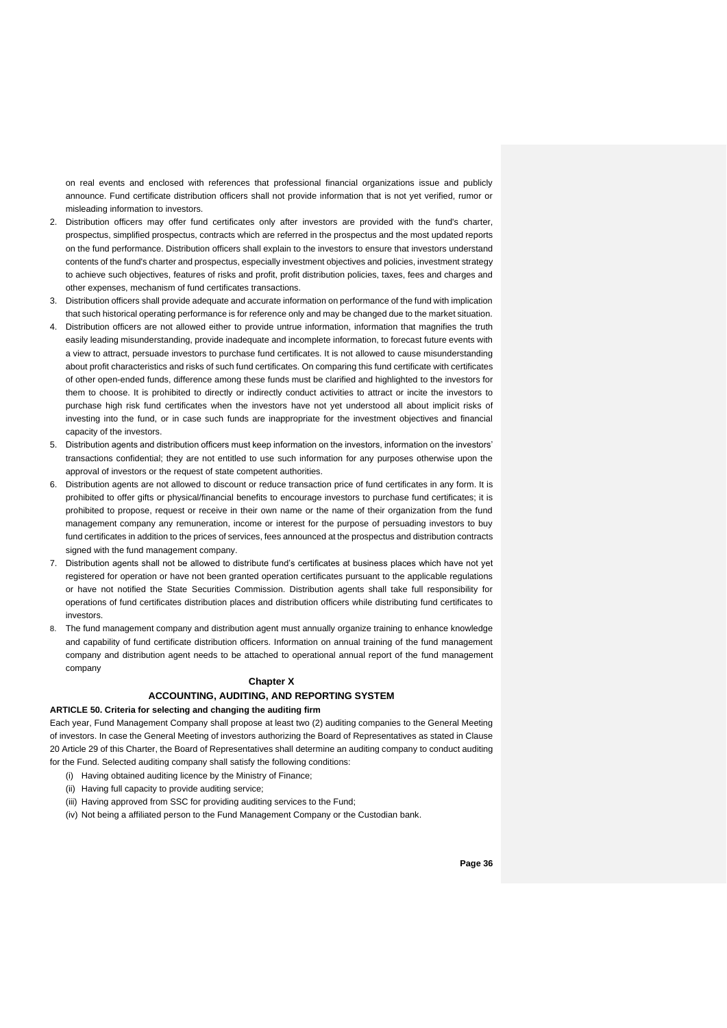on real events and enclosed with references that professional financial organizations issue and publicly announce. Fund certificate distribution officers shall not provide information that is not yet verified, rumor or misleading information to investors.

- 2. Distribution officers may offer fund certificates only after investors are provided with the fund's charter, prospectus, simplified prospectus, contracts which are referred in the prospectus and the most updated reports on the fund performance. Distribution officers shall explain to the investors to ensure that investors understand contents of the fund's charter and prospectus, especially investment objectives and policies, investment strategy to achieve such objectives, features of risks and profit, profit distribution policies, taxes, fees and charges and other expenses, mechanism of fund certificates transactions.
- 3. Distribution officers shall provide adequate and accurate information on performance of the fund with implication that such historical operating performance is for reference only and may be changed due to the market situation.
- 4. Distribution officers are not allowed either to provide untrue information, information that magnifies the truth easily leading misunderstanding, provide inadequate and incomplete information, to forecast future events with a view to attract, persuade investors to purchase fund certificates. It is not allowed to cause misunderstanding about profit characteristics and risks of such fund certificates. On comparing this fund certificate with certificates of other open-ended funds, difference among these funds must be clarified and highlighted to the investors for them to choose. It is prohibited to directly or indirectly conduct activities to attract or incite the investors to purchase high risk fund certificates when the investors have not yet understood all about implicit risks of investing into the fund, or in case such funds are inappropriate for the investment objectives and financial capacity of the investors.
- 5. Distribution agents and distribution officers must keep information on the investors, information on the investors' transactions confidential; they are not entitled to use such information for any purposes otherwise upon the approval of investors or the request of state competent authorities.
- 6. Distribution agents are not allowed to discount or reduce transaction price of fund certificates in any form. It is prohibited to offer gifts or physical/financial benefits to encourage investors to purchase fund certificates; it is prohibited to propose, request or receive in their own name or the name of their organization from the fund management company any remuneration, income or interest for the purpose of persuading investors to buy fund certificates in addition to the prices of services, fees announced at the prospectus and distribution contracts signed with the fund management company.
- 7. Distribution agents shall not be allowed to distribute fund's certificates at business places which have not yet registered for operation or have not been granted operation certificates pursuant to the applicable regulations or have not notified the State Securities Commission. Distribution agents shall take full responsibility for operations of fund certificates distribution places and distribution officers while distributing fund certificates to investors.
- 8. The fund management company and distribution agent must annually organize training to enhance knowledge and capability of fund certificate distribution officers. Information on annual training of the fund management company and distribution agent needs to be attached to operational annual report of the fund management company

#### **Chapter X**

## **ACCOUNTING, AUDITING, AND REPORTING SYSTEM**

#### **ARTICLE 50. Criteria for selecting and changing the auditing firm**

Each year, Fund Management Company shall propose at least two (2) auditing companies to the General Meeting of investors. In case the General Meeting of investors authorizing the Board of Representatives as stated in Clause 20 Article 29 of this Charter, the Board of Representatives shall determine an auditing company to conduct auditing for the Fund. Selected auditing company shall satisfy the following conditions:

- (i) Having obtained auditing licence by the Ministry of Finance;
- (ii) Having full capacity to provide auditing service;
- (iii) Having approved from SSC for providing auditing services to the Fund;
- (iv) Not being a affiliated person to the Fund Management Company or the Custodian bank.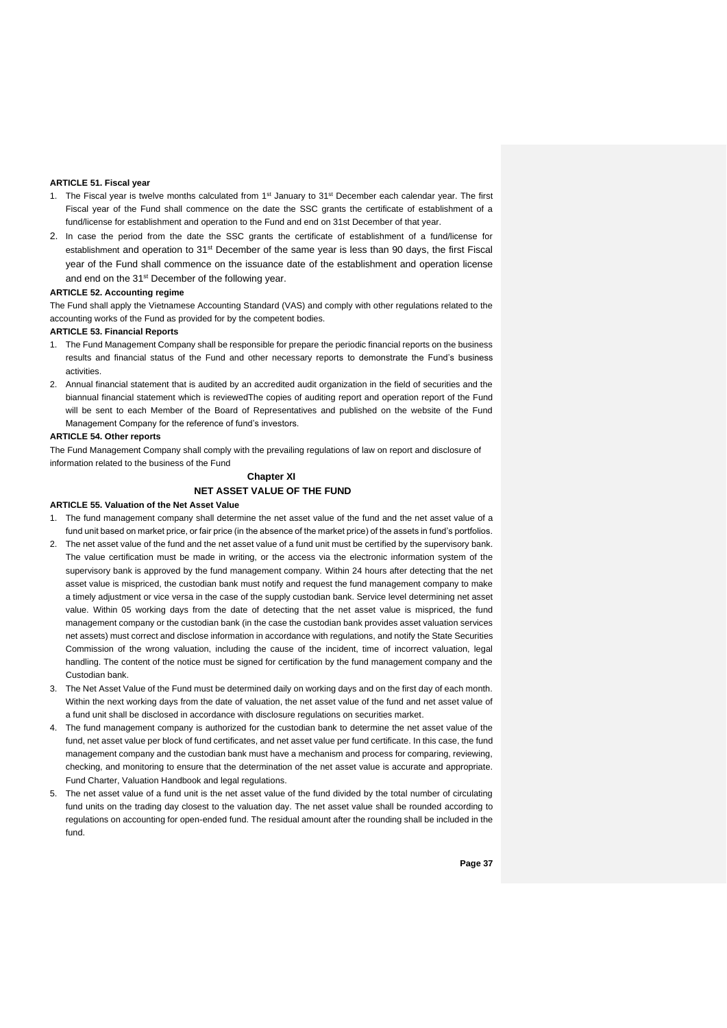#### **ARTICLE 51. Fiscal year**

- 1. The Fiscal year is twelve months calculated from 1<sup>st</sup> January to 31<sup>st</sup> December each calendar year. The first Fiscal year of the Fund shall commence on the date the SSC grants the certificate of establishment of a fund/license for establishment and operation to the Fund and end on 31st December of that year.
- 2. In case the period from the date the SSC grants the certificate of establishment of a fund/license for establishment and operation to 31st December of the same year is less than 90 days, the first Fiscal year of the Fund shall commence on the issuance date of the establishment and operation license and end on the 31<sup>st</sup> December of the following year.

#### **ARTICLE 52. Accounting regime**

The Fund shall apply the Vietnamese Accounting Standard (VAS) and comply with other regulations related to the accounting works of the Fund as provided for by the competent bodies.

#### **ARTICLE 53. Financial Reports**

- 1. The Fund Management Company shall be responsible for prepare the periodic financial reports on the business results and financial status of the Fund and other necessary reports to demonstrate the Fund's business activities.
- 2. Annual financial statement that is audited by an accredited audit organization in the field of securities and the biannual financial statement which is reviewedThe copies of auditing report and operation report of the Fund will be sent to each Member of the Board of Representatives and published on the website of the Fund Management Company for the reference of fund's investors.

#### **ARTICLE 54. Other reports**

The Fund Management Company shall comply with the prevailing regulations of law on report and disclosure of information related to the business of the Fund

#### **Chapter XI NET ASSET VALUE OF THE FUND**

#### **ARTICLE 55. Valuation of the Net Asset Value**

- 1. The fund management company shall determine the net asset value of the fund and the net asset value of a fund unit based on market price, or fair price (in the absence of the market price) of the assets in fund's portfolios.
- 2. The net asset value of the fund and the net asset value of a fund unit must be certified by the supervisory bank. The value certification must be made in writing, or the access via the electronic information system of the supervisory bank is approved by the fund management company. Within 24 hours after detecting that the net asset value is mispriced, the custodian bank must notify and request the fund management company to make a timely adjustment or vice versa in the case of the supply custodian bank. Service level determining net asset value. Within 05 working days from the date of detecting that the net asset value is mispriced, the fund management company or the custodian bank (in the case the custodian bank provides asset valuation services net assets) must correct and disclose information in accordance with regulations, and notify the State Securities Commission of the wrong valuation, including the cause of the incident, time of incorrect valuation, legal handling. The content of the notice must be signed for certification by the fund management company and the Custodian bank.
- 3. The Net Asset Value of the Fund must be determined daily on working days and on the first day of each month. Within the next working days from the date of valuation, the net asset value of the fund and net asset value of a fund unit shall be disclosed in accordance with disclosure regulations on securities market.
- 4. The fund management company is authorized for the custodian bank to determine the net asset value of the fund, net asset value per block of fund certificates, and net asset value per fund certificate. In this case, the fund management company and the custodian bank must have a mechanism and process for comparing, reviewing, checking, and monitoring to ensure that the determination of the net asset value is accurate and appropriate. Fund Charter, Valuation Handbook and legal regulations.
- 5. The net asset value of a fund unit is the net asset value of the fund divided by the total number of circulating fund units on the trading day closest to the valuation day. The net asset value shall be rounded according to regulations on accounting for open-ended fund. The residual amount after the rounding shall be included in the fund.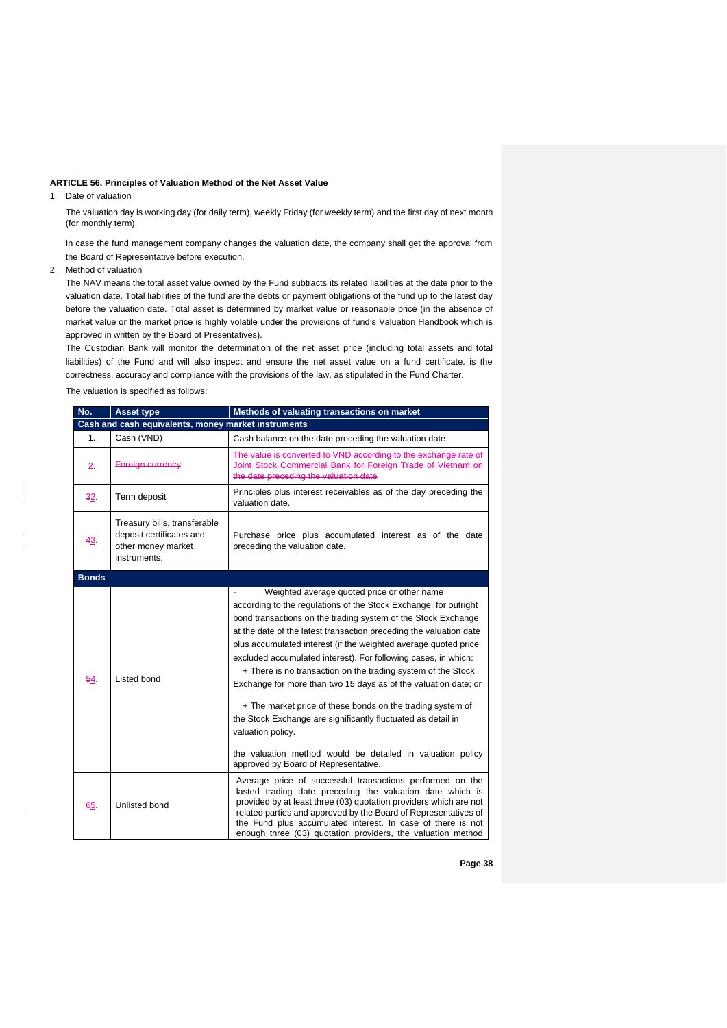#### **ARTICLE 56. Principles of Valuation Method of the Net Asset Value**

1. Date of valuation

The valuation day is working day (for daily term), weekly Friday (for weekly term) and the first day of next month (for monthly term).

In case the fund management company changes the valuation date, the company shall get the approval from the Board of Representative before execution.

2. Method of valuation

The NAV means the total asset value owned by the Fund subtracts its related liabilities at the date prior to the valuation date. Total liabilities of the fund are the debts or payment obligations of the fund up to the latest day before the valuation date. Total asset is determined by market value or reasonable price (in the absence of market value or the market price is highly volatile under the provisions of fund's Valuation Handbook which is approved in written by the Board of Presentatives).

The Custodian Bank will monitor the determination of the net asset price (including total assets and total liabilities) of the Fund and will also inspect and ensure the net asset value on a fund certificate. is the correctness, accuracy and compliance with the provisions of the law, as stipulated in the Fund Charter.

The valuation is specified as follows:

| No.          | <b>Asset type</b>                                                                              | Methods of valuating transactions on market                                                                                                                                                                                                                                                                                                                                                                                                                                                                                                                                                                                                                                                                                                                                             |  |  |
|--------------|------------------------------------------------------------------------------------------------|-----------------------------------------------------------------------------------------------------------------------------------------------------------------------------------------------------------------------------------------------------------------------------------------------------------------------------------------------------------------------------------------------------------------------------------------------------------------------------------------------------------------------------------------------------------------------------------------------------------------------------------------------------------------------------------------------------------------------------------------------------------------------------------------|--|--|
|              | Cash and cash equivalents, money market instruments                                            |                                                                                                                                                                                                                                                                                                                                                                                                                                                                                                                                                                                                                                                                                                                                                                                         |  |  |
| 1.           | Cash (VND)                                                                                     | Cash balance on the date preceding the valuation date                                                                                                                                                                                                                                                                                                                                                                                                                                                                                                                                                                                                                                                                                                                                   |  |  |
| 2.           | Foreign currency                                                                               | The value is converted to VND according to the exchange rate of<br>Joint Stock Commercial Bank for Foreign Trade of Vietnam on<br>the date preceding the valuation date                                                                                                                                                                                                                                                                                                                                                                                                                                                                                                                                                                                                                 |  |  |
| 32.          | Term deposit                                                                                   | Principles plus interest receivables as of the day preceding the<br>valuation date.                                                                                                                                                                                                                                                                                                                                                                                                                                                                                                                                                                                                                                                                                                     |  |  |
| 43           | Treasury bills, transferable<br>deposit certificates and<br>other money market<br>instruments. | Purchase price plus accumulated interest as of the date<br>preceding the valuation date.                                                                                                                                                                                                                                                                                                                                                                                                                                                                                                                                                                                                                                                                                                |  |  |
| <b>Bonds</b> |                                                                                                |                                                                                                                                                                                                                                                                                                                                                                                                                                                                                                                                                                                                                                                                                                                                                                                         |  |  |
| 54           | Listed bond                                                                                    | Weighted average quoted price or other name<br>according to the regulations of the Stock Exchange, for outright<br>bond transactions on the trading system of the Stock Exchange<br>at the date of the latest transaction preceding the valuation date<br>plus accumulated interest (if the weighted average quoted price<br>excluded accumulated interest). For following cases, in which:<br>+ There is no transaction on the trading system of the Stock<br>Exchange for more than two 15 days as of the valuation date; or<br>+ The market price of these bonds on the trading system of<br>the Stock Exchange are significantly fluctuated as detail in<br>valuation policy.<br>the valuation method would be detailed in valuation policy<br>approved by Board of Representative. |  |  |
| 65           | Unlisted bond                                                                                  | Average price of successful transactions performed on the<br>lasted trading date preceding the valuation date which is<br>provided by at least three (03) quotation providers which are not<br>related parties and approved by the Board of Representatives of<br>the Fund plus accumulated interest. In case of there is not<br>enough three (03) quotation providers, the valuation method                                                                                                                                                                                                                                                                                                                                                                                            |  |  |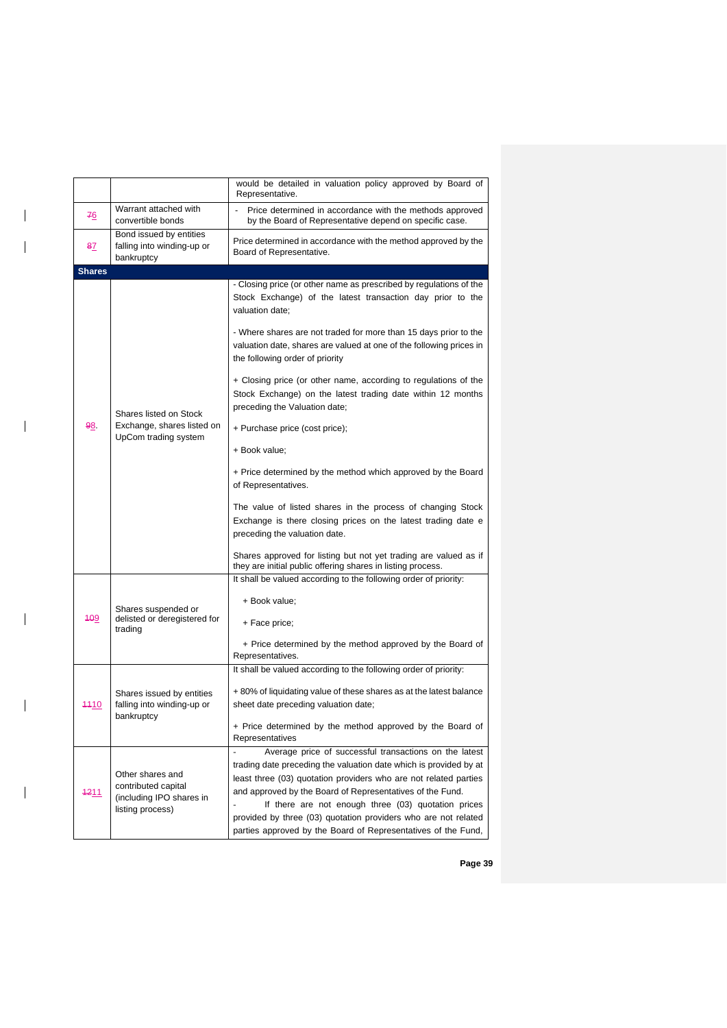|               |                                                                                         | would be detailed in valuation policy approved by Board of<br>Representative.                                                                                                                                                                                                                                                                                                                                                                                                                                                                                                                                                                                                                                                                                                                                                                                                                                                                      |
|---------------|-----------------------------------------------------------------------------------------|----------------------------------------------------------------------------------------------------------------------------------------------------------------------------------------------------------------------------------------------------------------------------------------------------------------------------------------------------------------------------------------------------------------------------------------------------------------------------------------------------------------------------------------------------------------------------------------------------------------------------------------------------------------------------------------------------------------------------------------------------------------------------------------------------------------------------------------------------------------------------------------------------------------------------------------------------|
| 76            | Warrant attached with<br>convertible bonds                                              | Price determined in accordance with the methods approved<br>by the Board of Representative depend on specific case.                                                                                                                                                                                                                                                                                                                                                                                                                                                                                                                                                                                                                                                                                                                                                                                                                                |
| 8 <u>7</u>    | Bond issued by entities<br>falling into winding-up or<br>bankruptcy                     | Price determined in accordance with the method approved by the<br>Board of Representative.                                                                                                                                                                                                                                                                                                                                                                                                                                                                                                                                                                                                                                                                                                                                                                                                                                                         |
| <b>Shares</b> |                                                                                         |                                                                                                                                                                                                                                                                                                                                                                                                                                                                                                                                                                                                                                                                                                                                                                                                                                                                                                                                                    |
| 98            | Shares listed on Stock<br>Exchange, shares listed on<br>UpCom trading system            | - Closing price (or other name as prescribed by regulations of the<br>Stock Exchange) of the latest transaction day prior to the<br>valuation date:<br>- Where shares are not traded for more than 15 days prior to the<br>valuation date, shares are valued at one of the following prices in<br>the following order of priority<br>+ Closing price (or other name, according to regulations of the<br>Stock Exchange) on the latest trading date within 12 months<br>preceding the Valuation date;<br>+ Purchase price (cost price);<br>+ Book value;<br>+ Price determined by the method which approved by the Board<br>of Representatives.<br>The value of listed shares in the process of changing Stock<br>Exchange is there closing prices on the latest trading date e<br>preceding the valuation date.<br>Shares approved for listing but not yet trading are valued as if<br>they are initial public offering shares in listing process. |
| <b>409</b>    | Shares suspended or<br>delisted or deregistered for<br>trading                          | It shall be valued according to the following order of priority:<br>+ Book value;<br>+ Face price;<br>+ Price determined by the method approved by the Board of<br>Representatives.                                                                                                                                                                                                                                                                                                                                                                                                                                                                                                                                                                                                                                                                                                                                                                |
| 4410          | Shares issued by entities<br>falling into winding-up or<br>bankruptcy                   | It shall be valued according to the following order of priority:<br>+80% of liquidating value of these shares as at the latest balance<br>sheet date preceding valuation date;<br>+ Price determined by the method approved by the Board of<br>Representatives                                                                                                                                                                                                                                                                                                                                                                                                                                                                                                                                                                                                                                                                                     |
| 4211          | Other shares and<br>contributed capital<br>(including IPO shares in<br>listing process) | Average price of successful transactions on the latest<br>trading date preceding the valuation date which is provided by at<br>least three (03) quotation providers who are not related parties<br>and approved by the Board of Representatives of the Fund.<br>If there are not enough three (03) quotation prices<br>provided by three (03) quotation providers who are not related<br>parties approved by the Board of Representatives of the Fund,                                                                                                                                                                                                                                                                                                                                                                                                                                                                                             |

 $\overline{\phantom{a}}$ 

 $\overline{\phantom{a}}$ 

 $\overline{\phantom{a}}$ 

 $\mathbf{l}$ 

 $\overline{\phantom{a}}$ 

 $\begin{array}{c} \hline \end{array}$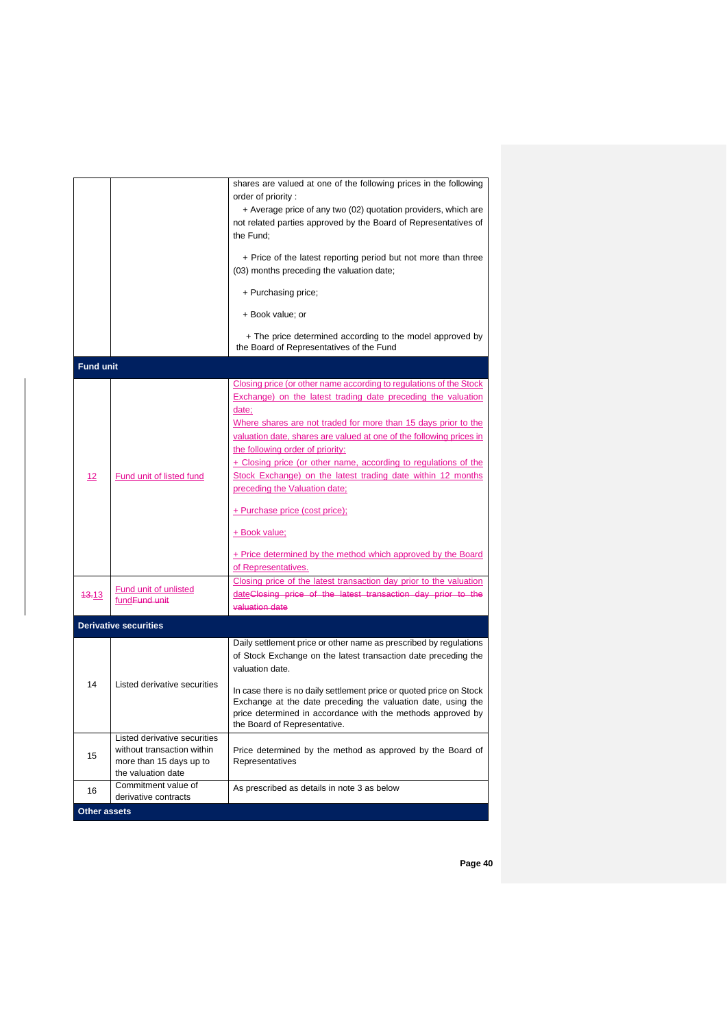|                  |                                                           | shares are valued at one of the following prices in the following                                                           |
|------------------|-----------------------------------------------------------|-----------------------------------------------------------------------------------------------------------------------------|
|                  |                                                           | order of priority:                                                                                                          |
|                  |                                                           | + Average price of any two (02) quotation providers, which are                                                              |
|                  |                                                           | not related parties approved by the Board of Representatives of                                                             |
|                  |                                                           | the Fund;                                                                                                                   |
|                  |                                                           | + Price of the latest reporting period but not more than three                                                              |
|                  |                                                           | (03) months preceding the valuation date;                                                                                   |
|                  |                                                           | + Purchasing price;                                                                                                         |
|                  |                                                           | + Book value; or                                                                                                            |
|                  |                                                           | + The price determined according to the model approved by<br>the Board of Representatives of the Fund                       |
| <b>Fund unit</b> |                                                           |                                                                                                                             |
|                  |                                                           | Closing price (or other name according to regulations of the Stock                                                          |
|                  |                                                           | <b>Exchange)</b> on the latest trading date preceding the valuation                                                         |
|                  |                                                           | date:                                                                                                                       |
|                  | <b>Fund unit of listed fund</b>                           | Where shares are not traded for more than 15 days prior to the                                                              |
|                  |                                                           | valuation date, shares are valued at one of the following prices in                                                         |
|                  |                                                           | the following order of priority:                                                                                            |
|                  |                                                           | + Closing price (or other name, according to regulations of the                                                             |
| 12               |                                                           | Stock Exchange) on the latest trading date within 12 months                                                                 |
|                  |                                                           | preceding the Valuation date;                                                                                               |
|                  |                                                           | <u>+ Purchase price (cost price);</u>                                                                                       |
|                  |                                                           | <u>+ Book value;</u>                                                                                                        |
|                  |                                                           | + Price determined by the method which approved by the Board                                                                |
|                  |                                                           | of Representatives.                                                                                                         |
|                  | <b>Fund unit of unlisted</b><br>fund <del>Fund unit</del> | Closing price of the latest transaction day prior to the valuation                                                          |
| <b>43.13</b>     |                                                           | dateClosing price of the latest transaction day prior to the                                                                |
|                  |                                                           | valuation date                                                                                                              |
|                  | <b>Derivative securities</b>                              |                                                                                                                             |
|                  | Listed derivative securities                              | Daily settlement price or other name as prescribed by regulations                                                           |
|                  |                                                           | of Stock Exchange on the latest transaction date preceding the                                                              |
|                  |                                                           | valuation date.                                                                                                             |
| 14               |                                                           |                                                                                                                             |
|                  |                                                           | In case there is no daily settlement price or quoted price on Stock                                                         |
|                  |                                                           | Exchange at the date preceding the valuation date, using the<br>price determined in accordance with the methods approved by |
|                  |                                                           | the Board of Representative.                                                                                                |
| 15               | Listed derivative securities                              |                                                                                                                             |
|                  | without transaction within                                | Price determined by the method as approved by the Board of                                                                  |
|                  | more than 15 days up to                                   | Representatives                                                                                                             |
|                  | the valuation date                                        |                                                                                                                             |
| 16               | Commitment value of<br>derivative contracts               | As prescribed as details in note 3 as below                                                                                 |
|                  |                                                           |                                                                                                                             |
| Other assets     |                                                           |                                                                                                                             |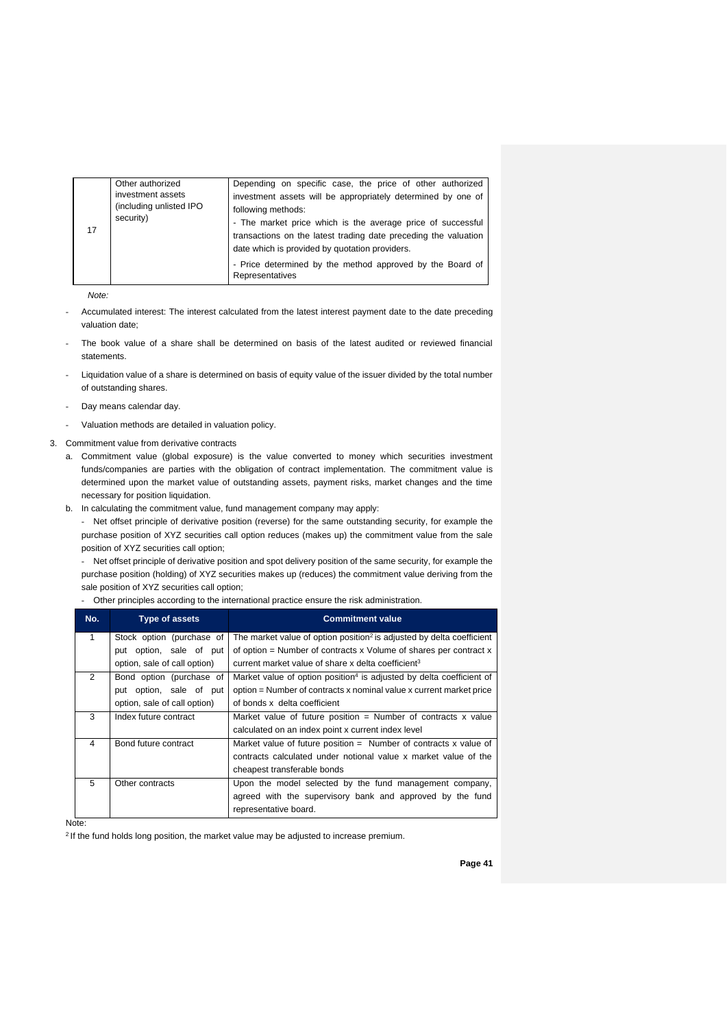| Other authorized<br>investment assets<br>(including unlisted IPO<br>security)<br>17 | Depending on specific case, the price of other authorized<br>investment assets will be appropriately determined by one of<br>following methods:<br>- The market price which is the average price of successful<br>transactions on the latest trading date preceding the valuation<br>date which is provided by quotation providers.<br>- Price determined by the method approved by the Board of<br>Representatives |
|-------------------------------------------------------------------------------------|---------------------------------------------------------------------------------------------------------------------------------------------------------------------------------------------------------------------------------------------------------------------------------------------------------------------------------------------------------------------------------------------------------------------|
|-------------------------------------------------------------------------------------|---------------------------------------------------------------------------------------------------------------------------------------------------------------------------------------------------------------------------------------------------------------------------------------------------------------------------------------------------------------------------------------------------------------------|

*Note:*

- Accumulated interest: The interest calculated from the latest interest payment date to the date preceding valuation date;
- The book value of a share shall be determined on basis of the latest audited or reviewed financial statements.
- Liquidation value of a share is determined on basis of equity value of the issuer divided by the total number of outstanding shares.
- Day means calendar day.
- Valuation methods are detailed in valuation policy.

#### 3. Commitment value from derivative contracts

- a. Commitment value (global exposure) is the value converted to money which securities investment funds/companies are parties with the obligation of contract implementation. The commitment value is determined upon the market value of outstanding assets, payment risks, market changes and the time necessary for position liquidation.
- b. In calculating the commitment value, fund management company may apply:

- Net offset principle of derivative position (reverse) for the same outstanding security, for example the purchase position of XYZ securities call option reduces (makes up) the commitment value from the sale position of XYZ securities call option;

- Net offset principle of derivative position and spot delivery position of the same security, for example the purchase position (holding) of XYZ securities makes up (reduces) the commitment value deriving from the sale position of XYZ securities call option;

Other principles according to the international practice ensure the risk administration.

| No.            | <b>Type of assets</b>        | <b>Commitment value</b>                                                           |
|----------------|------------------------------|-----------------------------------------------------------------------------------|
| 1              | Stock option (purchase of    | The market value of option position <sup>2</sup> is adjusted by delta coefficient |
|                | put option, sale of put      | of option = Number of contracts x Volume of shares per contract x                 |
|                | option, sale of call option) | current market value of share x delta coefficient <sup>3</sup>                    |
| $\mathfrak{p}$ | Bond option (purchase of     | Market value of option position <sup>4</sup> is adjusted by delta coefficient of  |
|                | put option, sale of put      | option = Number of contracts x nominal value x current market price               |
|                | option, sale of call option) | of bonds x delta coefficient                                                      |
| 3              | Index future contract        | Market value of future position = Number of contracts x value                     |
|                |                              | calculated on an index point x current index level                                |
| 4              | Bond future contract         | Market value of future position $=$ Number of contracts x value of                |
|                |                              | contracts calculated under notional value x market value of the                   |
|                |                              | cheapest transferable bonds                                                       |
| 5              | Other contracts              | Upon the model selected by the fund management company,                           |
|                |                              | agreed with the supervisory bank and approved by the fund                         |
|                |                              | representative board.                                                             |

Note:

<sup>2</sup> If the fund holds long position, the market value may be adjusted to increase premium.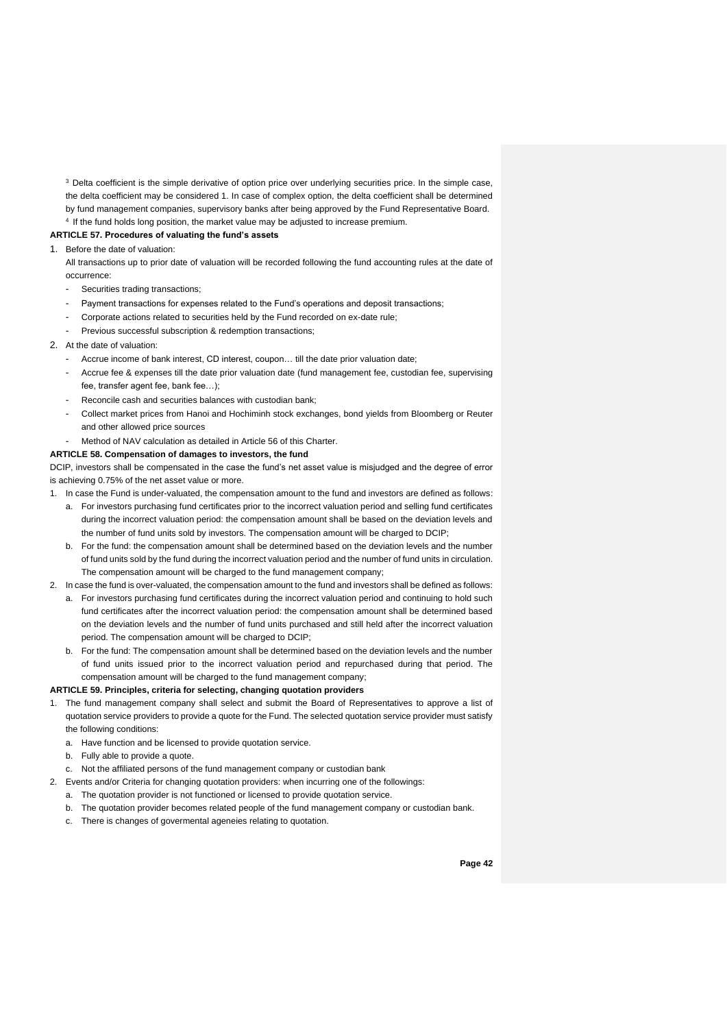<sup>3</sup> Delta coefficient is the simple derivative of option price over underlying securities price. In the simple case, the delta coefficient may be considered 1. In case of complex option, the delta coefficient shall be determined by fund management companies, supervisory banks after being approved by the Fund Representative Board. <sup>4</sup> If the fund holds long position, the market value may be adjusted to increase premium.

#### **ARTICLE 57. Procedures of valuating the fund's assets**

#### 1. Before the date of valuation:

All transactions up to prior date of valuation will be recorded following the fund accounting rules at the date of occurrence:

- Securities trading transactions;
- Payment transactions for expenses related to the Fund's operations and deposit transactions;
- Corporate actions related to securities held by the Fund recorded on ex-date rule;
- Previous successful subscription & redemption transactions:

#### 2. At the date of valuation:

- Accrue income of bank interest, CD interest, coupon… till the date prior valuation date;
- Accrue fee & expenses till the date prior valuation date (fund management fee, custodian fee, supervising fee, transfer agent fee, bank fee…);
- Reconcile cash and securities balances with custodian bank;
- Collect market prices from Hanoi and Hochiminh stock exchanges, bond yields from Bloomberg or Reuter and other allowed price sources
- Method of NAV calculation as detailed in Article 56 of this Charter.
- **ARTICLE 58. Compensation of damages to investors, the fund**

DCIP, investors shall be compensated in the case the fund's net asset value is misjudged and the degree of error is achieving 0.75% of the net asset value or more.

- 1. In case the Fund is under-valuated, the compensation amount to the fund and investors are defined as follows:
	- a. For investors purchasing fund certificates prior to the incorrect valuation period and selling fund certificates during the incorrect valuation period: the compensation amount shall be based on the deviation levels and the number of fund units sold by investors. The compensation amount will be charged to DCIP;
	- b. For the fund: the compensation amount shall be determined based on the deviation levels and the number of fund units sold by the fund during the incorrect valuation period and the number of fund units in circulation. The compensation amount will be charged to the fund management company;
- 2. In case the fund is over-valuated, the compensation amount to the fund and investors shall be defined as follows:
	- a. For investors purchasing fund certificates during the incorrect valuation period and continuing to hold such fund certificates after the incorrect valuation period: the compensation amount shall be determined based on the deviation levels and the number of fund units purchased and still held after the incorrect valuation period. The compensation amount will be charged to DCIP;
	- b. For the fund: The compensation amount shall be determined based on the deviation levels and the number of fund units issued prior to the incorrect valuation period and repurchased during that period. The compensation amount will be charged to the fund management company;

## **ARTICLE 59. Principles, criteria for selecting, changing quotation providers**

- 1. The fund management company shall select and submit the Board of Representatives to approve a list of quotation service providers to provide a quote for the Fund. The selected quotation service provider must satisfy the following conditions:
	- a. Have function and be licensed to provide quotation service.
	- b. Fully able to provide a quote.
	- c. Not the affiliated persons of the fund management company or custodian bank
- 2. Events and/or Criteria for changing quotation providers: when incurring one of the followings:
	- a. The quotation provider is not functioned or licensed to provide quotation service.
	- b. The quotation provider becomes related people of the fund management company or custodian bank.
	- c. There is changes of govermental ageneies relating to quotation.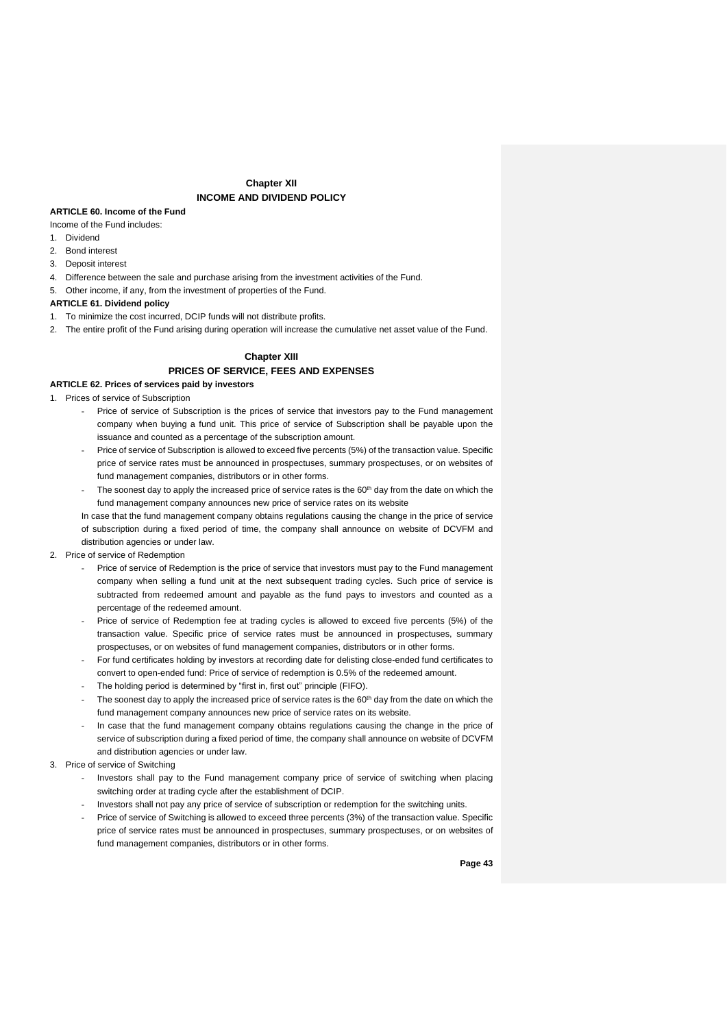## **Chapter XII INCOME AND DIVIDEND POLICY**

#### **ARTICLE 60. Income of the Fund**

Income of the Fund includes:

- 1. Dividend
- 2. Bond interest
- 3. Deposit interest
- 4. Difference between the sale and purchase arising from the investment activities of the Fund.
- 5. Other income, if any, from the investment of properties of the Fund.

#### **ARTICLE 61. Dividend policy**

- 1. To minimize the cost incurred, DCIP funds will not distribute profits.
- 2. The entire profit of the Fund arising during operation will increase the cumulative net asset value of the Fund.

### **Chapter XIII PRICES OF SERVICE, FEES AND EXPENSES**

#### **ARTICLE 62. Prices of services paid by investors**

- 1. Prices of service of Subscription
	- Price of service of Subscription is the prices of service that investors pay to the Fund management company when buying a fund unit. This price of service of Subscription shall be payable upon the issuance and counted as a percentage of the subscription amount.
	- Price of service of Subscription is allowed to exceed five percents (5%) of the transaction value. Specific price of service rates must be announced in prospectuses, summary prospectuses, or on websites of fund management companies, distributors or in other forms.
	- The soonest day to apply the increased price of service rates is the 60<sup>th</sup> day from the date on which the fund management company announces new price of service rates on its website
	- In case that the fund management company obtains regulations causing the change in the price of service of subscription during a fixed period of time, the company shall announce on website of DCVFM and distribution agencies or under law.
- 2. Price of service of Redemption
	- Price of service of Redemption is the price of service that investors must pay to the Fund management company when selling a fund unit at the next subsequent trading cycles. Such price of service is subtracted from redeemed amount and payable as the fund pays to investors and counted as a percentage of the redeemed amount.
	- Price of service of Redemption fee at trading cycles is allowed to exceed five percents (5%) of the transaction value. Specific price of service rates must be announced in prospectuses, summary prospectuses, or on websites of fund management companies, distributors or in other forms.
	- For fund certificates holding by investors at recording date for delisting close-ended fund certificates to convert to open-ended fund: Price of service of redemption is 0.5% of the redeemed amount.
	- The holding period is determined by "first in, first out" principle (FIFO).
	- The soonest day to apply the increased price of service rates is the  $60<sup>th</sup>$  day from the date on which the fund management company announces new price of service rates on its website.
	- In case that the fund management company obtains regulations causing the change in the price of service of subscription during a fixed period of time, the company shall announce on website of DCVFM and distribution agencies or under law.
- 3. Price of service of Switching
	- Investors shall pay to the Fund management company price of service of switching when placing switching order at trading cycle after the establishment of DCIP.
	- Investors shall not pay any price of service of subscription or redemption for the switching units.
	- Price of service of Switching is allowed to exceed three percents (3%) of the transaction value. Specific price of service rates must be announced in prospectuses, summary prospectuses, or on websites of fund management companies, distributors or in other forms.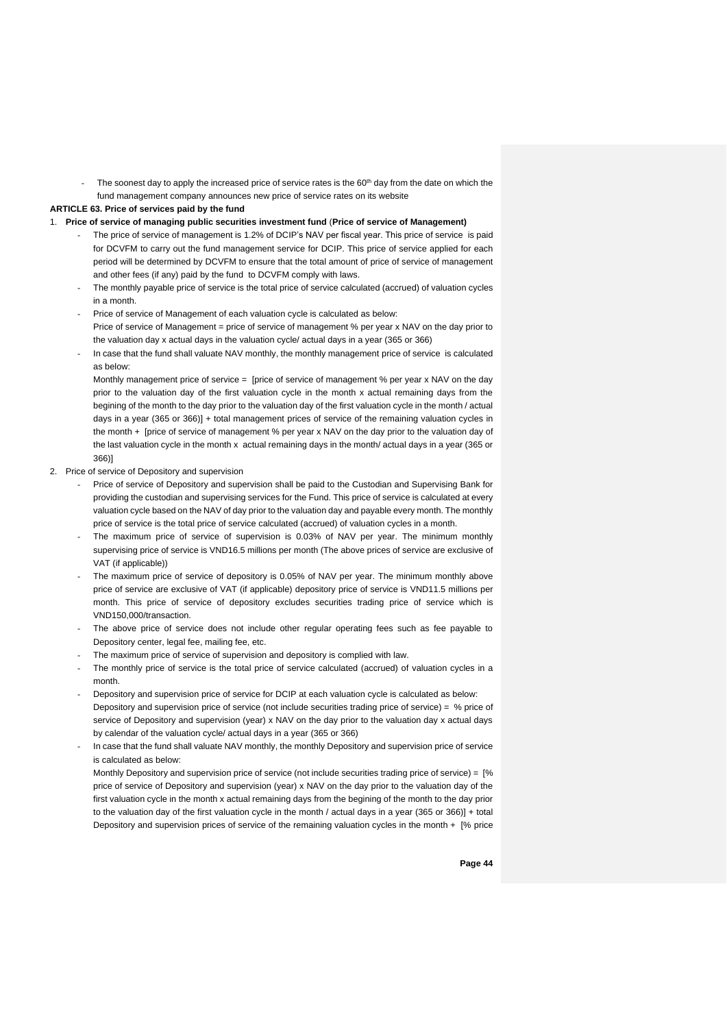- The soonest day to apply the increased price of service rates is the 60<sup>th</sup> day from the date on which the fund management company announces new price of service rates on its website

#### **ARTICLE 63. Price of services paid by the fund**

- 1. **Price of service of managing public securities investment fund** (**Price of service of Management)**
	- The price of service of management is 1.2% of DCIP's NAV per fiscal year. This price of service is paid for DCVFM to carry out the fund management service for DCIP. This price of service applied for each period will be determined by DCVFM to ensure that the total amount of price of service of management and other fees (if any) paid by the fund to DCVFM comply with laws.
	- The monthly payable price of service is the total price of service calculated (accrued) of valuation cycles in a month.
	- Price of service of Management of each valuation cycle is calculated as below: Price of service of Management = price of service of management % per year x NAV on the day prior to the valuation day x actual days in the valuation cycle/ actual days in a year (365 or 366)
	- In case that the fund shall valuate NAV monthly, the monthly management price of service is calculated as below:

Monthly management price of service = [price of service of management % per year x NAV on the day prior to the valuation day of the first valuation cycle in the month x actual remaining days from the begining of the month to the day prior to the valuation day of the first valuation cycle in the month / actual days in a year (365 or 366)] + total management prices of service of the remaining valuation cycles in the month + [price of service of management % per year x NAV on the day prior to the valuation day of the last valuation cycle in the month x actual remaining days in the month/ actual days in a year (365 or 366)]

- 2. Price of service of Depository and supervision
	- Price of service of Depository and supervision shall be paid to the Custodian and Supervising Bank for providing the custodian and supervising services for the Fund. This price of service is calculated at every valuation cycle based on the NAV of day prior to the valuation day and payable every month. The monthly price of service is the total price of service calculated (accrued) of valuation cycles in a month.
	- The maximum price of service of supervision is 0.03% of NAV per year. The minimum monthly supervising price of service is VND16.5 millions per month (The above prices of service are exclusive of VAT (if applicable))
	- The maximum price of service of depository is 0.05% of NAV per year. The minimum monthly above price of service are exclusive of VAT (if applicable) depository price of service is VND11.5 millions per month. This price of service of depository excludes securities trading price of service which is VND150,000/transaction.
	- The above price of service does not include other regular operating fees such as fee payable to Depository center, legal fee, mailing fee, etc.
	- The maximum price of service of supervision and depository is complied with law.
	- The monthly price of service is the total price of service calculated (accrued) of valuation cycles in a month.
	- Depository and supervision price of service for DCIP at each valuation cycle is calculated as below: Depository and supervision price of service (not include securities trading price of service) = % price of service of Depository and supervision (year) x NAV on the day prior to the valuation day x actual days by calendar of the valuation cycle/ actual days in a year (365 or 366)
	- In case that the fund shall valuate NAV monthly, the monthly Depository and supervision price of service is calculated as below:

Monthly Depository and supervision price of service (not include securities trading price of service) = [% price of service of Depository and supervision (year) x NAV on the day prior to the valuation day of the first valuation cycle in the month x actual remaining days from the begining of the month to the day prior to the valuation day of the first valuation cycle in the month / actual days in a year (365 or 366)] + total Depository and supervision prices of service of the remaining valuation cycles in the month + [% price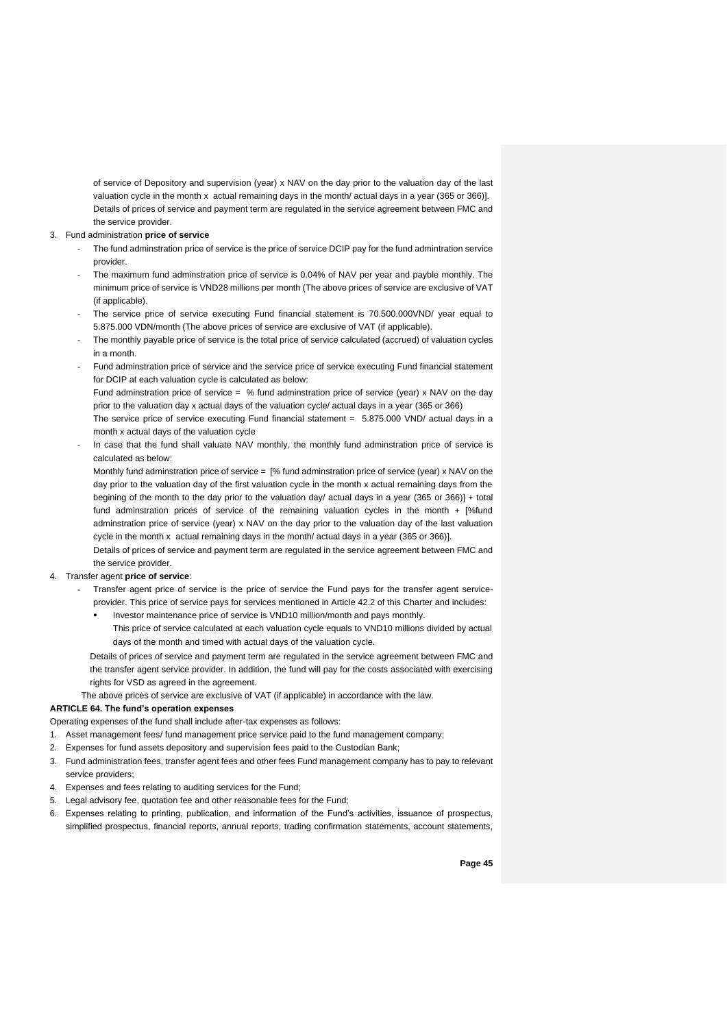of service of Depository and supervision (year) x NAV on the day prior to the valuation day of the last valuation cycle in the month x actual remaining days in the month/ actual days in a year (365 or 366)]. Details of prices of service and payment term are regulated in the service agreement between FMC and the service provider.

#### 3. Fund administration **price of service**

- The fund adminstration price of service is the price of service DCIP pay for the fund admintration service provider.
- The maximum fund adminstration price of service is 0.04% of NAV per year and payble monthly. The minimum price of service is VND28 millions per month (The above prices of service are exclusive of VAT (if applicable).
- The service price of service executing Fund financial statement is 70.500.000VND/ year equal to 5.875.000 VDN/month (The above prices of service are exclusive of VAT (if applicable).
- The monthly payable price of service is the total price of service calculated (accrued) of valuation cycles in a month.
- Fund adminstration price of service and the service price of service executing Fund financial statement for DCIP at each valuation cycle is calculated as below:

Fund adminstration price of service =  $%$  fund adminstration price of service (year) x NAV on the day prior to the valuation day x actual days of the valuation cycle/ actual days in a year (365 or 366)

The service price of service executing Fund financial statement = 5.875.000 VND/ actual days in a month x actual days of the valuation cycle

In case that the fund shall valuate NAV monthly, the monthly fund adminstration price of service is calculated as below:

Monthly fund adminstration price of service = [% fund adminstration price of service (year) x NAV on the day prior to the valuation day of the first valuation cycle in the month x actual remaining days from the begining of the month to the day prior to the valuation day/ actual days in a year (365 or 366)] + total fund adminstration prices of service of the remaining valuation cycles in the month + [%fund adminstration price of service (year) x NAV on the day prior to the valuation day of the last valuation cycle in the month x actual remaining days in the month/ actual days in a year (365 or 366)].

Details of prices of service and payment term are regulated in the service agreement between FMC and the service provider.

#### 4. Transfer agent **price of service**:

- Transfer agent price of service is the price of service the Fund pays for the transfer agent serviceprovider. This price of service pays for services mentioned in Article 42.2 of this Charter and includes:
	- Investor maintenance price of service is VND10 million/month and pays monthly. This price of service calculated at each valuation cycle equals to VND10 millions divided by actual days of the month and timed with actual days of the valuation cycle.

Details of prices of service and payment term are regulated in the service agreement between FMC and the transfer agent service provider. In addition, the fund will pay for the costs associated with exercising rights for VSD as agreed in the agreement.

#### The above prices of service are exclusive of VAT (if applicable) in accordance with the law.

#### **ARTICLE 64. The fund's operation expenses**

Operating expenses of the fund shall include after-tax expenses as follows:

- 1. Asset management fees/ fund management price service paid to the fund management company;
- 2. Expenses for fund assets depository and supervision fees paid to the Custodian Bank;
- 3. Fund administration fees, transfer agent fees and other fees Fund management company has to pay to relevant service providers;
- 4. Expenses and fees relating to auditing services for the Fund;
- 5. Legal advisory fee, quotation fee and other reasonable fees for the Fund;
- 6. Expenses relating to printing, publication, and information of the Fund's activities, issuance of prospectus, simplified prospectus, financial reports, annual reports, trading confirmation statements, account statements,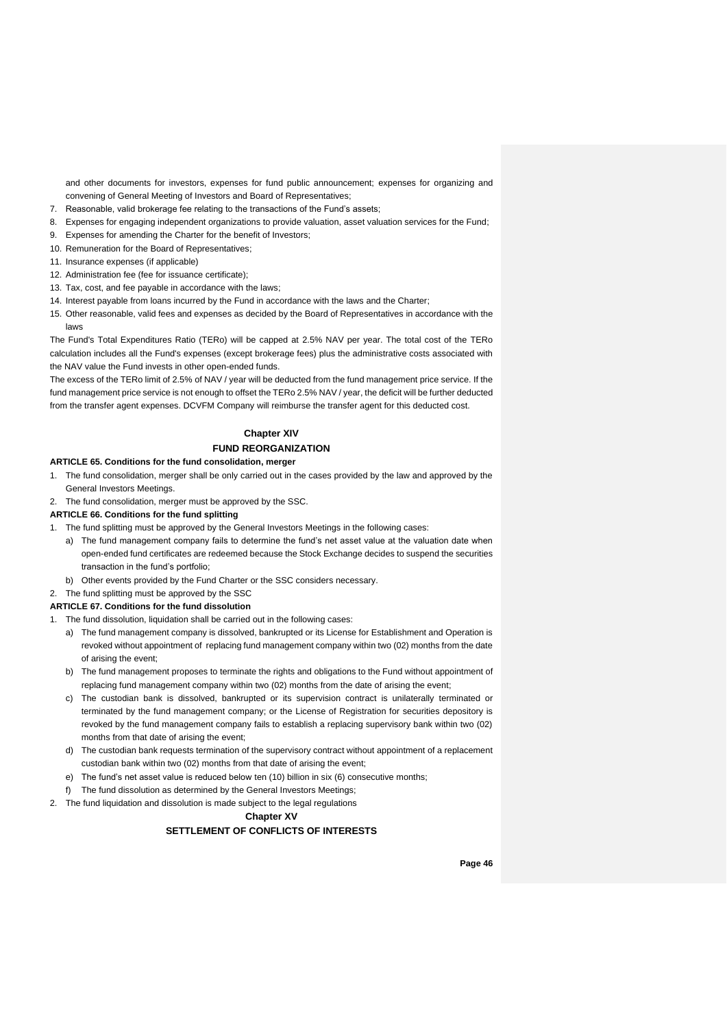and other documents for investors, expenses for fund public announcement; expenses for organizing and convening of General Meeting of Investors and Board of Representatives;

- 7. Reasonable, valid brokerage fee relating to the transactions of the Fund's assets;
- 8. Expenses for engaging independent organizations to provide valuation, asset valuation services for the Fund;
- 9. Expenses for amending the Charter for the benefit of Investors;
- 10. Remuneration for the Board of Representatives;
- 11. Insurance expenses (if applicable)
- 12. Administration fee (fee for issuance certificate);
- 13. Tax, cost, and fee payable in accordance with the laws;
- 14. Interest payable from loans incurred by the Fund in accordance with the laws and the Charter;
- 15. Other reasonable, valid fees and expenses as decided by the Board of Representatives in accordance with the laws

The Fund's Total Expenditures Ratio (TERo) will be capped at 2.5% NAV per year. The total cost of the TERo calculation includes all the Fund's expenses (except brokerage fees) plus the administrative costs associated with the NAV value the Fund invests in other open-ended funds.

The excess of the TERo limit of 2.5% of NAV / year will be deducted from the fund management price service. If the fund management price service is not enough to offset the TERo 2.5% NAV / year, the deficit will be further deducted from the transfer agent expenses. DCVFM Company will reimburse the transfer agent for this deducted cost.

## **Chapter XIV FUND REORGANIZATION**

#### **ARTICLE 65. Conditions for the fund consolidation, merger**

- 1. The fund consolidation, merger shall be only carried out in the cases provided by the law and approved by the General Investors Meetings.
- 2. The fund consolidation, merger must be approved by the SSC.

**ARTICLE 66. Conditions for the fund splitting**

- 1. The fund splitting must be approved by the General Investors Meetings in the following cases:
	- a) The fund management company fails to determine the fund's net asset value at the valuation date when open-ended fund certificates are redeemed because the Stock Exchange decides to suspend the securities transaction in the fund's portfolio;
	- b) Other events provided by the Fund Charter or the SSC considers necessary.
- 2. The fund splitting must be approved by the SSC

#### **ARTICLE 67. Conditions for the fund dissolution**

- 1. The fund dissolution, liquidation shall be carried out in the following cases:
	- a) The fund management company is dissolved, bankrupted or its License for Establishment and Operation is revoked without appointment of replacing fund management company within two (02) months from the date of arising the event;
	- b) The fund management proposes to terminate the rights and obligations to the Fund without appointment of replacing fund management company within two (02) months from the date of arising the event;
	- c) The custodian bank is dissolved, bankrupted or its supervision contract is unilaterally terminated or terminated by the fund management company; or the License of Registration for securities depository is revoked by the fund management company fails to establish a replacing supervisory bank within two (02) months from that date of arising the event;
	- d) The custodian bank requests termination of the supervisory contract without appointment of a replacement custodian bank within two (02) months from that date of arising the event;
	- e) The fund's net asset value is reduced below ten (10) billion in six (6) consecutive months;
	- f) The fund dissolution as determined by the General Investors Meetings;
- 2. The fund liquidation and dissolution is made subject to the legal regulations

## **Chapter XV**

## **SETTLEMENT OF CONFLICTS OF INTERESTS**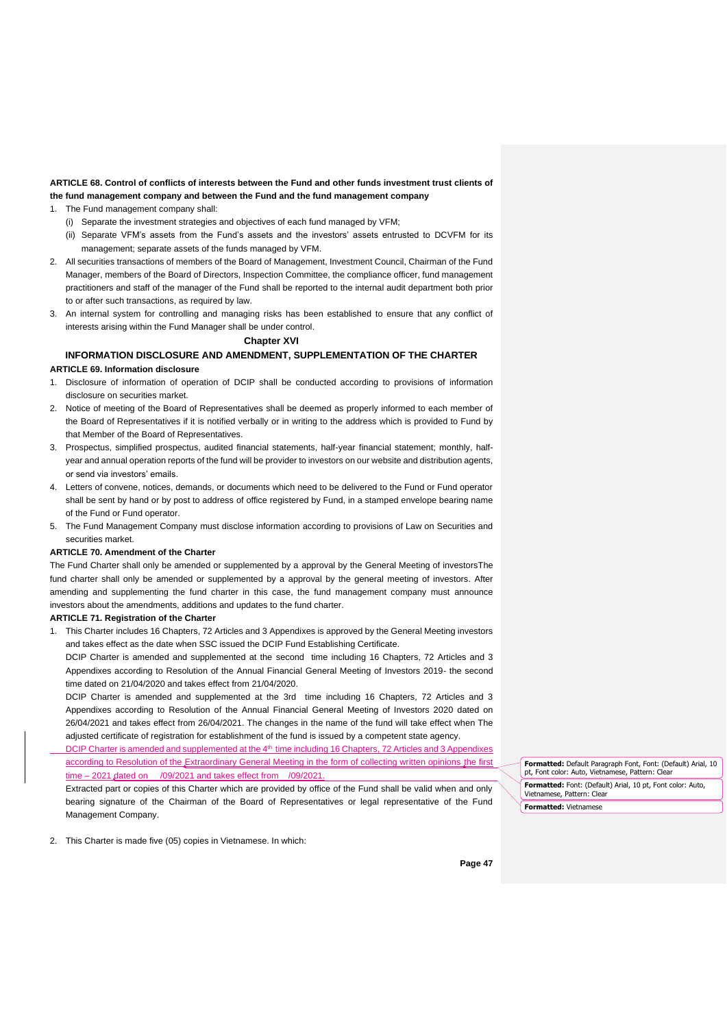#### **ARTICLE 68. Control of conflicts of interests between the Fund and other funds investment trust clients of the fund management company and between the Fund and the fund management company**

- 1. The Fund management company shall:
	- (i) Separate the investment strategies and objectives of each fund managed by VFM;
	- (ii) Separate VFM's assets from the Fund's assets and the investors' assets entrusted to DCVFM for its management; separate assets of the funds managed by VFM.
- 2. All securities transactions of members of the Board of Management, Investment Council, Chairman of the Fund Manager, members of the Board of Directors, Inspection Committee, the compliance officer, fund management practitioners and staff of the manager of the Fund shall be reported to the internal audit department both prior to or after such transactions, as required by law.
- 3. An internal system for controlling and managing risks has been established to ensure that any conflict of interests arising within the Fund Manager shall be under control.

**Chapter XVI**

## **INFORMATION DISCLOSURE AND AMENDMENT, SUPPLEMENTATION OF THE CHARTER**

#### **ARTICLE 69. Information disclosure**

- 1. Disclosure of information of operation of DCIP shall be conducted according to provisions of information disclosure on securities market.
- 2. Notice of meeting of the Board of Representatives shall be deemed as properly informed to each member of the Board of Representatives if it is notified verbally or in writing to the address which is provided to Fund by that Member of the Board of Representatives.
- 3. Prospectus, simplified prospectus, audited financial statements, half-year financial statement; monthly, halfyear and annual operation reports of the fund will be provider to investors on our website and distribution agents, or send via investors' emails.
- 4. Letters of convene, notices, demands, or documents which need to be delivered to the Fund or Fund operator shall be sent by hand or by post to address of office registered by Fund, in a stamped envelope bearing name of the Fund or Fund operator.
- 5. The Fund Management Company must disclose information according to provisions of Law on Securities and securities market.

#### **ARTICLE 70. Amendment of the Charter**

The Fund Charter shall only be amended or supplemented by a approval by the General Meeting of investorsThe fund charter shall only be amended or supplemented by a approval by the general meeting of investors. After amending and supplementing the fund charter in this case, the fund management company must announce investors about the amendments, additions and updates to the fund charter.

#### **ARTICLE 71. Registration of the Charter**

- 1. This Charter includes 16 Chapters, 72 Articles and 3 Appendixes is approved by the General Meeting investors and takes effect as the date when SSC issued the DCIP Fund Establishing Certificate.
	- DCIP Charter is amended and supplemented at the second time including 16 Chapters, 72 Articles and 3 Appendixes according to Resolution of the Annual Financial General Meeting of Investors 2019- the second time dated on 21/04/2020 and takes effect from 21/04/2020.

DCIP Charter is amended and supplemented at the 3rd time including 16 Chapters, 72 Articles and 3 Appendixes according to Resolution of the Annual Financial General Meeting of Investors 2020 dated on 26/04/2021 and takes effect from 26/04/2021. The changes in the name of the fund will take effect when The adjusted certificate of registration for establishment of the fund is issued by a competent state agency.

DCIP Charter is amended and supplemented at the 4<sup>th</sup> time including 16 Chapters, 72 Articles and 3 Appendixes according to Resolution of the Extraordinary General Meeting in the form of collecting written opinions the first time – 2021 dated on /09/2021 and takes effect from /09/2021.

Extracted part or copies of this Charter which are provided by office of the Fund shall be valid when and only bearing signature of the Chairman of the Board of Representatives or legal representative of the Fund Management Company.

**Formatted:** Default Paragraph Font, Font: (Default) Arial, 10 pt, Font color: Auto, Vietnamese, Pattern: Clear **Formatted:** Font: (Default) Arial, 10 pt, Font color: Auto, Vietnamese, Pattern: Clear **Formatted:** Vietnamese

2. This Charter is made five (05) copies in Vietnamese. In which: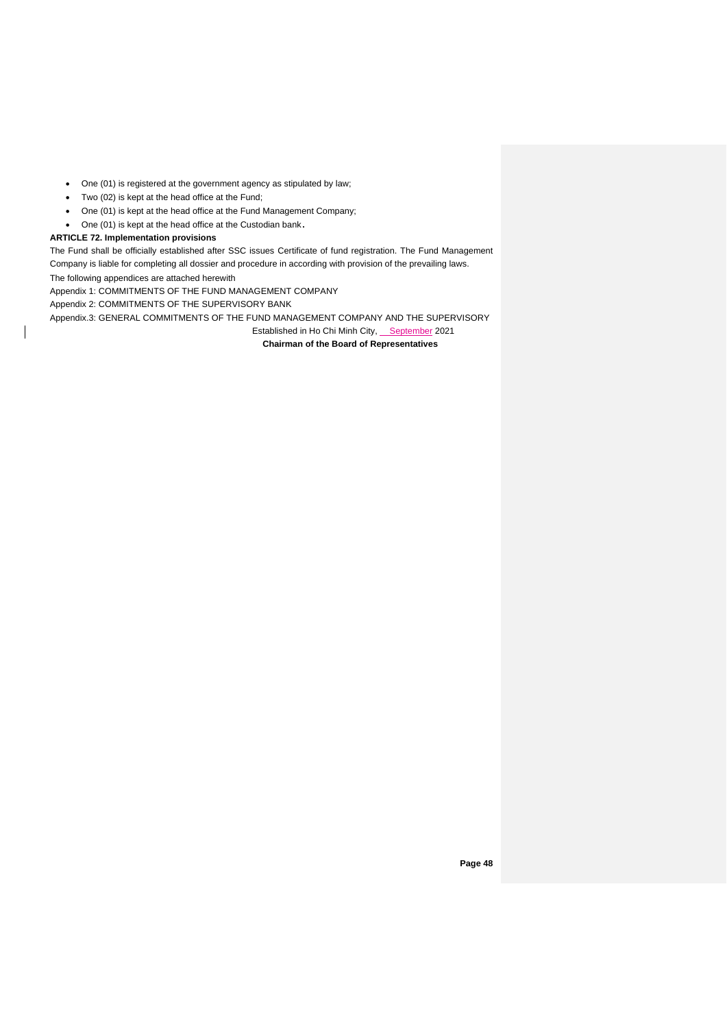- One (01) is registered at the government agency as stipulated by law;
- Two (02) is kept at the head office at the Fund;
- One (01) is kept at the head office at the Fund Management Company;
- One (01) is kept at the head office at the Custodian bank **.**

### **ARTICLE 72. Implementation provisions**

The Fund shall be officially established after SSC issues Certificate of fund registration. The Fund Management Company is liable for completing all dossier and procedure in according with provision of the prevailing laws.

The following appendices are attached herewith

Appendix 1: COMMITMENTS OF THE FUND MANAGEMENT COMPANY

Appendix 2: COMMITMENTS OF THE SUPERVISORY BANK

Appendix.3: GENERAL COMMITMENTS OF THE FUND MANAGEMENT COMPANY AND THE SUPERVISORY

Established in Ho Chi Minh City, September 2021

**Chairman of the Board of Representatives**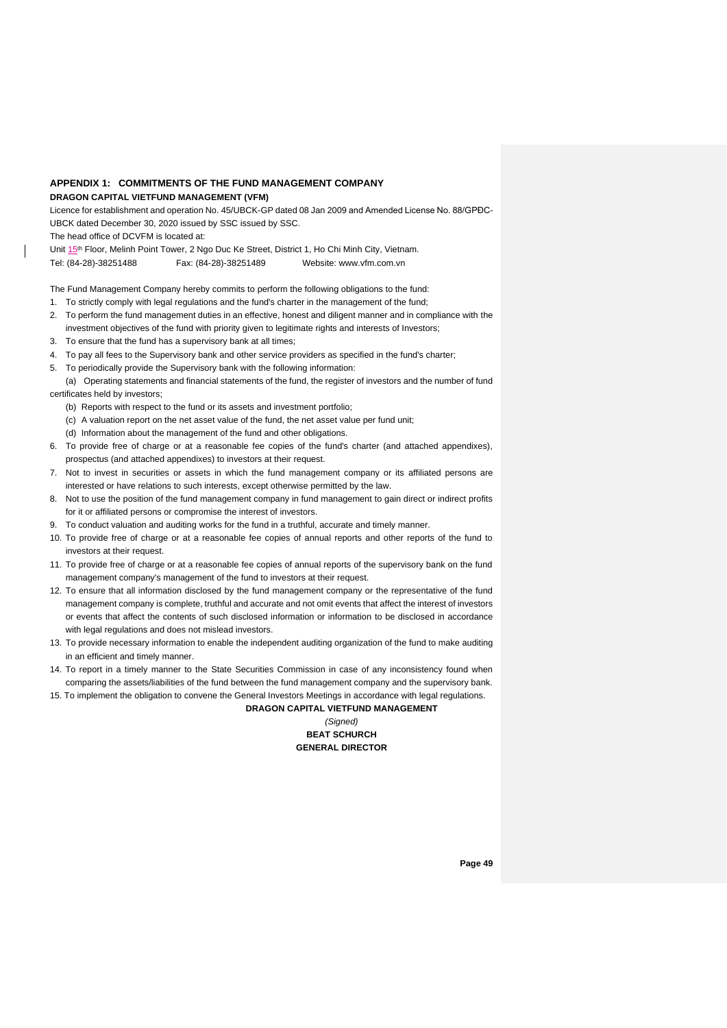## **APPENDIX 1: COMMITMENTS OF THE FUND MANAGEMENT COMPANY**

## **DRAGON CAPITAL VIETFUND MANAGEMENT (VFM)**

Licence for establishment and operation No. 45/UBCK-GP dated 08 Jan 2009 and Amended License No. 88/GPĐC-UBCK dated December 30, 2020 issued by SSC issued by SSC.

The head office of DCVFM is located at:

Unit 15th Floor, Melinh Point Tower, 2 Ngo Duc Ke Street, District 1, Ho Chi Minh City, Vietnam. Tel: (84-28)-38251488 Fax: (84-28)-38251489 Website: www.vfm.com.vn

The Fund Management Company hereby commits to perform the following obligations to the fund:

- 1. To strictly comply with legal regulations and the fund's charter in the management of the fund;
- 2. To perform the fund management duties in an effective, honest and diligent manner and in compliance with the investment objectives of the fund with priority given to legitimate rights and interests of Investors;
- 3. To ensure that the fund has a supervisory bank at all times;
- 4. To pay all fees to the Supervisory bank and other service providers as specified in the fund's charter;
- 5. To periodically provide the Supervisory bank with the following information:
- (a) Operating statements and financial statements of the fund, the register of investors and the number of fund certificates held by investors;
	- (b) Reports with respect to the fund or its assets and investment portfolio;
	- (c) A valuation report on the net asset value of the fund, the net asset value per fund unit;
	- (d) Information about the management of the fund and other obligations.
- 6. To provide free of charge or at a reasonable fee copies of the fund's charter (and attached appendixes), prospectus (and attached appendixes) to investors at their request.
- Not to invest in securities or assets in which the fund management company or its affiliated persons are interested or have relations to such interests, except otherwise permitted by the law.
- 8. Not to use the position of the fund management company in fund management to gain direct or indirect profits for it or affiliated persons or compromise the interest of investors.
- 9. To conduct valuation and auditing works for the fund in a truthful, accurate and timely manner.
- 10. To provide free of charge or at a reasonable fee copies of annual reports and other reports of the fund to investors at their request.
- 11. To provide free of charge or at a reasonable fee copies of annual reports of the supervisory bank on the fund management company's management of the fund to investors at their request.
- 12. To ensure that all information disclosed by the fund management company or the representative of the fund management company is complete, truthful and accurate and not omit events that affect the interest of investors or events that affect the contents of such disclosed information or information to be disclosed in accordance with legal regulations and does not mislead investors.
- 13. To provide necessary information to enable the independent auditing organization of the fund to make auditing in an efficient and timely manner.
- 14. To report in a timely manner to the State Securities Commission in case of any inconsistency found when comparing the assets/liabilities of the fund between the fund management company and the supervisory bank.
- 15. To implement the obligation to convene the General Investors Meetings in accordance with legal regulations. **DRAGON CAPITAL VIETFUND MANAGEMENT**

## *(Signed)* **BEAT SCHURCH GENERAL DIRECTOR**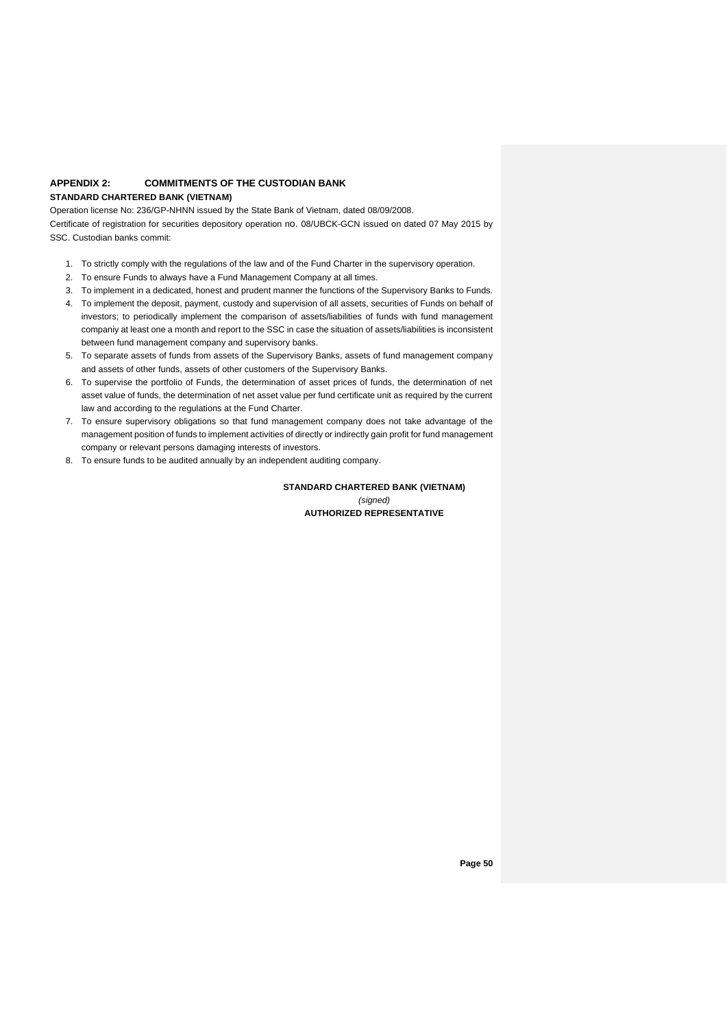## **APPENDIX 2: COMMITMENTS OF THE CUSTODIAN BANK**

## **STANDARD CHARTERED BANK (VIETNAM)**

Operation license No: 236/GP-NHNN issued by the State Bank of Vietnam, dated 08/09/2008. Certificate of registration for securities depository operation no. 08/UBCK-GCN issued on dated 07 May 2015 by SSC. Custodian banks commit:

- 1. To strictly comply with the regulations of the law and of the Fund Charter in the supervisory operation.
- 2. To ensure Funds to always have a Fund Management Company at all times.
- 3. To implement in a dedicated, honest and prudent manner the functions of the Supervisory Banks to Funds.
- 4. To implement the deposit, payment, custody and supervision of all assets, securities of Funds on behalf of investors; to periodically implement the comparison of assets/liabilities of funds with fund management companiy at least one a month and report to the SSC in case the situation of assets/liabilities is inconsistent between fund management company and supervisory banks.
- 5. To separate assets of funds from assets of the Supervisory Banks, assets of fund management company and assets of other funds, assets of other customers of the Supervisory Banks.
- 6. To supervise the portfolio of Funds, the determination of asset prices of funds, the determination of net asset value of funds, the determination of net asset value per fund certificate unit as required by the current law and according to the regulations at the Fund Charter.
- 7. To ensure supervisory obligations so that fund management company does not take advantage of the management position of funds to implement activities of directly or indirectly gain profit for fund management company or relevant persons damaging interests of investors.
- 8. To ensure funds to be audited annually by an independent auditing company.

**STANDARD CHARTERED BANK (VIETNAM)** *(signed)* **AUTHORIZED REPRESENTATIVE**